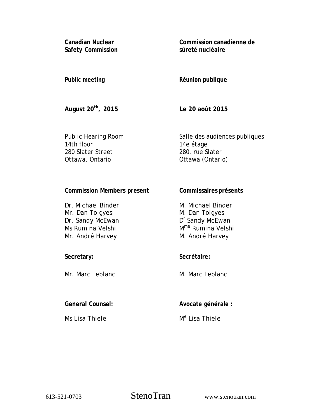**Canadian Nuclear Safety Commission**  **Commission canadienne de sûreté nucléaire** 

## **Public meeting**

# **Réunion publique**

**August 20th, 2015** 

**Le 20 août 2015** 

Public Hearing Room 14th floor 280 Slater Street Ottawa, Ontario

Salle des audiences publiques 14e étage 280, rue Slater Ottawa (Ontario)

**Commissaires présents** 

## **Commission Members present**

| Dr. Michael Binder | M. Michael Binder             |
|--------------------|-------------------------------|
| Mr. Dan Tolgyesi   | M. Dan Tolgyesi               |
| Dr. Sandy McEwan   | D <sup>r</sup> Sandy McEwan   |
| Ms Rumina Velshi   | M <sup>me</sup> Rumina Velshi |
| Mr. André Harvey   | M. André Harvey               |

## **Secretary:**

Mr. Marc Leblanc

## **General Counsel:**

Ms Lisa Thiele

#### **Secrétaire:**

M. Marc Leblanc

**Avocate générale :** 

M<sup>e</sup> Lisa Thiele

613-521-0703 StenoTran www.stenotran.com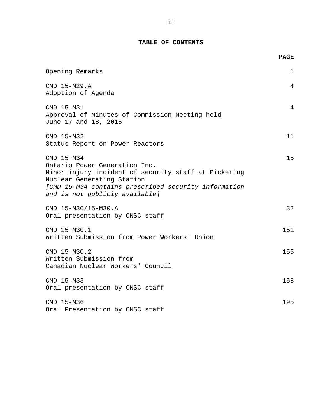#### **TABLE OF CONTENTS**

|                                                                                                                                                                                                                             | <b>PAGE</b>  |
|-----------------------------------------------------------------------------------------------------------------------------------------------------------------------------------------------------------------------------|--------------|
| Opening Remarks                                                                                                                                                                                                             | $\mathbf{1}$ |
| CMD 15-M29.A<br>Adoption of Agenda                                                                                                                                                                                          | 4            |
| CMD 15-M31<br>Approval of Minutes of Commission Meeting held<br>June 17 and 18, 2015                                                                                                                                        | 4            |
| CMD 15-M32<br>Status Report on Power Reactors                                                                                                                                                                               | 11           |
| CMD 15-M34<br>Ontario Power Generation Inc.<br>Minor injury incident of security staff at Pickering<br>Nuclear Generating Station<br>[CMD 15-M34 contains prescribed security information<br>and is not publicly available] | 15           |
| CMD 15-M30/15-M30.A<br>Oral presentation by CNSC staff                                                                                                                                                                      | 32           |
| CMD 15-M30.1<br>Written Submission from Power Workers' Union                                                                                                                                                                | 151          |
| CMD 15-M30.2<br>Written Submission from<br>Canadian Nuclear Workers' Council                                                                                                                                                | 155          |
| CMD 15-M33<br>Oral presentation by CNSC staff                                                                                                                                                                               | 158          |
| CMD 15-M36<br>Oral Presentation by CNSC staff                                                                                                                                                                               | 195          |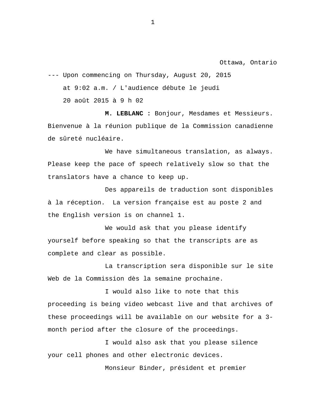Ottawa, Ontario

--- Upon commencing on Thursday, August 20, 2015

at 9:02 a.m. / L'audience débute le jeudi

20 août 2015 à 9 h 02

**M. LEBLANC :** Bonjour, Mesdames et Messieurs. Bienvenue à la réunion publique de la Commission canadienne de sûreté nucléaire.

We have simultaneous translation, as always. Please keep the pace of speech relatively slow so that the translators have a chance to keep up.

Des appareils de traduction sont disponibles à la réception. La version française est au poste 2 and the English version is on channel 1.

We would ask that you please identify yourself before speaking so that the transcripts are as complete and clear as possible.

La transcription sera disponible sur le site Web de la Commission dès la semaine prochaine.

I would also like to note that this proceeding is being video webcast live and that archives of these proceedings will be available on our website for a 3 month period after the closure of the proceedings.

I would also ask that you please silence your cell phones and other electronic devices.

Monsieur Binder, président et premier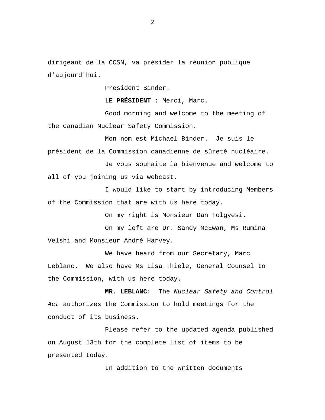dirigeant de la CCSN, va présider la réunion publique d'aujourd'hui.

President Binder.

**LE PRÉSIDENT :** Merci, Marc.

Good morning and welcome to the meeting of the Canadian Nuclear Safety Commission.

Mon nom est Michael Binder. Je suis le président de la Commission canadienne de sûreté nucléaire.

Je vous souhaite la bienvenue and welcome to all of you joining us via webcast.

I would like to start by introducing Members of the Commission that are with us here today.

On my right is Monsieur Dan Tolgyesi.

On my left are Dr. Sandy McEwan, Ms Rumina Velshi and Monsieur André Harvey.

We have heard from our Secretary, Marc Leblanc. We also have Ms Lisa Thiele, General Counsel to the Commission, with us here today.

**MR. LEBLANC:** The *Nuclear Safety and Control Act* authorizes the Commission to hold meetings for the conduct of its business.

Please refer to the updated agenda published on August 13th for the complete list of items to be presented today.

In addition to the written documents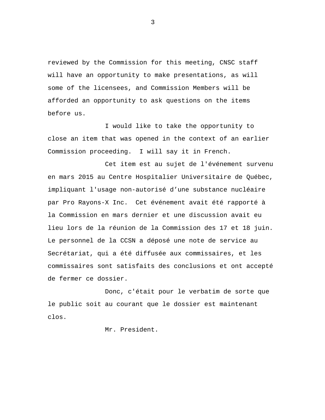reviewed by the Commission for this meeting, CNSC staff will have an opportunity to make presentations, as will some of the licensees, and Commission Members will be afforded an opportunity to ask questions on the items before us.

I would like to take the opportunity to close an item that was opened in the context of an earlier Commission proceeding. I will say it in French.

Cet item est au sujet de l'événement survenu en mars 2015 au Centre Hospitalier Universitaire de Québec, impliquant l'usage non-autorisé d'une substance nucléaire par Pro Rayons-X Inc. Cet événement avait été rapporté à la Commission en mars dernier et une discussion avait eu lieu lors de la réunion de la Commission des 17 et 18 juin. Le personnel de la CCSN a déposé une note de service au Secrétariat, qui a été diffusée aux commissaires, et les commissaires sont satisfaits des conclusions et ont accepté de fermer ce dossier.

Donc, c'était pour le verbatim de sorte que le public soit au courant que le dossier est maintenant clos.

Mr. President.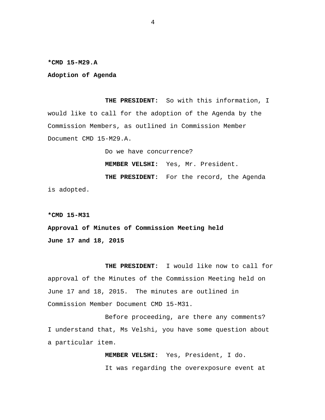**\*CMD 15-M29.A** 

**Adoption of Agenda** 

**THE PRESIDENT:** So with this information, I would like to call for the adoption of the Agenda by the Commission Members, as outlined in Commission Member Document CMD 15-M29.A.

Do we have concurrence?

**MEMBER VELSHI:** Yes, Mr. President.

**THE PRESIDENT:** For the record, the Agenda is adopted.

**\*CMD 15-M31** 

**Approval of Minutes of Commission Meeting held June 17 and 18, 2015** 

**THE PRESIDENT:** I would like now to call for approval of the Minutes of the Commission Meeting held on June 17 and 18, 2015. The minutes are outlined in Commission Member Document CMD 15-M31.

Before proceeding, are there any comments? I understand that, Ms Velshi, you have some question about a particular item.

> **MEMBER VELSHI:** Yes, President, I do. It was regarding the overexposure event at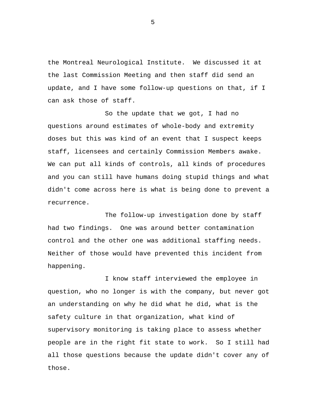the Montreal Neurological Institute. We discussed it at the last Commission Meeting and then staff did send an update, and I have some follow-up questions on that, if I can ask those of staff.

So the update that we got, I had no questions around estimates of whole-body and extremity doses but this was kind of an event that I suspect keeps staff, licensees and certainly Commission Members awake. We can put all kinds of controls, all kinds of procedures and you can still have humans doing stupid things and what didn't come across here is what is being done to prevent a recurrence.

The follow-up investigation done by staff had two findings. One was around better contamination control and the other one was additional staffing needs. Neither of those would have prevented this incident from happening.

I know staff interviewed the employee in question, who no longer is with the company, but never got an understanding on why he did what he did, what is the safety culture in that organization, what kind of supervisory monitoring is taking place to assess whether people are in the right fit state to work. So I still had all those questions because the update didn't cover any of those.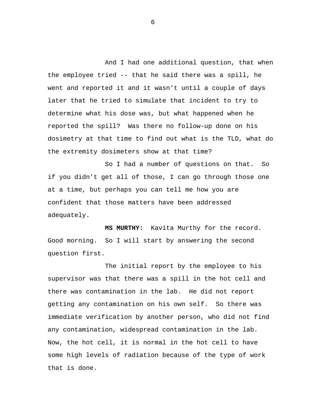And I had one additional question, that when the employee tried -- that he said there was a spill, he went and reported it and it wasn't until a couple of days later that he tried to simulate that incident to try to determine what his dose was, but what happened when he reported the spill? Was there no follow-up done on his dosimetry at that time to find out what is the TLD, what do the extremity dosimeters show at that time?

So I had a number of questions on that. So if you didn't get all of those, I can go through those one at a time, but perhaps you can tell me how you are confident that those matters have been addressed adequately.

**MS MURTHY:** Kavita Murthy for the record. Good morning. So I will start by answering the second question first.

The initial report by the employee to his supervisor was that there was a spill in the hot cell and there was contamination in the lab. He did not report getting any contamination on his own self. So there was immediate verification by another person, who did not find any contamination, widespread contamination in the lab. Now, the hot cell, it is normal in the hot cell to have some high levels of radiation because of the type of work that is done.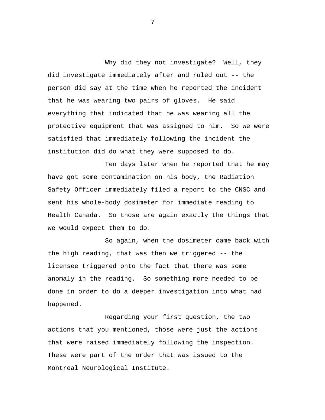Why did they not investigate? Well, they did investigate immediately after and ruled out -- the person did say at the time when he reported the incident that he was wearing two pairs of gloves. He said everything that indicated that he was wearing all the protective equipment that was assigned to him. So we were satisfied that immediately following the incident the institution did do what they were supposed to do.

Ten days later when he reported that he may have got some contamination on his body, the Radiation Safety Officer immediately filed a report to the CNSC and sent his whole-body dosimeter for immediate reading to Health Canada. So those are again exactly the things that we would expect them to do.

So again, when the dosimeter came back with the high reading, that was then we triggered -- the licensee triggered onto the fact that there was some anomaly in the reading. So something more needed to be done in order to do a deeper investigation into what had happened.

Regarding your first question, the two actions that you mentioned, those were just the actions that were raised immediately following the inspection. These were part of the order that was issued to the Montreal Neurological Institute.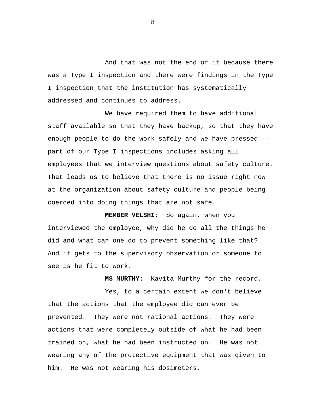And that was not the end of it because there was a Type I inspection and there were findings in the Type I inspection that the institution has systematically addressed and continues to address.

We have required them to have additional staff available so that they have backup, so that they have enough people to do the work safely and we have pressed - part of our Type I inspections includes asking all employees that we interview questions about safety culture. That leads us to believe that there is no issue right now at the organization about safety culture and people being coerced into doing things that are not safe.

**MEMBER VELSHI:** So again, when you interviewed the employee, why did he do all the things he did and what can one do to prevent something like that? And it gets to the supervisory observation or someone to see is he fit to work.

**MS MURTHY:** Kavita Murthy for the record.

Yes, to a certain extent we don't believe that the actions that the employee did can ever be prevented. They were not rational actions. They were actions that were completely outside of what he had been trained on, what he had been instructed on. He was not wearing any of the protective equipment that was given to him. He was not wearing his dosimeters.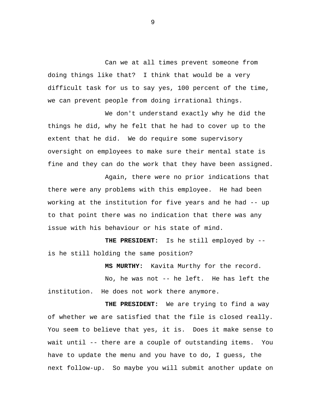Can we at all times prevent someone from doing things like that? I think that would be a very difficult task for us to say yes, 100 percent of the time, we can prevent people from doing irrational things.

We don't understand exactly why he did the things he did, why he felt that he had to cover up to the extent that he did. We do require some supervisory oversight on employees to make sure their mental state is fine and they can do the work that they have been assigned.

Again, there were no prior indications that there were any problems with this employee. He had been working at the institution for five years and he had -- up to that point there was no indication that there was any issue with his behaviour or his state of mind.

**THE PRESIDENT:** Is he still employed by - is he still holding the same position?

**MS MURTHY:** Kavita Murthy for the record.

No, he was not -- he left. He has left the institution. He does not work there anymore.

**THE PRESIDENT:** We are trying to find a way of whether we are satisfied that the file is closed really. You seem to believe that yes, it is. Does it make sense to wait until -- there are a couple of outstanding items. You have to update the menu and you have to do, I guess, the next follow-up. So maybe you will submit another update on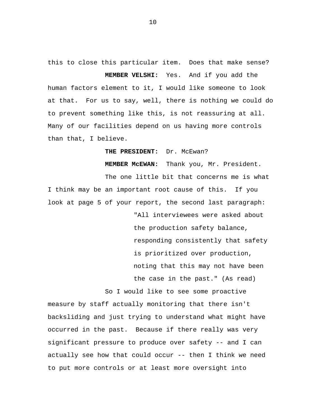this to close this particular item. Does that make sense? **MEMBER VELSHI:** Yes. And if you add the human factors element to it, I would like someone to look at that. For us to say, well, there is nothing we could do to prevent something like this, is not reassuring at all.

Many of our facilities depend on us having more controls than that, I believe.

**THE PRESIDENT:** Dr. McEwan?

**MEMBER McEWAN:** Thank you, Mr. President.

The one little bit that concerns me is what I think may be an important root cause of this. If you look at page 5 of your report, the second last paragraph:

> "All interviewees were asked about the production safety balance, responding consistently that safety is prioritized over production, noting that this may not have been the case in the past." (As read)

So I would like to see some proactive

measure by staff actually monitoring that there isn't backsliding and just trying to understand what might have occurred in the past. Because if there really was very significant pressure to produce over safety -- and I can actually see how that could occur -- then I think we need to put more controls or at least more oversight into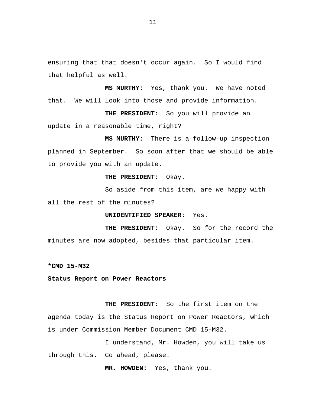ensuring that that doesn't occur again. So I would find that helpful as well.

**MS MURTHY:** Yes, thank you. We have noted that. We will look into those and provide information.

**THE PRESIDENT:** So you will provide an update in a reasonable time, right?

**MS MURTHY:** There is a follow-up inspection planned in September. So soon after that we should be able to provide you with an update.

#### **THE PRESIDENT:** Okay.

So aside from this item, are we happy with all the rest of the minutes?

**UNIDENTIFIED SPEAKER:** Yes.

**THE PRESIDENT:** Okay. So for the record the minutes are now adopted, besides that particular item.

**\*CMD 15-M32** 

**Status Report on Power Reactors** 

**THE PRESIDENT:** So the first item on the agenda today is the Status Report on Power Reactors, which is under Commission Member Document CMD 15-M32.

I understand, Mr. Howden, you will take us through this. Go ahead, please.

**MR. HOWDEN:** Yes, thank you.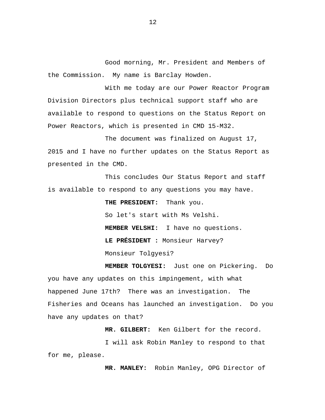Good morning, Mr. President and Members of the Commission. My name is Barclay Howden.

With me today are our Power Reactor Program Division Directors plus technical support staff who are available to respond to questions on the Status Report on Power Reactors, which is presented in CMD 15-M32.

The document was finalized on August 17, 2015 and I have no further updates on the Status Report as presented in the CMD.

This concludes Our Status Report and staff is available to respond to any questions you may have.

> **THE PRESIDENT:** Thank you. So let's start with Ms Velshi. **MEMBER VELSHI:** I have no questions. **LE PRÉSIDENT :** Monsieur Harvey? Monsieur Tolgyesi?

**MEMBER TOLGYESI:** Just one on Pickering. Do you have any updates on this impingement, with what happened June 17th? There was an investigation. The Fisheries and Oceans has launched an investigation. Do you have any updates on that?

**MR. GILBERT:** Ken Gilbert for the record.

I will ask Robin Manley to respond to that for me, please.

**MR. MANLEY:** Robin Manley, OPG Director of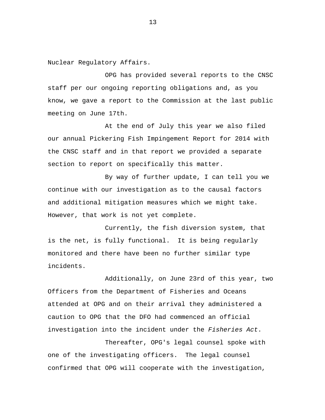Nuclear Regulatory Affairs.

OPG has provided several reports to the CNSC staff per our ongoing reporting obligations and, as you know, we gave a report to the Commission at the last public meeting on June 17th.

At the end of July this year we also filed our annual Pickering Fish Impingement Report for 2014 with the CNSC staff and in that report we provided a separate section to report on specifically this matter.

By way of further update, I can tell you we continue with our investigation as to the causal factors and additional mitigation measures which we might take. However, that work is not yet complete.

Currently, the fish diversion system, that is the net, is fully functional. It is being regularly monitored and there have been no further similar type incidents.

Additionally, on June 23rd of this year, two Officers from the Department of Fisheries and Oceans attended at OPG and on their arrival they administered a caution to OPG that the DFO had commenced an official investigation into the incident under the *Fisheries Act*.

Thereafter, OPG's legal counsel spoke with one of the investigating officers. The legal counsel confirmed that OPG will cooperate with the investigation,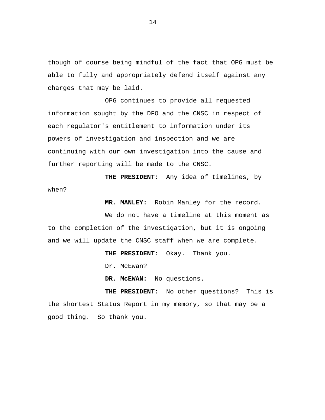though of course being mindful of the fact that OPG must be able to fully and appropriately defend itself against any charges that may be laid.

OPG continues to provide all requested information sought by the DFO and the CNSC in respect of each regulator's entitlement to information under its powers of investigation and inspection and we are continuing with our own investigation into the cause and further reporting will be made to the CNSC.

**THE PRESIDENT:** Any idea of timelines, by when?

**MR. MANLEY:** Robin Manley for the record.

We do not have a timeline at this moment as to the completion of the investigation, but it is ongoing and we will update the CNSC staff when we are complete.

**THE PRESIDENT:** Okay. Thank you.

Dr. McEwan?

**DR. McEWAN:** No questions.

**THE PRESIDENT:** No other questions? This is the shortest Status Report in my memory, so that may be a good thing. So thank you.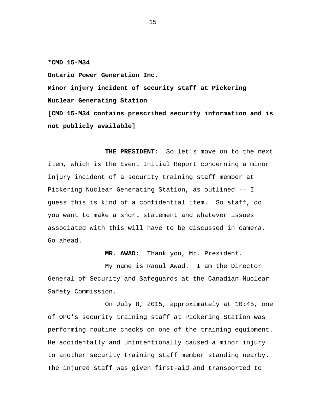**\*CMD 15-M34** 

**Ontario Power Generation Inc.** 

**Minor injury incident of security staff at Pickering Nuclear Generating Station [CMD 15-M34 contains prescribed security information and is not publicly available]** 

**THE PRESIDENT:** So let's move on to the next item, which is the Event Initial Report concerning a minor injury incident of a security training staff member at Pickering Nuclear Generating Station, as outlined -- I guess this is kind of a confidential item. So staff, do you want to make a short statement and whatever issues associated with this will have to be discussed in camera. Go ahead.

**MR. AWAD:** Thank you, Mr. President.

My name is Raoul Awad. I am the Director General of Security and Safeguards at the Canadian Nuclear Safety Commission.

On July 8, 2015, approximately at 10:45, one of OPG's security training staff at Pickering Station was performing routine checks on one of the training equipment. He accidentally and unintentionally caused a minor injury to another security training staff member standing nearby. The injured staff was given first-aid and transported to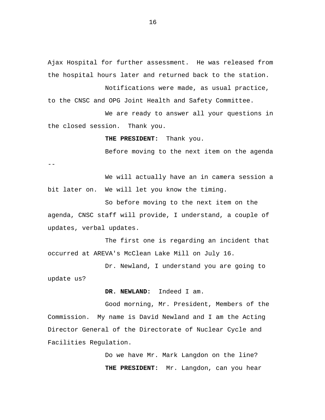Ajax Hospital for further assessment. He was released from the hospital hours later and returned back to the station.

Notifications were made, as usual practice, to the CNSC and OPG Joint Health and Safety Committee.

We are ready to answer all your questions in the closed session. Thank you.

**THE PRESIDENT:** Thank you.

Before moving to the next item on the agenda

--

We will actually have an in camera session a bit later on. We will let you know the timing.

So before moving to the next item on the agenda, CNSC staff will provide, I understand, a couple of updates, verbal updates.

The first one is regarding an incident that occurred at AREVA's McClean Lake Mill on July 16.

Dr. Newland, I understand you are going to update us?

**DR. NEWLAND:** Indeed I am.

Good morning, Mr. President, Members of the Commission. My name is David Newland and I am the Acting Director General of the Directorate of Nuclear Cycle and Facilities Regulation.

> Do we have Mr. Mark Langdon on the line? **THE PRESIDENT:** Mr. Langdon, can you hear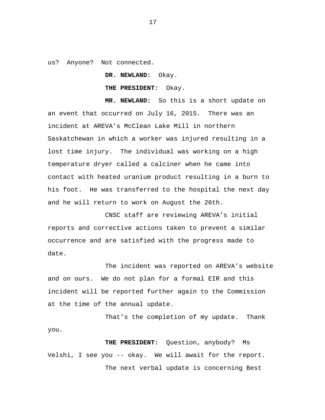us? Anyone? Not connected.

**DR. NEWLAND:** Okay.

**THE PRESIDENT:** Okay.

**MR. NEWLAND:** So this is a short update on an event that occurred on July 16, 2015. There was an incident at AREVA's McClean Lake Mill in northern Saskatchewan in which a worker was injured resulting in a lost time injury. The individual was working on a high temperature dryer called a calciner when he came into contact with heated uranium product resulting in a burn to his foot. He was transferred to the hospital the next day and he will return to work on August the 26th.

CNSC staff are reviewing AREVA's initial reports and corrective actions taken to prevent a similar occurrence and are satisfied with the progress made to date.

The incident was reported on AREVA's website and on ours. We do not plan for a formal EIR and this incident will be reported further again to the Commission at the time of the annual update.

That's the completion of my update. Thank you.

**THE PRESIDENT:** Question, anybody? Ms Velshi, I see you -- okay. We will await for the report. The next verbal update is concerning Best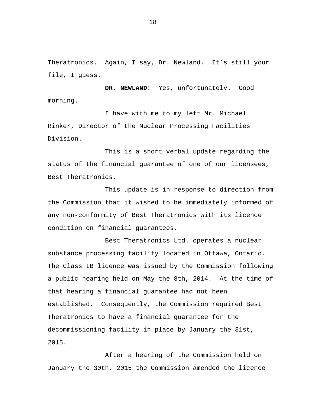Theratronics. Again, I say, Dr. Newland. It's still your file, I guess.

**DR. NEWLAND:** Yes, unfortunately**.** Good morning.

I have with me to my left Mr. Michael Rinker, Director of the Nuclear Processing Facilities Division.

This is a short verbal update regarding the status of the financial guarantee of one of our licensees, Best Theratronics.

This update is in response to direction from the Commission that it wished to be immediately informed of any non-conformity of Best Theratronics with its licence condition on financial guarantees.

Best Theratronics Ltd. operates a nuclear substance processing facility located in Ottawa, Ontario. The Class IB licence was issued by the Commission following a public hearing held on May the 8th, 2014. At the time of that hearing a financial guarantee had not been established. Consequently, the Commission required Best Theratronics to have a financial guarantee for the decommissioning facility in place by January the 31st, 2015.

After a hearing of the Commission held on January the 30th, 2015 the Commission amended the licence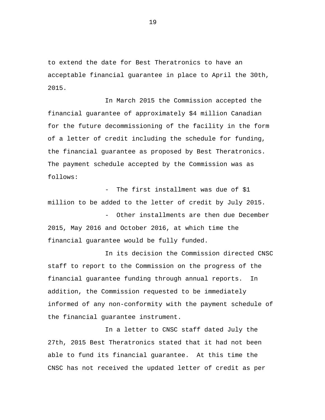to extend the date for Best Theratronics to have an acceptable financial guarantee in place to April the 30th, 2015.

In March 2015 the Commission accepted the financial guarantee of approximately \$4 million Canadian for the future decommissioning of the facility in the form of a letter of credit including the schedule for funding, the financial guarantee as proposed by Best Theratronics. The payment schedule accepted by the Commission was as follows:

The first installment was due of \$1 million to be added to the letter of credit by July 2015.

Other installments are then due December 2015, May 2016 and October 2016, at which time the financial guarantee would be fully funded.

In its decision the Commission directed CNSC staff to report to the Commission on the progress of the financial guarantee funding through annual reports. In addition, the Commission requested to be immediately informed of any non-conformity with the payment schedule of the financial guarantee instrument.

In a letter to CNSC staff dated July the 27th, 2015 Best Theratronics stated that it had not been able to fund its financial guarantee. At this time the CNSC has not received the updated letter of credit as per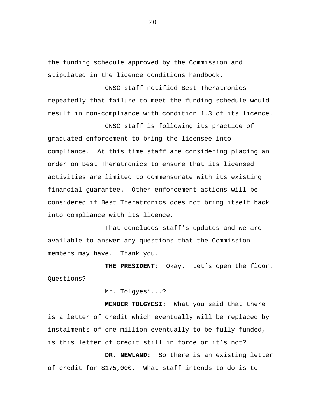the funding schedule approved by the Commission and stipulated in the licence conditions handbook.

CNSC staff notified Best Theratronics repeatedly that failure to meet the funding schedule would result in non-compliance with condition 1.3 of its licence.

CNSC staff is following its practice of graduated enforcement to bring the licensee into compliance. At this time staff are considering placing an order on Best Theratronics to ensure that its licensed activities are limited to commensurate with its existing financial guarantee. Other enforcement actions will be considered if Best Theratronics does not bring itself back into compliance with its licence.

That concludes staff's updates and we are available to answer any questions that the Commission members may have. Thank you.

**THE PRESIDENT:** Okay. Let's open the floor. Questions?

Mr. Tolgyesi...?

**MEMBER TOLGYESI:** What you said that there is a letter of credit which eventually will be replaced by instalments of one million eventually to be fully funded, is this letter of credit still in force or it's not?

**DR. NEWLAND:** So there is an existing letter of credit for \$175,000. What staff intends to do is to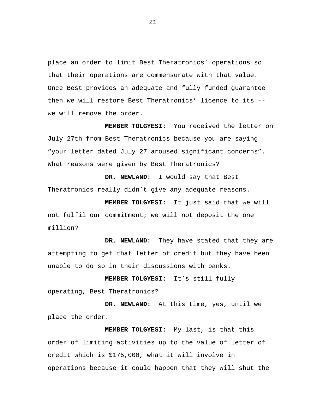place an order to limit Best Theratronics' operations so that their operations are commensurate with that value. Once Best provides an adequate and fully funded guarantee then we will restore Best Theratronics' licence to its - we will remove the order.

**MEMBER TOLGYESI:** You received the letter on July 27th from Best Theratronics because you are saying "your letter dated July 27 aroused significant concerns". What reasons were given by Best Theratronics?

**DR. NEWLAND:** I would say that Best Theratronics really didn't give any adequate reasons.

**MEMBER TOLGYESI:** It just said that we will not fulfil our commitment; we will not deposit the one million?

**DR. NEWLAND:** They have stated that they are attempting to get that letter of credit but they have been unable to do so in their discussions with banks.

 operating, Best Theratronics? **MEMBER TOLGYESI:** It's still fully

**DR. NEWLAND:** At this time, yes, until we place the order.

**MEMBER TOLGYESI:** My last, is that this order of limiting activities up to the value of letter of credit which is \$175,000, what it will involve in operations because it could happen that they will shut the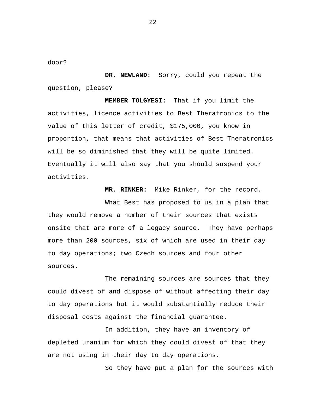door?

**DR. NEWLAND:** Sorry, could you repeat the question, please?

**MEMBER TOLGYESI:** That if you limit the activities, licence activities to Best Theratronics to the value of this letter of credit, \$175,000**,** you know in proportion, that means that activities of Best Theratronics will be so diminished that they will be quite limited. Eventually it will also say that you should suspend your activities.

**MR. RINKER:** Mike Rinker, for the record.

What Best has proposed to us in a plan that they would remove a number of their sources that exists onsite that are more of a legacy source. They have perhaps more than 200 sources, six of which are used in their day to day operations; two Czech sources and four other sources.

The remaining sources are sources that they could divest of and dispose of without affecting their day to day operations but it would substantially reduce their disposal costs against the financial guarantee.

In addition, they have an inventory of depleted uranium for which they could divest of that they are not using in their day to day operations.

So they have put a plan for the sources with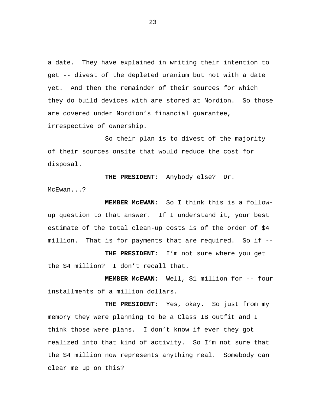a date. They have explained in writing their intention to get -- divest of the depleted uranium but not with a date yet. And then the remainder of their sources for which they do build devices with are stored at Nordion. So those are covered under Nordion's financial guarantee, irrespective of ownership.

So their plan is to divest of the majority of their sources onsite that would reduce the cost for disposal.

**THE PRESIDENT:** Anybody else? Dr. McEwan...?

**MEMBER McEWAN:** So I think this is a followup question to that answer. If I understand it, your best estimate of the total clean-up costs is of the order of \$4 million. That is for payments that are required. So if --

**THE PRESIDENT:** I'm not sure where you get the \$4 million? I don't recall that.

**MEMBER McEWAN:** Well, \$1 million for -- four installments of a million dollars.

**THE PRESIDENT:** Yes, okay. So just from my memory they were planning to be a Class IB outfit and I think those were plans. I don't know if ever they got realized into that kind of activity. So I'm not sure that the \$4 million now represents anything real. Somebody can clear me up on this?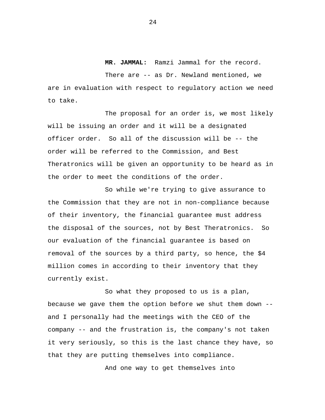#### **MR. JAMMAL:** Ramzi Jammal for the record.

There are -- as Dr. Newland mentioned, we are in evaluation with respect to regulatory action we need to take.

The proposal for an order is, we most likely will be issuing an order and it will be a designated officer order. So all of the discussion will be -- the order will be referred to the Commission, and Best Theratronics will be given an opportunity to be heard as in the order to meet the conditions of the order.

So while we're trying to give assurance to the Commission that they are not in non-compliance because of their inventory, the financial guarantee must address the disposal of the sources, not by Best Theratronics. So our evaluation of the financial guarantee is based on removal of the sources by a third party, so hence, the \$4 million comes in according to their inventory that they currently exist.

So what they proposed to us is a plan, because we gave them the option before we shut them down - and I personally had the meetings with the CEO of the company -- and the frustration is, the company's not taken it very seriously, so this is the last chance they have, so that they are putting themselves into compliance.

And one way to get themselves into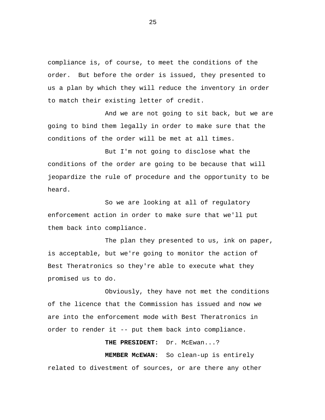compliance is, of course, to meet the conditions of the order. But before the order is issued, they presented to us a plan by which they will reduce the inventory in order to match their existing letter of credit.

And we are not going to sit back, but we are going to bind them legally in order to make sure that the conditions of the order will be met at all times.

But I'm not going to disclose what the conditions of the order are going to be because that will jeopardize the rule of procedure and the opportunity to be heard.

So we are looking at all of regulatory enforcement action in order to make sure that we'll put them back into compliance.

The plan they presented to us, ink on paper, is acceptable, but we're going to monitor the action of Best Theratronics so they're able to execute what they promised us to do.

Obviously, they have not met the conditions of the licence that the Commission has issued and now we are into the enforcement mode with Best Theratronics in order to render it -- put them back into compliance.

**THE PRESIDENT:** Dr. McEwan...?

**MEMBER McEWAN:** So clean-up is entirely related to divestment of sources, or are there any other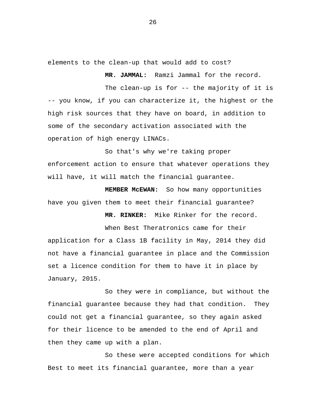elements to the clean-up that would add to cost?

**MR. JAMMAL:** Ramzi Jammal for the record.

The clean-up is for -- the majority of it is -- you know, if you can characterize it, the highest or the high risk sources that they have on board, in addition to some of the secondary activation associated with the operation of high energy LINACs.

So that's why we're taking proper enforcement action to ensure that whatever operations they will have, it will match the financial guarantee.

**MEMBER McEWAN:** So how many opportunities have you given them to meet their financial guarantee?

**MR. RINKER:** Mike Rinker for the record.

When Best Theratronics came for their application for a Class 1B facility in May, 2014 they did not have a financial guarantee in place and the Commission set a licence condition for them to have it in place by January, 2015.

So they were in compliance, but without the financial guarantee because they had that condition. They could not get a financial guarantee, so they again asked for their licence to be amended to the end of April and then they came up with a plan.

So these were accepted conditions for which Best to meet its financial guarantee, more than a year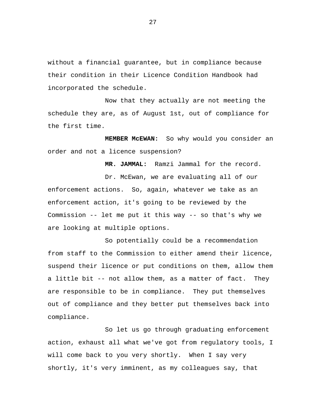without a financial guarantee, but in compliance because their condition in their Licence Condition Handbook had incorporated the schedule.

Now that they actually are not meeting the schedule they are, as of August 1st, out of compliance for the first time.

**MEMBER McEWAN:** So why would you consider an order and not a licence suspension?

**MR. JAMMAL:** Ramzi Jammal for the record.

Dr. McEwan, we are evaluating all of our enforcement actions. So, again, whatever we take as an enforcement action, it's going to be reviewed by the Commission -- let me put it this way -- so that's why we are looking at multiple options.

So potentially could be a recommendation from staff to the Commission to either amend their licence, suspend their licence or put conditions on them, allow them a little bit -- not allow them, as a matter of fact. They are responsible to be in compliance. They put themselves out of compliance and they better put themselves back into compliance.

So let us go through graduating enforcement action, exhaust all what we've got from regulatory tools, I will come back to you very shortly. When I say very shortly, it's very imminent, as my colleagues say, that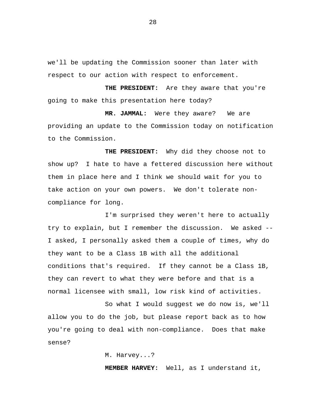we'll be updating the Commission sooner than later with respect to our action with respect to enforcement.

**THE PRESIDENT:** Are they aware that you're going to make this presentation here today?

**MR. JAMMAL:** Were they aware? We are providing an update to the Commission today on notification to the Commission.

**THE PRESIDENT:** Why did they choose not to show up? I hate to have a fettered discussion here without them in place here and I think we should wait for you to take action on your own powers. We don't tolerate noncompliance for long.

I'm surprised they weren't here to actually try to explain, but I remember the discussion. We asked -- I asked, I personally asked them a couple of times, why do they want to be a Class 1B with all the additional conditions that's required. If they cannot be a Class 1B, they can revert to what they were before and that is a normal licensee with small, low risk kind of activities.

So what I would suggest we do now is, we'll allow you to do the job, but please report back as to how you're going to deal with non-compliance. Does that make sense?

M. Harvey...?

**MEMBER HARVEY:** Well, as I understand it,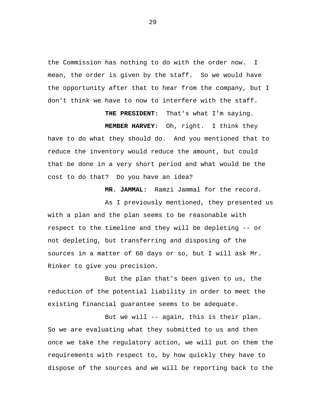the Commission has nothing to do with the order now. I mean, the order is given by the staff. So we would have the opportunity after that to hear from the company, but I don't think we have to now to interfere with the staff.

**THE PRESIDENT:** That's what I'm saying. **MEMBER HARVEY:** Oh, right. I think they have to do what they should do. And you mentioned that to reduce the inventory would reduce the amount, but could that be done in a very short period and what would be the cost to do that? Do you have an idea?

**MR. JAMMAL:** Ramzi Jammal for the record.

As I previously mentioned, they presented us with a plan and the plan seems to be reasonable with respect to the timeline and they will be depleting -- or not depleting, but transferring and disposing of the sources in a matter of 60 days or so, but I will ask Mr. Rinker to give you precision.

But the plan that's been given to us, the reduction of the potential liability in order to meet the existing financial guarantee seems to be adequate.

But we will -- again, this is their plan. So we are evaluating what they submitted to us and then once we take the regulatory action, we will put on them the requirements with respect to, by how quickly they have to dispose of the sources and we will be reporting back to the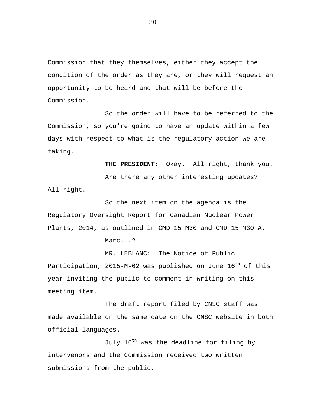Commission that they themselves, either they accept the condition of the order as they are, or they will request an opportunity to be heard and that will be before the Commission.

So the order will have to be referred to the Commission, so you're going to have an update within a few days with respect to what is the regulatory action we are taking.

**THE PRESIDENT:** Okay. All right, thank you.

Are there any other interesting updates? All right.

So the next item on the agenda is the Regulatory Oversight Report for Canadian Nuclear Power Plants, 2014, as outlined in CMD 15-M30 and CMD 15-M30.A.

Marc...?

MR. LEBLANC: The Notice of Public Participation, 2015-M-02 was published on June  $16^{th}$  of this year inviting the public to comment in writing on this meeting item.

The draft report filed by CNSC staff was made available on the same date on the CNSC website in both official languages.

July 16<sup>th</sup> was the deadline for filing by intervenors and the Commission received two written submissions from the public.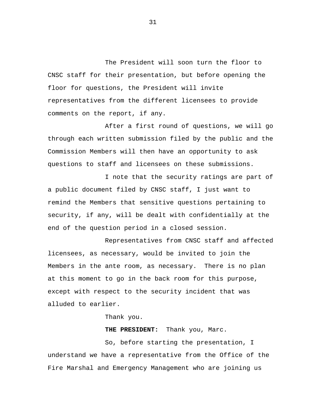The President will soon turn the floor to CNSC staff for their presentation, but before opening the floor for questions, the President will invite representatives from the different licensees to provide comments on the report, if any.

After a first round of questions, we will go through each written submission filed by the public and the Commission Members will then have an opportunity to ask questions to staff and licensees on these submissions.

I note that the security ratings are part of a public document filed by CNSC staff, I just want to remind the Members that sensitive questions pertaining to security, if any, will be dealt with confidentially at the end of the question period in a closed session.

Representatives from CNSC staff and affected licensees, as necessary, would be invited to join the Members in the ante room, as necessary. There is no plan at this moment to go in the back room for this purpose, except with respect to the security incident that was alluded to earlier.

Thank you.

**THE PRESIDENT:** Thank you, Marc.

So, before starting the presentation, I understand we have a representative from the Office of the Fire Marshal and Emergency Management who are joining us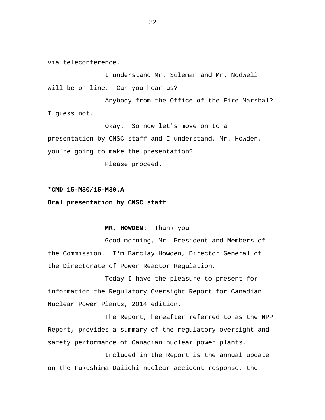via teleconference.

I understand Mr. Suleman and Mr. Nodwell will be on line. Can you hear us?

Anybody from the Office of the Fire Marshal? I guess not.

Okay. So now let's move on to a presentation by CNSC staff and I understand, Mr. Howden, you're going to make the presentation?

Please proceed.

**\*CMD 15-M30/15-M30.A** 

**Oral presentation by CNSC staff** 

 **MR. HOWDEN:** Thank you.

Good morning, Mr. President and Members of the Commission. I'm Barclay Howden, Director General of the Directorate of Power Reactor Regulation.

Today I have the pleasure to present for information the Regulatory Oversight Report for Canadian Nuclear Power Plants, 2014 edition.

The Report, hereafter referred to as the NPP Report, provides a summary of the regulatory oversight and safety performance of Canadian nuclear power plants.

Included in the Report is the annual update on the Fukushima Daiichi nuclear accident response, the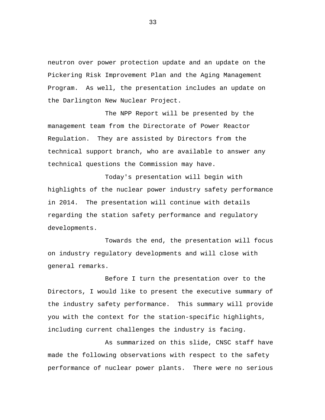neutron over power protection update and an update on the Pickering Risk Improvement Plan and the Aging Management Program. As well, the presentation includes an update on the Darlington New Nuclear Project.

The NPP Report will be presented by the management team from the Directorate of Power Reactor Regulation. They are assisted by Directors from the technical support branch, who are available to answer any technical questions the Commission may have.

Today's presentation will begin with highlights of the nuclear power industry safety performance in 2014. The presentation will continue with details regarding the station safety performance and regulatory developments.

Towards the end, the presentation will focus on industry regulatory developments and will close with general remarks.

Before I turn the presentation over to the Directors, I would like to present the executive summary of the industry safety performance. This summary will provide you with the context for the station-specific highlights, including current challenges the industry is facing.

As summarized on this slide, CNSC staff have made the following observations with respect to the safety performance of nuclear power plants. There were no serious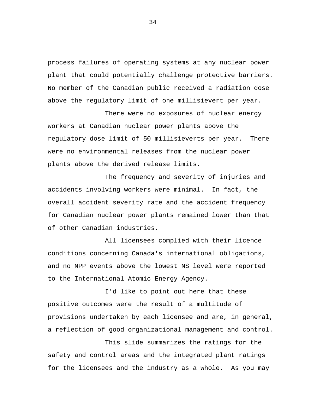process failures of operating systems at any nuclear power plant that could potentially challenge protective barriers. No member of the Canadian public received a radiation dose above the regulatory limit of one millisievert per year.

There were no exposures of nuclear energy workers at Canadian nuclear power plants above the regulatory dose limit of 50 millisieverts per year. There were no environmental releases from the nuclear power plants above the derived release limits.

The frequency and severity of injuries and accidents involving workers were minimal. In fact, the overall accident severity rate and the accident frequency for Canadian nuclear power plants remained lower than that of other Canadian industries.

All licensees complied with their licence conditions concerning Canada's international obligations, and no NPP events above the lowest NS level were reported to the International Atomic Energy Agency.

I'd like to point out here that these positive outcomes were the result of a multitude of provisions undertaken by each licensee and are, in general, a reflection of good organizational management and control.

This slide summarizes the ratings for the safety and control areas and the integrated plant ratings for the licensees and the industry as a whole. As you may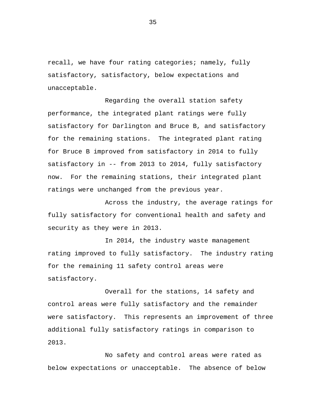recall, we have four rating categories; namely, fully satisfactory, satisfactory, below expectations and unacceptable.

Regarding the overall station safety performance, the integrated plant ratings were fully satisfactory for Darlington and Bruce B, and satisfactory for the remaining stations. The integrated plant rating for Bruce B improved from satisfactory in 2014 to fully satisfactory in -- from 2013 to 2014, fully satisfactory now. For the remaining stations, their integrated plant ratings were unchanged from the previous year.

Across the industry, the average ratings for fully satisfactory for conventional health and safety and security as they were in 2013.

In 2014, the industry waste management rating improved to fully satisfactory. The industry rating for the remaining 11 safety control areas were satisfactory.

Overall for the stations, 14 safety and control areas were fully satisfactory and the remainder were satisfactory. This represents an improvement of three additional fully satisfactory ratings in comparison to 2013.

No safety and control areas were rated as below expectations or unacceptable. The absence of below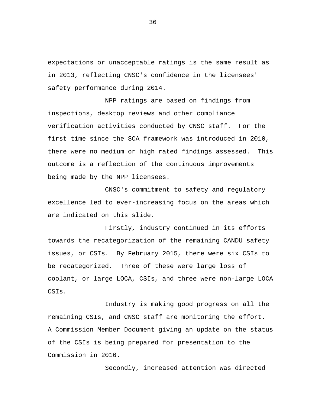expectations or unacceptable ratings is the same result as in 2013, reflecting CNSC's confidence in the licensees' safety performance during 2014.

NPP ratings are based on findings from inspections, desktop reviews and other compliance verification activities conducted by CNSC staff. For the first time since the SCA framework was introduced in 2010, there were no medium or high rated findings assessed. This outcome is a reflection of the continuous improvements being made by the NPP licensees.

CNSC's commitment to safety and regulatory excellence led to ever-increasing focus on the areas which are indicated on this slide.

Firstly, industry continued in its efforts towards the recategorization of the remaining CANDU safety issues, or CSIs. By February 2015, there were six CSIs to be recategorized. Three of these were large loss of coolant, or large LOCA, CSIs, and three were non-large LOCA CSIs.

Industry is making good progress on all the remaining CSIs, and CNSC staff are monitoring the effort. A Commission Member Document giving an update on the status of the CSIs is being prepared for presentation to the Commission in 2016.

Secondly, increased attention was directed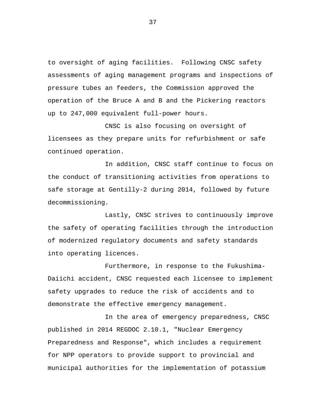to oversight of aging facilities. Following CNSC safety assessments of aging management programs and inspections of pressure tubes an feeders, the Commission approved the operation of the Bruce A and B and the Pickering reactors up to 247,000 equivalent full-power hours.

CNSC is also focusing on oversight of licensees as they prepare units for refurbishment or safe continued operation.

In addition, CNSC staff continue to focus on the conduct of transitioning activities from operations to safe storage at Gentilly-2 during 2014, followed by future decommissioning.

Lastly, CNSC strives to continuously improve the safety of operating facilities through the introduction of modernized regulatory documents and safety standards into operating licences.

Furthermore, in response to the Fukushima-Daiichi accident, CNSC requested each licensee to implement safety upgrades to reduce the risk of accidents and to demonstrate the effective emergency management.

In the area of emergency preparedness, CNSC published in 2014 REGDOC 2.10.1, "Nuclear Emergency Preparedness and Response", which includes a requirement for NPP operators to provide support to provincial and municipal authorities for the implementation of potassium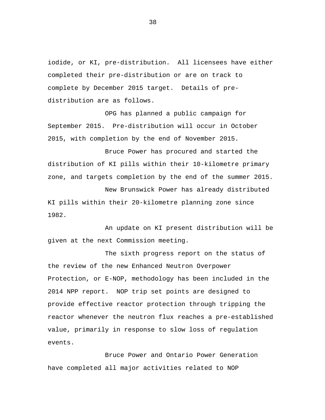iodide, or KI, pre-distribution. All licensees have either completed their pre-distribution or are on track to complete by December 2015 target. Details of predistribution are as follows.

OPG has planned a public campaign for September 2015. Pre-distribution will occur in October 2015, with completion by the end of November 2015.

Bruce Power has procured and started the distribution of KI pills within their 10-kilometre primary zone, and targets completion by the end of the summer 2015.

New Brunswick Power has already distributed KI pills within their 20-kilometre planning zone since 1982.

An update on KI present distribution will be given at the next Commission meeting.

The sixth progress report on the status of the review of the new Enhanced Neutron Overpower Protection, or E-NOP, methodology has been included in the 2014 NPP report. NOP trip set points are designed to provide effective reactor protection through tripping the reactor whenever the neutron flux reaches a pre-established value, primarily in response to slow loss of regulation events.

Bruce Power and Ontario Power Generation have completed all major activities related to NOP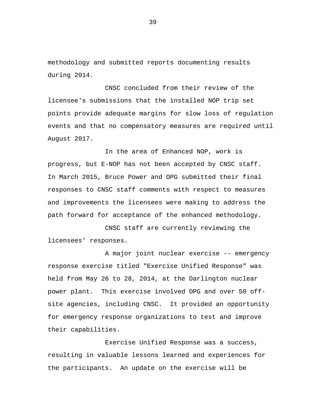methodology and submitted reports documenting results during 2014.

CNSC concluded from their review of the licensee's submissions that the installed NOP trip set points provide adequate margins for slow loss of regulation events and that no compensatory measures are required until August 2017.

In the area of Enhanced NOP, work is progress, but E-NOP has not been accepted by CNSC staff. In March 2015, Bruce Power and OPG submitted their final responses to CNSC staff comments with respect to measures and improvements the licensees were making to address the path forward for acceptance of the enhanced methodology.

CNSC staff are currently reviewing the licensees' responses.

A major joint nuclear exercise -- emergency response exercise titled "Exercise Unified Response" was held from May 26 to 28, 2014, at the Darlington nuclear power plant. This exercise involved OPG and over 50 offsite agencies, including CNSC. It provided an opportunity for emergency response organizations to test and improve their capabilities.

Exercise Unified Response was a success, resulting in valuable lessons learned and experiences for the participants. An update on the exercise will be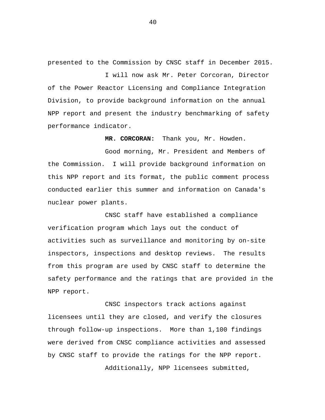presented to the Commission by CNSC staff in December 2015.

I will now ask Mr. Peter Corcoran, Director of the Power Reactor Licensing and Compliance Integration Division, to provide background information on the annual NPP report and present the industry benchmarking of safety performance indicator.

**MR. CORCORAN:** Thank you, Mr. Howden.

Good morning, Mr. President and Members of the Commission. I will provide background information on this NPP report and its format, the public comment process conducted earlier this summer and information on Canada's nuclear power plants.

CNSC staff have established a compliance verification program which lays out the conduct of activities such as surveillance and monitoring by on-site inspectors, inspections and desktop reviews. The results from this program are used by CNSC staff to determine the safety performance and the ratings that are provided in the NPP report.

CNSC inspectors track actions against licensees until they are closed, and verify the closures through follow-up inspections. More than 1,100 findings were derived from CNSC compliance activities and assessed by CNSC staff to provide the ratings for the NPP report.

Additionally, NPP licensees submitted,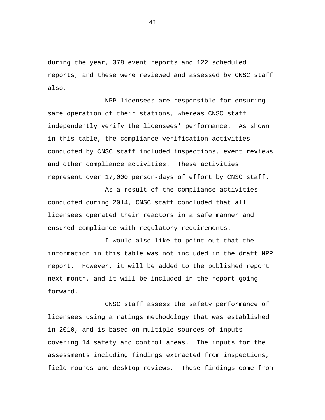during the year, 378 event reports and 122 scheduled reports, and these were reviewed and assessed by CNSC staff also.

NPP licensees are responsible for ensuring safe operation of their stations, whereas CNSC staff independently verify the licensees' performance. As shown in this table, the compliance verification activities conducted by CNSC staff included inspections, event reviews and other compliance activities. These activities represent over 17,000 person-days of effort by CNSC staff.

As a result of the compliance activities conducted during 2014, CNSC staff concluded that all licensees operated their reactors in a safe manner and ensured compliance with regulatory requirements.

I would also like to point out that the information in this table was not included in the draft NPP report. However, it will be added to the published report next month, and it will be included in the report going forward.

CNSC staff assess the safety performance of licensees using a ratings methodology that was established in 2010, and is based on multiple sources of inputs covering 14 safety and control areas. The inputs for the assessments including findings extracted from inspections, field rounds and desktop reviews. These findings come from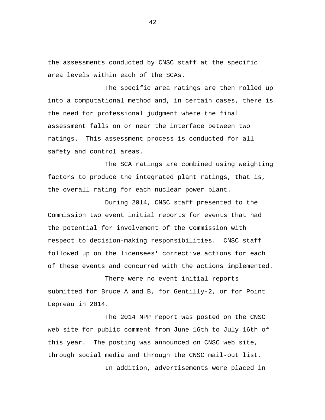the assessments conducted by CNSC staff at the specific area levels within each of the SCAs.

The specific area ratings are then rolled up into a computational method and, in certain cases, there is the need for professional judgment where the final assessment falls on or near the interface between two ratings. This assessment process is conducted for all safety and control areas.

The SCA ratings are combined using weighting factors to produce the integrated plant ratings, that is, the overall rating for each nuclear power plant.

During 2014, CNSC staff presented to the Commission two event initial reports for events that had the potential for involvement of the Commission with respect to decision-making responsibilities. CNSC staff followed up on the licensees' corrective actions for each of these events and concurred with the actions implemented.

There were no event initial reports submitted for Bruce A and B, for Gentilly-2, or for Point Lepreau in 2014.

The 2014 NPP report was posted on the CNSC web site for public comment from June 16th to July 16th of this year. The posting was announced on CNSC web site, through social media and through the CNSC mail-out list.

In addition, advertisements were placed in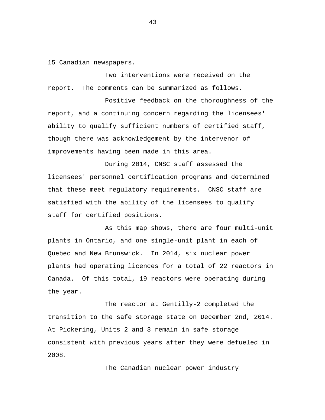15 Canadian newspapers.

Two interventions were received on the report. The comments can be summarized as follows.

Positive feedback on the thoroughness of the report, and a continuing concern regarding the licensees' ability to qualify sufficient numbers of certified staff, though there was acknowledgement by the intervenor of improvements having been made in this area.

During 2014, CNSC staff assessed the licensees' personnel certification programs and determined that these meet regulatory requirements. CNSC staff are satisfied with the ability of the licensees to qualify staff for certified positions.

As this map shows, there are four multi-unit plants in Ontario, and one single-unit plant in each of Quebec and New Brunswick. In 2014, six nuclear power plants had operating licences for a total of 22 reactors in Canada. Of this total, 19 reactors were operating during the year.

The reactor at Gentilly-2 completed the transition to the safe storage state on December 2nd, 2014. At Pickering, Units 2 and 3 remain in safe storage consistent with previous years after they were defueled in 2008.

The Canadian nuclear power industry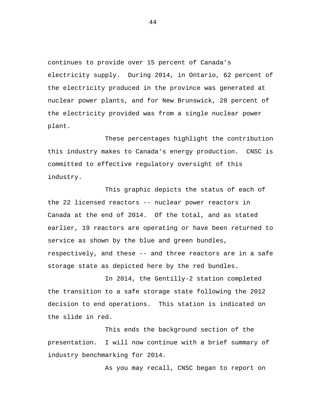continues to provide over 15 percent of Canada's electricity supply. During 2014, in Ontario, 62 percent of the electricity produced in the province was generated at nuclear power plants, and for New Brunswick, 28 percent of the electricity provided was from a single nuclear power plant.

These percentages highlight the contribution this industry makes to Canada's energy production. CNSC is committed to effective regulatory oversight of this industry.

This graphic depicts the status of each of the 22 licensed reactors -- nuclear power reactors in Canada at the end of 2014. Of the total, and as stated earlier, 19 reactors are operating or have been returned to service as shown by the blue and green bundles, respectively, and these -- and three reactors are in a safe storage state as depicted here by the red bundles.

In 2014, the Gentilly-2 station completed the transition to a safe storage state following the 2012 decision to end operations. This station is indicated on the slide in red.

This ends the background section of the presentation. I will now continue with a brief summary of industry benchmarking for 2014.

As you may recall, CNSC began to report on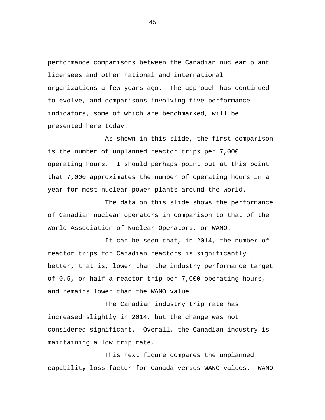performance comparisons between the Canadian nuclear plant licensees and other national and international organizations a few years ago. The approach has continued to evolve, and comparisons involving five performance indicators, some of which are benchmarked, will be presented here today.

As shown in this slide, the first comparison is the number of unplanned reactor trips per 7,000 operating hours. I should perhaps point out at this point that 7,000 approximates the number of operating hours in a year for most nuclear power plants around the world.

The data on this slide shows the performance of Canadian nuclear operators in comparison to that of the World Association of Nuclear Operators, or WANO.

It can be seen that, in 2014, the number of reactor trips for Canadian reactors is significantly better, that is, lower than the industry performance target of 0.5, or half a reactor trip per 7,000 operating hours, and remains lower than the WANO value.

The Canadian industry trip rate has increased slightly in 2014, but the change was not considered significant. Overall, the Canadian industry is maintaining a low trip rate.

This next figure compares the unplanned capability loss factor for Canada versus WANO values. WANO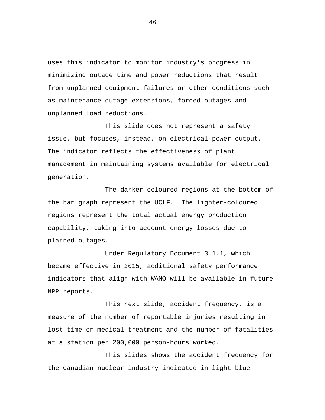uses this indicator to monitor industry's progress in minimizing outage time and power reductions that result from unplanned equipment failures or other conditions such as maintenance outage extensions, forced outages and unplanned load reductions.

This slide does not represent a safety issue, but focuses, instead, on electrical power output. The indicator reflects the effectiveness of plant management in maintaining systems available for electrical generation.

The darker-coloured regions at the bottom of the bar graph represent the UCLF. The lighter-coloured regions represent the total actual energy production capability, taking into account energy losses due to planned outages.

Under Regulatory Document 3.1.1, which became effective in 2015, additional safety performance indicators that align with WANO will be available in future NPP reports.

This next slide, accident frequency, is a measure of the number of reportable injuries resulting in lost time or medical treatment and the number of fatalities at a station per 200,000 person-hours worked.

This slides shows the accident frequency for the Canadian nuclear industry indicated in light blue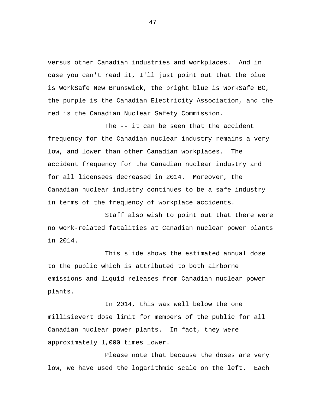versus other Canadian industries and workplaces. And in case you can't read it, I'll just point out that the blue is WorkSafe New Brunswick, the bright blue is WorkSafe BC, the purple is the Canadian Electricity Association, and the red is the Canadian Nuclear Safety Commission.

The -- it can be seen that the accident frequency for the Canadian nuclear industry remains a very low, and lower than other Canadian workplaces. The accident frequency for the Canadian nuclear industry and for all licensees decreased in 2014. Moreover, the Canadian nuclear industry continues to be a safe industry in terms of the frequency of workplace accidents.

Staff also wish to point out that there were no work-related fatalities at Canadian nuclear power plants in 2014.

This slide shows the estimated annual dose to the public which is attributed to both airborne emissions and liquid releases from Canadian nuclear power plants.

In 2014, this was well below the one millisievert dose limit for members of the public for all Canadian nuclear power plants. In fact, they were approximately 1,000 times lower.

Please note that because the doses are very low, we have used the logarithmic scale on the left. Each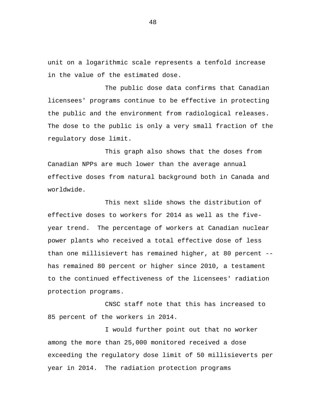unit on a logarithmic scale represents a tenfold increase in the value of the estimated dose.

The public dose data confirms that Canadian licensees' programs continue to be effective in protecting the public and the environment from radiological releases. The dose to the public is only a very small fraction of the regulatory dose limit.

This graph also shows that the doses from Canadian NPPs are much lower than the average annual effective doses from natural background both in Canada and worldwide.

This next slide shows the distribution of effective doses to workers for 2014 as well as the fiveyear trend. The percentage of workers at Canadian nuclear power plants who received a total effective dose of less than one millisievert has remained higher, at 80 percent - has remained 80 percent or higher since 2010, a testament to the continued effectiveness of the licensees' radiation protection programs.

CNSC staff note that this has increased to 85 percent of the workers in 2014.

I would further point out that no worker among the more than 25,000 monitored received a dose exceeding the regulatory dose limit of 50 millisieverts per year in 2014. The radiation protection programs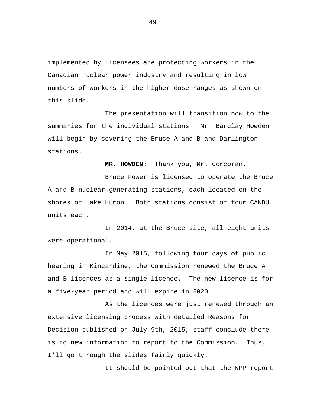implemented by licensees are protecting workers in the Canadian nuclear power industry and resulting in low numbers of workers in the higher dose ranges as shown on this slide.

The presentation will transition now to the summaries for the individual stations. Mr. Barclay Howden will begin by covering the Bruce A and B and Darlington stations.

**MR. HOWDEN:** Thank you, Mr. Corcoran.

Bruce Power is licensed to operate the Bruce A and B nuclear generating stations, each located on the shores of Lake Huron. Both stations consist of four CANDU units each.

In 2014, at the Bruce site, all eight units were operational.

In May 2015, following four days of public hearing in Kincardine, the Commission renewed the Bruce A and B licences as a single licence. The new licence is for a five-year period and will expire in 2020.

As the licences were just renewed through an extensive licensing process with detailed Reasons for Decision published on July 9th, 2015, staff conclude there is no new information to report to the Commission. Thus, I'll go through the slides fairly quickly.

It should be pointed out that the NPP report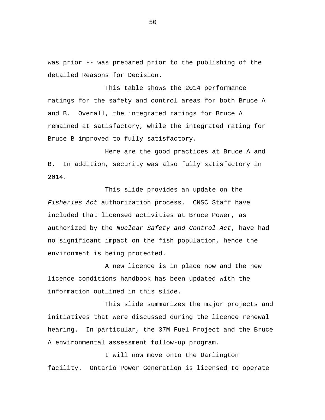was prior -- was prepared prior to the publishing of the detailed Reasons for Decision.

This table shows the 2014 performance ratings for the safety and control areas for both Bruce A and B. Overall, the integrated ratings for Bruce A remained at satisfactory, while the integrated rating for Bruce B improved to fully satisfactory.

Here are the good practices at Bruce A and B. In addition, security was also fully satisfactory in 2014.

This slide provides an update on the *Fisheries Act* authorization process. CNSC Staff have included that licensed activities at Bruce Power, as authorized by the *Nuclear Safety and Control Act*, have had no significant impact on the fish population, hence the environment is being protected.

A new licence is in place now and the new licence conditions handbook has been updated with the information outlined in this slide.

This slide summarizes the major projects and initiatives that were discussed during the licence renewal hearing. In particular, the 37M Fuel Project and the Bruce A environmental assessment follow-up program.

I will now move onto the Darlington facility. Ontario Power Generation is licensed to operate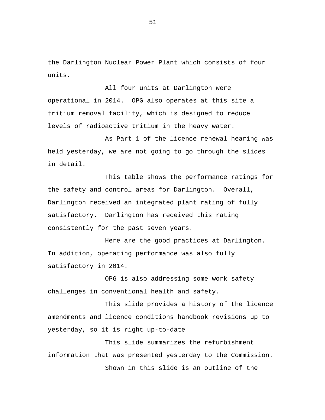the Darlington Nuclear Power Plant which consists of four units.

All four units at Darlington were operational in 2014. OPG also operates at this site a tritium removal facility, which is designed to reduce levels of radioactive tritium in the heavy water.

As Part 1 of the licence renewal hearing was held yesterday, we are not going to go through the slides in detail.

This table shows the performance ratings for the safety and control areas for Darlington. Overall, Darlington received an integrated plant rating of fully satisfactory. Darlington has received this rating consistently for the past seven years.

Here are the good practices at Darlington. In addition, operating performance was also fully satisfactory in 2014.

OPG is also addressing some work safety challenges in conventional health and safety.

This slide provides a history of the licence amendments and licence conditions handbook revisions up to yesterday, so it is right up-to-date

This slide summarizes the refurbishment information that was presented yesterday to the Commission. Shown in this slide is an outline of the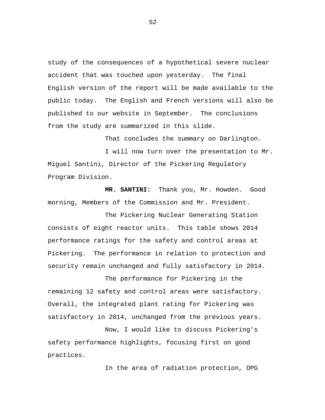study of the consequences of a hypothetical severe nuclear accident that was touched upon yesterday. The final English version of the report will be made available to the public today. The English and French versions will also be published to our website in September. The conclusions from the study are summarized in this slide.

That concludes the summary on Darlington.

I will now turn over the presentation to Mr. Miguel Santini, Director of the Pickering Regulatory Program Division.

 **MR. SANTINI:** Thank you, Mr. Howden. Good morning, Members of the Commission and Mr. President.

The Pickering Nuclear Generating Station consists of eight reactor units. This table shows 2014 performance ratings for the safety and control areas at Pickering. The performance in relation to protection and security remain unchanged and fully satisfactory in 2014.

The performance for Pickering in the remaining 12 safety and control areas were satisfactory. Overall, the integrated plant rating for Pickering was satisfactory in 2014, unchanged from the previous years.

Now, I would like to discuss Pickering's safety performance highlights, focusing first on good practices.

In the area of radiation protection, OPG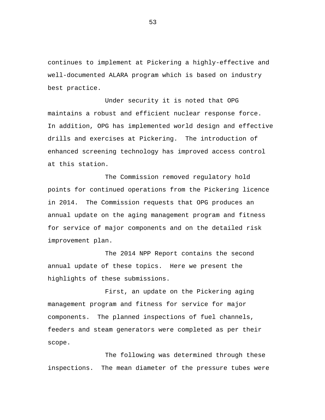continues to implement at Pickering a highly-effective and well-documented ALARA program which is based on industry best practice.

Under security it is noted that OPG maintains a robust and efficient nuclear response force. In addition, OPG has implemented world design and effective drills and exercises at Pickering. The introduction of enhanced screening technology has improved access control at this station.

The Commission removed regulatory hold points for continued operations from the Pickering licence in 2014. The Commission requests that OPG produces an annual update on the aging management program and fitness for service of major components and on the detailed risk improvement plan.

The 2014 NPP Report contains the second annual update of these topics. Here we present the highlights of these submissions.

First, an update on the Pickering aging management program and fitness for service for major components. The planned inspections of fuel channels, feeders and steam generators were completed as per their scope.

The following was determined through these inspections. The mean diameter of the pressure tubes were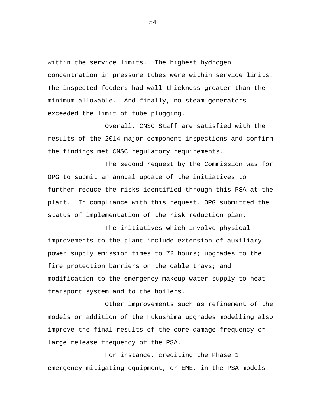within the service limits. The highest hydrogen concentration in pressure tubes were within service limits. The inspected feeders had wall thickness greater than the minimum allowable. And finally, no steam generators exceeded the limit of tube plugging.

Overall, CNSC Staff are satisfied with the results of the 2014 major component inspections and confirm the findings met CNSC regulatory requirements.

The second request by the Commission was for OPG to submit an annual update of the initiatives to further reduce the risks identified through this PSA at the plant. In compliance with this request, OPG submitted the status of implementation of the risk reduction plan.

The initiatives which involve physical improvements to the plant include extension of auxiliary power supply emission times to 72 hours; upgrades to the fire protection barriers on the cable trays; and modification to the emergency makeup water supply to heat transport system and to the boilers.

Other improvements such as refinement of the models or addition of the Fukushima upgrades modelling also improve the final results of the core damage frequency or large release frequency of the PSA.

For instance, crediting the Phase 1 emergency mitigating equipment, or EME, in the PSA models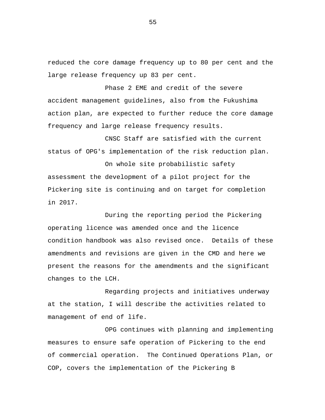reduced the core damage frequency up to 80 per cent and the large release frequency up 83 per cent.

Phase 2 EME and credit of the severe accident management guidelines, also from the Fukushima action plan, are expected to further reduce the core damage frequency and large release frequency results.

CNSC Staff are satisfied with the current status of OPG's implementation of the risk reduction plan.

On whole site probabilistic safety assessment the development of a pilot project for the Pickering site is continuing and on target for completion in 2017.

During the reporting period the Pickering operating licence was amended once and the licence condition handbook was also revised once. Details of these amendments and revisions are given in the CMD and here we present the reasons for the amendments and the significant changes to the LCH.

Regarding projects and initiatives underway at the station, I will describe the activities related to management of end of life.

OPG continues with planning and implementing measures to ensure safe operation of Pickering to the end of commercial operation. The Continued Operations Plan, or COP, covers the implementation of the Pickering B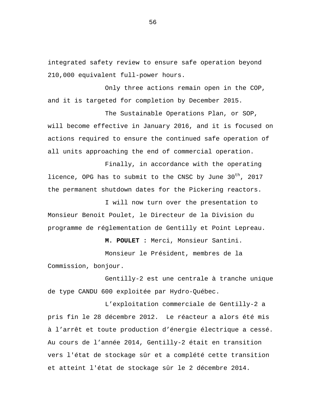integrated safety review to ensure safe operation beyond 210,000 equivalent full-power hours.

Only three actions remain open in the COP, and it is targeted for completion by December 2015.

The Sustainable Operations Plan, or SOP, will become effective in January 2016, and it is focused on actions required to ensure the continued safe operation of all units approaching the end of commercial operation.

Finally, in accordance with the operating licence, OPG has to submit to the CNSC by June 30<sup>th</sup>, 2017 the permanent shutdown dates for the Pickering reactors.

I will now turn over the presentation to Monsieur Benoit Poulet, le Directeur de la Division du programme de réglementation de Gentilly et Point Lepreau.

**M. POULET :** Merci, Monsieur Santini.

Monsieur le Président, membres de la Commission, bonjour.

Gentilly-2 est une centrale à tranche unique de type CANDU 600 exploitée par Hydro-Québec.

L'exploitation commerciale de Gentilly-2 a pris fin le 28 décembre 2012. Le réacteur a alors été mis à l'arrêt et toute production d'énergie électrique a cessé. Au cours de l'année 2014, Gentilly-2 était en transition vers l'état de stockage sûr et a complété cette transition et atteint l'état de stockage sûr le 2 décembre 2014.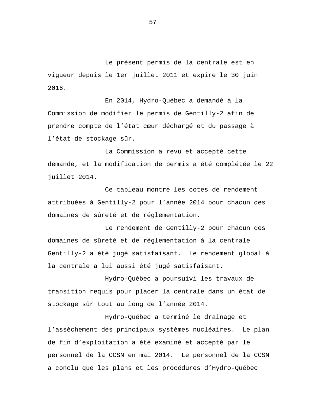Le présent permis de la centrale est en vigueur depuis le 1er juillet 2011 et expire le 30 juin 2016.

En 2014, Hydro-Québec a demandé à la Commission de modifier le permis de Gentilly-2 afin de prendre compte de l'état cœur déchargé et du passage à l'état de stockage sûr.

La Commission a revu et accepté cette demande, et la modification de permis a été complétée le 22 juillet 2014.

Ce tableau montre les cotes de rendement attribuées à Gentilly-2 pour l'année 2014 pour chacun des domaines de sûreté et de réglementation.

Le rendement de Gentilly-2 pour chacun des domaines de sûreté et de réglementation à la centrale Gentilly-2 a été jugé satisfaisant. Le rendement global à la centrale a lui aussi été jugé satisfaisant.

Hydro-Québec a poursuivi les travaux de transition requis pour placer la centrale dans un état de stockage sûr tout au long de l'année 2014.

Hydro-Québec a terminé le drainage et l'assèchement des principaux systèmes nucléaires. Le plan de fin d'exploitation a été examiné et accepté par le personnel de la CCSN en mai 2014. Le personnel de la CCSN a conclu que les plans et les procédures d'Hydro-Québec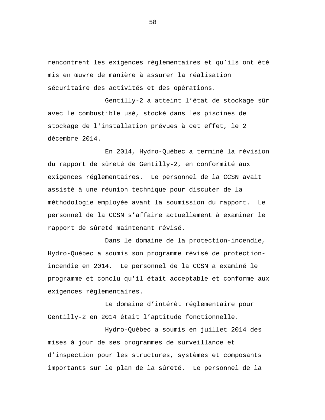rencontrent les exigences réglementaires et qu'ils ont été mis en œuvre de manière à assurer la réalisation sécuritaire des activités et des opérations.

Gentilly-2 a atteint l'état de stockage sûr avec le combustible usé, stocké dans les piscines de stockage de l'installation prévues à cet effet, le 2 décembre 2014.

En 2014, Hydro-Québec a terminé la révision du rapport de sûreté de Gentilly-2, en conformité aux exigences réglementaires. Le personnel de la CCSN avait assisté à une réunion technique pour discuter de la méthodologie employée avant la soumission du rapport. Le personnel de la CCSN s'affaire actuellement à examiner le rapport de sûreté maintenant révisé.

Dans le domaine de la protection-incendie, Hydro-Québec a soumis son programme révisé de protectionincendie en 2014. Le personnel de la CCSN a examiné le programme et conclu qu'il était acceptable et conforme aux exigences réglementaires.

Le domaine d'intérêt réglementaire pour Gentilly-2 en 2014 était l'aptitude fonctionnelle.

Hydro-Québec a soumis en juillet 2014 des mises à jour de ses programmes de surveillance et d'inspection pour les structures, systèmes et composants importants sur le plan de la sûreté. Le personnel de la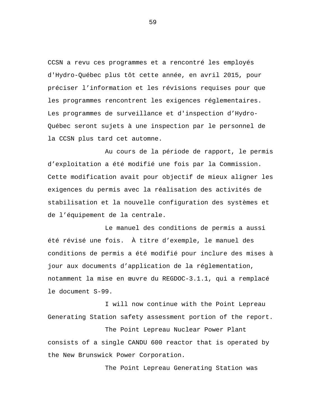CCSN a revu ces programmes et a rencontré les employés d'Hydro-Québec plus tôt cette année, en avril 2015, pour préciser l'information et les révisions requises pour que les programmes rencontrent les exigences réglementaires. Les programmes de surveillance et d'inspection d'Hydro-Québec seront sujets à une inspection par le personnel de la CCSN plus tard cet automne.

Au cours de la période de rapport, le permis d'exploitation a été modifié une fois par la Commission. Cette modification avait pour objectif de mieux aligner les exigences du permis avec la réalisation des activités de stabilisation et la nouvelle configuration des systèmes et de l'équipement de la centrale.

Le manuel des conditions de permis a aussi été révisé une fois. À titre d'exemple, le manuel des conditions de permis a été modifié pour inclure des mises à jour aux documents d'application de la réglementation, notamment la mise en œuvre du REGDOC-3.1.1, qui a remplacé le document S-99.

I will now continue with the Point Lepreau Generating Station safety assessment portion of the report.

The Point Lepreau Nuclear Power Plant consists of a single CANDU 600 reactor that is operated by the New Brunswick Power Corporation.

The Point Lepreau Generating Station was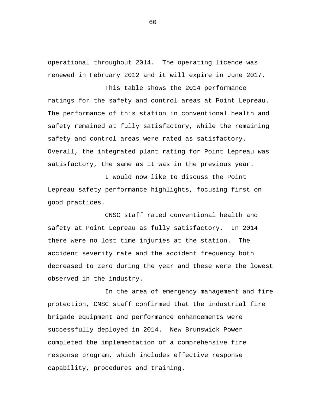operational throughout 2014. The operating licence was renewed in February 2012 and it will expire in June 2017.

This table shows the 2014 performance ratings for the safety and control areas at Point Lepreau. The performance of this station in conventional health and safety remained at fully satisfactory, while the remaining safety and control areas were rated as satisfactory. Overall, the integrated plant rating for Point Lepreau was satisfactory, the same as it was in the previous year.

I would now like to discuss the Point Lepreau safety performance highlights, focusing first on good practices.

CNSC staff rated conventional health and safety at Point Lepreau as fully satisfactory. In 2014 there were no lost time injuries at the station. The accident severity rate and the accident frequency both decreased to zero during the year and these were the lowest observed in the industry.

In the area of emergency management and fire protection, CNSC staff confirmed that the industrial fire brigade equipment and performance enhancements were successfully deployed in 2014. New Brunswick Power completed the implementation of a comprehensive fire response program, which includes effective response capability, procedures and training.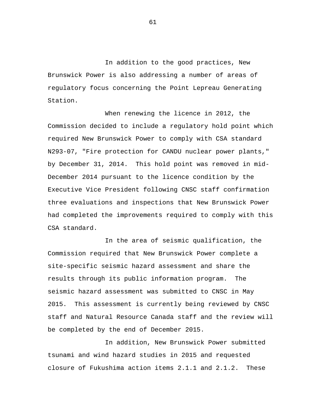In addition to the good practices, New Brunswick Power is also addressing a number of areas of regulatory focus concerning the Point Lepreau Generating Station.

When renewing the licence in 2012, the Commission decided to include a regulatory hold point which required New Brunswick Power to comply with CSA standard N293-07, "Fire protection for CANDU nuclear power plants," by December 31, 2014. This hold point was removed in mid-December 2014 pursuant to the licence condition by the Executive Vice President following CNSC staff confirmation three evaluations and inspections that New Brunswick Power had completed the improvements required to comply with this CSA standard.

In the area of seismic qualification, the Commission required that New Brunswick Power complete a site-specific seismic hazard assessment and share the results through its public information program. The seismic hazard assessment was submitted to CNSC in May 2015. This assessment is currently being reviewed by CNSC staff and Natural Resource Canada staff and the review will be completed by the end of December 2015.

In addition, New Brunswick Power submitted tsunami and wind hazard studies in 2015 and requested closure of Fukushima action items 2.1.1 and 2.1.2. These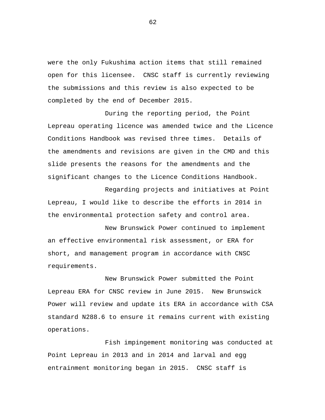were the only Fukushima action items that still remained open for this licensee. CNSC staff is currently reviewing the submissions and this review is also expected to be completed by the end of December 2015.

During the reporting period, the Point Lepreau operating licence was amended twice and the Licence Conditions Handbook was revised three times. Details of the amendments and revisions are given in the CMD and this slide presents the reasons for the amendments and the significant changes to the Licence Conditions Handbook.

Regarding projects and initiatives at Point Lepreau, I would like to describe the efforts in 2014 in the environmental protection safety and control area.

New Brunswick Power continued to implement an effective environmental risk assessment, or ERA for short, and management program in accordance with CNSC requirements.

New Brunswick Power submitted the Point Lepreau ERA for CNSC review in June 2015. New Brunswick Power will review and update its ERA in accordance with CSA standard N288.6 to ensure it remains current with existing operations.

Fish impingement monitoring was conducted at Point Lepreau in 2013 and in 2014 and larval and egg entrainment monitoring began in 2015. CNSC staff is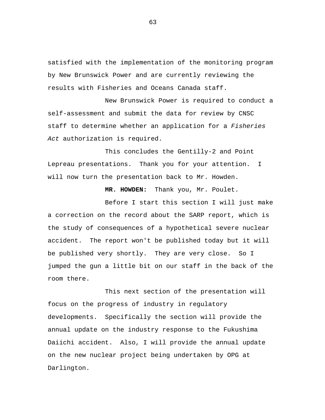satisfied with the implementation of the monitoring program by New Brunswick Power and are currently reviewing the results with Fisheries and Oceans Canada staff.

New Brunswick Power is required to conduct a self-assessment and submit the data for review by CNSC staff to determine whether an application for a *Fisheries Act* authorization is required.

This concludes the Gentilly-2 and Point Lepreau presentations. Thank you for your attention. I will now turn the presentation back to Mr. Howden.

 **MR. HOWDEN:** Thank you, Mr. Poulet.

Before I start this section I will just make a correction on the record about the SARP report, which is the study of consequences of a hypothetical severe nuclear accident. The report won't be published today but it will be published very shortly. They are very close. So I jumped the gun a little bit on our staff in the back of the room there.

This next section of the presentation will focus on the progress of industry in regulatory developments. Specifically the section will provide the annual update on the industry response to the Fukushima Daiichi accident. Also, I will provide the annual update on the new nuclear project being undertaken by OPG at Darlington.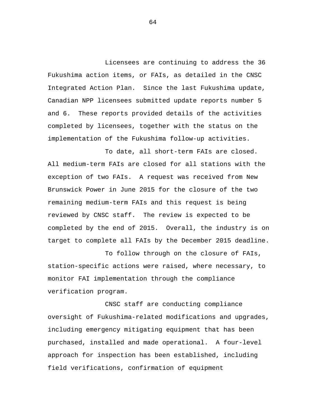Licensees are continuing to address the 36 Fukushima action items, or FAIs, as detailed in the CNSC Integrated Action Plan. Since the last Fukushima update, Canadian NPP licensees submitted update reports number 5 and 6. These reports provided details of the activities completed by licensees, together with the status on the implementation of the Fukushima follow-up activities.

To date, all short-term FAIs are closed. All medium-term FAIs are closed for all stations with the exception of two FAIs. A request was received from New Brunswick Power in June 2015 for the closure of the two remaining medium-term FAIs and this request is being reviewed by CNSC staff. The review is expected to be completed by the end of 2015. Overall, the industry is on target to complete all FAIs by the December 2015 deadline.

To follow through on the closure of FAIs, station-specific actions were raised, where necessary, to monitor FAI implementation through the compliance verification program.

CNSC staff are conducting compliance oversight of Fukushima-related modifications and upgrades, including emergency mitigating equipment that has been purchased, installed and made operational. A four-level approach for inspection has been established, including field verifications, confirmation of equipment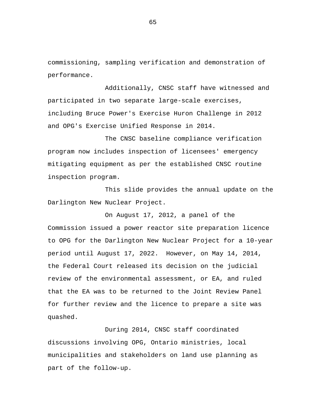commissioning, sampling verification and demonstration of performance.

Additionally, CNSC staff have witnessed and participated in two separate large-scale exercises, including Bruce Power's Exercise Huron Challenge in 2012 and OPG's Exercise Unified Response in 2014.

The CNSC baseline compliance verification program now includes inspection of licensees' emergency mitigating equipment as per the established CNSC routine inspection program.

This slide provides the annual update on the Darlington New Nuclear Project.

On August 17, 2012, a panel of the Commission issued a power reactor site preparation licence to OPG for the Darlington New Nuclear Project for a 10-year period until August 17, 2022. However, on May 14, 2014, the Federal Court released its decision on the judicial review of the environmental assessment, or EA, and ruled that the EA was to be returned to the Joint Review Panel for further review and the licence to prepare a site was quashed.

During 2014, CNSC staff coordinated discussions involving OPG, Ontario ministries, local municipalities and stakeholders on land use planning as part of the follow-up.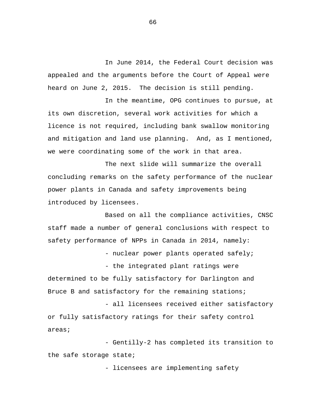In June 2014, the Federal Court decision was appealed and the arguments before the Court of Appeal were heard on June 2, 2015. The decision is still pending.

In the meantime, OPG continues to pursue, at its own discretion, several work activities for which a licence is not required, including bank swallow monitoring and mitigation and land use planning. And, as I mentioned, we were coordinating some of the work in that area.

The next slide will summarize the overall concluding remarks on the safety performance of the nuclear power plants in Canada and safety improvements being introduced by licensees.

Based on all the compliance activities, CNSC staff made a number of general conclusions with respect to safety performance of NPPs in Canada in 2014, namely:

- nuclear power plants operated safely;

- the integrated plant ratings were determined to be fully satisfactory for Darlington and Bruce B and satisfactory for the remaining stations;

- all licensees received either satisfactory or fully satisfactory ratings for their safety control areas;

- Gentilly-2 has completed its transition to the safe storage state;

- licensees are implementing safety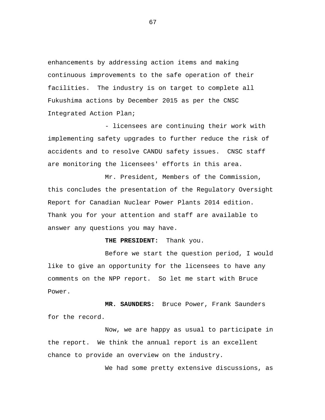enhancements by addressing action items and making continuous improvements to the safe operation of their facilities. The industry is on target to complete all Fukushima actions by December 2015 as per the CNSC Integrated Action Plan;

- licensees are continuing their work with implementing safety upgrades to further reduce the risk of accidents and to resolve CANDU safety issues. CNSC staff are monitoring the licensees' efforts in this area.

Mr. President, Members of the Commission, this concludes the presentation of the Regulatory Oversight Report for Canadian Nuclear Power Plants 2014 edition. Thank you for your attention and staff are available to answer any questions you may have.

 **THE PRESIDENT:** Thank you.

Before we start the question period, I would like to give an opportunity for the licensees to have any comments on the NPP report. So let me start with Bruce Power.

 **MR. SAUNDERS:** Bruce Power, Frank Saunders for the record.

Now, we are happy as usual to participate in the report. We think the annual report is an excellent chance to provide an overview on the industry.

We had some pretty extensive discussions, as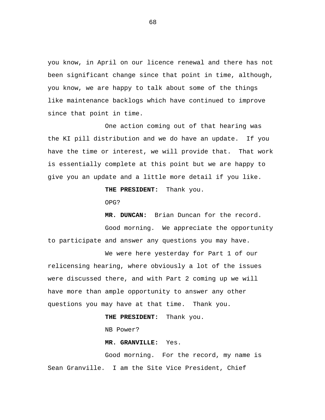you know, in April on our licence renewal and there has not been significant change since that point in time, although, you know, we are happy to talk about some of the things like maintenance backlogs which have continued to improve since that point in time.

One action coming out of that hearing was the KI pill distribution and we do have an update. If you have the time or interest, we will provide that. That work is essentially complete at this point but we are happy to give you an update and a little more detail if you like.

 **THE PRESIDENT:** Thank you.

OPG?

 **MR. DUNCAN:** Brian Duncan for the record. Good morning. We appreciate the opportunity to participate and answer any questions you may have.

We were here yesterday for Part 1 of our relicensing hearing, where obviously a lot of the issues were discussed there, and with Part 2 coming up we will have more than ample opportunity to answer any other questions you may have at that time. Thank you.

## **THE PRESIDENT:** Thank you.

NB Power?

 **MR. GRANVILLE:** Yes.

Good morning. For the record, my name is Sean Granville. I am the Site Vice President, Chief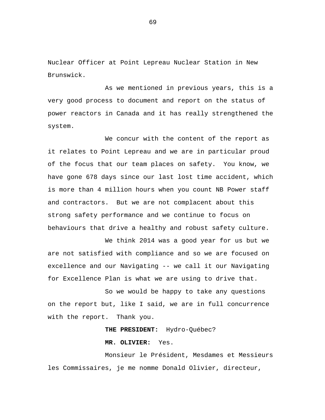Nuclear Officer at Point Lepreau Nuclear Station in New Brunswick.

As we mentioned in previous years, this is a very good process to document and report on the status of power reactors in Canada and it has really strengthened the system.

We concur with the content of the report as it relates to Point Lepreau and we are in particular proud of the focus that our team places on safety. You know, we have gone 678 days since our last lost time accident, which is more than 4 million hours when you count NB Power staff and contractors. But we are not complacent about this strong safety performance and we continue to focus on behaviours that drive a healthy and robust safety culture.

We think 2014 was a good year for us but we are not satisfied with compliance and so we are focused on excellence and our Navigating -- we call it our Navigating for Excellence Plan is what we are using to drive that.

So we would be happy to take any questions on the report but, like I said, we are in full concurrence with the report. Thank you.

 **THE PRESIDENT:** Hydro-Québec?

**MR. OLIVIER:** Yes.

Monsieur le Président, Mesdames et Messieurs les Commissaires, je me nomme Donald Olivier, directeur,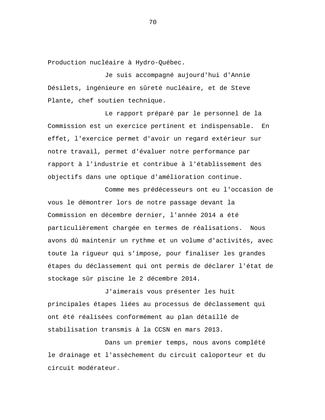Production nucléaire à Hydro-Québec.

Je suis accompagné aujourd'hui d'Annie Désilets, ingénieure en sûreté nucléaire, et de Steve Plante, chef soutien technique.

Le rapport préparé par le personnel de la Commission est un exercice pertinent et indispensable. En effet, l'exercice permet d'avoir un regard extérieur sur notre travail, permet d'évaluer notre performance par rapport à l'industrie et contribue à l'établissement des objectifs dans une optique d'amélioration continue.

Comme mes prédécesseurs ont eu l'occasion de vous le démontrer lors de notre passage devant la Commission en décembre dernier, l'année 2014 a été particulièrement chargée en termes de réalisations. Nous avons dû maintenir un rythme et un volume d'activités, avec toute la rigueur qui s'impose, pour finaliser les grandes étapes du déclassement qui ont permis de déclarer l'état de stockage sûr piscine le 2 décembre 2014.

J'aimerais vous présenter les huit principales étapes liées au processus de déclassement qui ont été réalisées conformément au plan détaillé de stabilisation transmis à la CCSN en mars 2013.

Dans un premier temps, nous avons complété le drainage et l'assèchement du circuit caloporteur et du circuit modérateur.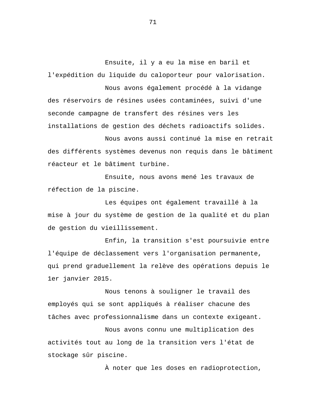Ensuite, il y a eu la mise en baril et l'expédition du liquide du caloporteur pour valorisation.

Nous avons également procédé à la vidange des réservoirs de résines usées contaminées, suivi d'une seconde campagne de transfert des résines vers les installations de gestion des déchets radioactifs solides.

Nous avons aussi continué la mise en retrait des différents systèmes devenus non requis dans le bâtiment réacteur et le bâtiment turbine.

Ensuite, nous avons mené les travaux de réfection de la piscine.

Les équipes ont également travaillé à la mise à jour du système de gestion de la qualité et du plan de gestion du vieillissement.

Enfin, la transition s'est poursuivie entre l'équipe de déclassement vers l'organisation permanente, qui prend graduellement la relève des opérations depuis le 1er janvier 2015.

Nous tenons à souligner le travail des employés qui se sont appliqués à réaliser chacune des tâches avec professionnalisme dans un contexte exigeant.

Nous avons connu une multiplication des activités tout au long de la transition vers l'état de stockage sûr piscine.

À noter que les doses en radioprotection,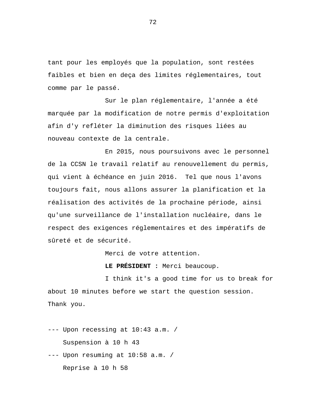tant pour les employés que la population, sont restées faibles et bien en deça des limites réglementaires, tout comme par le passé.

Sur le plan réglementaire, l'année a été marquée par la modification de notre permis d'exploitation afin d'y refléter la diminution des risques liées au nouveau contexte de la centrale.

En 2015, nous poursuivons avec le personnel de la CCSN le travail relatif au renouvellement du permis, qui vient à échéance en juin 2016. Tel que nous l'avons toujours fait, nous allons assurer la planification et la réalisation des activités de la prochaine période, ainsi qu'une surveillance de l'installation nucléaire, dans le respect des exigences réglementaires et des impératifs de sûreté et de sécurité.

Merci de votre attention.

**LE PRÉSIDENT :** Merci beaucoup.

I think it's a good time for us to break for about 10 minutes before we start the question session. Thank you.

--- Upon recessing at 10:43 a.m. / Suspension à 10 h 43 --- Upon resuming at 10:58 a.m. /

Reprise à 10 h 58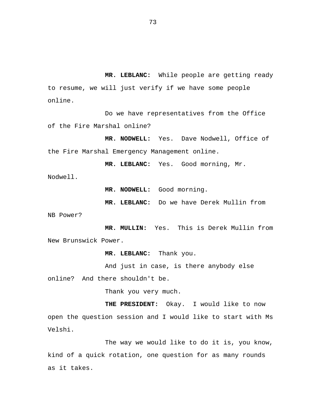**MR. LEBLANC:** While people are getting ready to resume, we will just verify if we have some people online.

Do we have representatives from the Office of the Fire Marshal online?

 **MR. NODWELL:** Yes. Dave Nodwell, Office of the Fire Marshal Emergency Management online.

 **MR. LEBLANC:** Yes. Good morning, Mr. Nodwell.

**MR. NODWELL:** Good morning.

**MR. LEBLANC:** Do we have Derek Mullin from

NB Power?

 **MR. MULLIN:** Yes. This is Derek Mullin from New Brunswick Power.

 **MR. LEBLANC:** Thank you.

And just in case, is there anybody else online? And there shouldn't be.

Thank you very much.

 **THE PRESIDENT:** Okay. I would like to now open the question session and I would like to start with Ms Velshi.

The way we would like to do it is, you know, kind of a quick rotation, one question for as many rounds as it takes.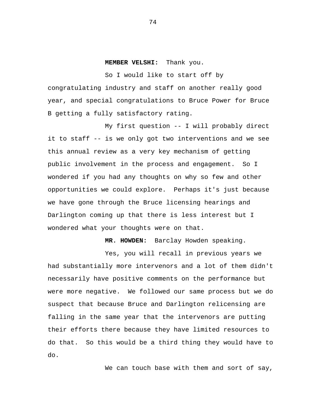**MEMBER VELSHI:** Thank you.

So I would like to start off by congratulating industry and staff on another really good year, and special congratulations to Bruce Power for Bruce B getting a fully satisfactory rating.

My first question -- I will probably direct it to staff -- is we only got two interventions and we see this annual review as a very key mechanism of getting public involvement in the process and engagement. So I wondered if you had any thoughts on why so few and other opportunities we could explore. Perhaps it's just because we have gone through the Bruce licensing hearings and Darlington coming up that there is less interest but I wondered what your thoughts were on that.

 **MR. HOWDEN:** Barclay Howden speaking.

Yes, you will recall in previous years we had substantially more intervenors and a lot of them didn't necessarily have positive comments on the performance but were more negative. We followed our same process but we do suspect that because Bruce and Darlington relicensing are falling in the same year that the intervenors are putting their efforts there because they have limited resources to do that. So this would be a third thing they would have to do.

We can touch base with them and sort of say,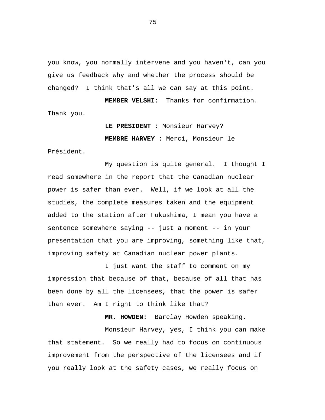you know, you normally intervene and you haven't, can you give us feedback why and whether the process should be changed? I think that's all we can say at this point.

 **MEMBER VELSHI:** Thanks for confirmation. Thank you.

> **LE PRÉSIDENT :** Monsieur Harvey? **MEMBRE HARVEY :** Merci, Monsieur le

Président.

My question is quite general. I thought I read somewhere in the report that the Canadian nuclear power is safer than ever. Well, if we look at all the studies, the complete measures taken and the equipment added to the station after Fukushima, I mean you have a sentence somewhere saying -- just a moment -- in your presentation that you are improving, something like that, improving safety at Canadian nuclear power plants.

I just want the staff to comment on my impression that because of that, because of all that has been done by all the licensees, that the power is safer than ever. Am I right to think like that?

 **MR. HOWDEN:** Barclay Howden speaking.

Monsieur Harvey, yes, I think you can make that statement. So we really had to focus on continuous improvement from the perspective of the licensees and if you really look at the safety cases, we really focus on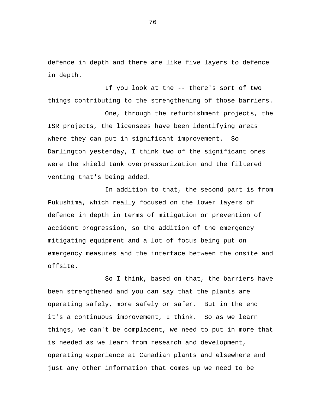defence in depth and there are like five layers to defence in depth.

If you look at the -- there's sort of two things contributing to the strengthening of those barriers.

One, through the refurbishment projects, the ISR projects, the licensees have been identifying areas where they can put in significant improvement. So Darlington yesterday, I think two of the significant ones were the shield tank overpressurization and the filtered venting that's being added.

In addition to that, the second part is from Fukushima, which really focused on the lower layers of defence in depth in terms of mitigation or prevention of accident progression, so the addition of the emergency mitigating equipment and a lot of focus being put on emergency measures and the interface between the onsite and offsite.

So I think, based on that, the barriers have been strengthened and you can say that the plants are operating safely, more safely or safer. But in the end it's a continuous improvement, I think. So as we learn things, we can't be complacent, we need to put in more that is needed as we learn from research and development, operating experience at Canadian plants and elsewhere and just any other information that comes up we need to be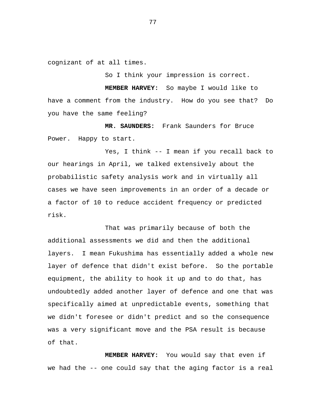cognizant of at all times.

So I think your impression is correct.

 **MEMBER HARVEY:** So maybe I would like to have a comment from the industry. How do you see that? Do you have the same feeling?

 **MR. SAUNDERS:** Frank Saunders for Bruce Power. Happy to start.

Yes, I think -- I mean if you recall back to our hearings in April, we talked extensively about the probabilistic safety analysis work and in virtually all cases we have seen improvements in an order of a decade or a factor of 10 to reduce accident frequency or predicted risk.

That was primarily because of both the additional assessments we did and then the additional layers. I mean Fukushima has essentially added a whole new layer of defence that didn't exist before. So the portable equipment, the ability to hook it up and to do that, has undoubtedly added another layer of defence and one that was specifically aimed at unpredictable events, something that we didn't foresee or didn't predict and so the consequence was a very significant move and the PSA result is because of that.

 **MEMBER HARVEY:** You would say that even if we had the -- one could say that the aging factor is a real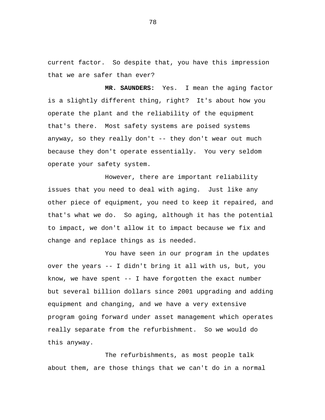current factor. So despite that, you have this impression that we are safer than ever?

 **MR. SAUNDERS:** Yes. I mean the aging factor is a slightly different thing, right? It's about how you operate the plant and the reliability of the equipment that's there. Most safety systems are poised systems anyway, so they really don't -- they don't wear out much because they don't operate essentially. You very seldom operate your safety system.

However, there are important reliability issues that you need to deal with aging. Just like any other piece of equipment, you need to keep it repaired, and that's what we do. So aging, although it has the potential to impact, we don't allow it to impact because we fix and change and replace things as is needed.

You have seen in our program in the updates over the years -- I didn't bring it all with us, but, you know, we have spent -- I have forgotten the exact number but several billion dollars since 2001 upgrading and adding equipment and changing, and we have a very extensive program going forward under asset management which operates really separate from the refurbishment. So we would do this anyway.

The refurbishments, as most people talk about them, are those things that we can't do in a normal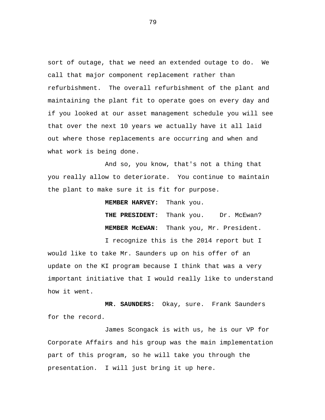sort of outage, that we need an extended outage to do. We call that major component replacement rather than refurbishment. The overall refurbishment of the plant and maintaining the plant fit to operate goes on every day and if you looked at our asset management schedule you will see that over the next 10 years we actually have it all laid out where those replacements are occurring and when and what work is being done.

And so, you know, that's not a thing that you really allow to deteriorate. You continue to maintain the plant to make sure it is fit for purpose.

**MEMBER HARVEY:** Thank you.

**THE PRESIDENT:** Thank you. Dr. McEwan?  **MEMBER McEWAN:** Thank you, Mr. President.

I recognize this is the 2014 report but I would like to take Mr. Saunders up on his offer of an update on the KI program because I think that was a very important initiative that I would really like to understand how it went.

 **MR. SAUNDERS:** Okay, sure. Frank Saunders for the record.

James Scongack is with us, he is our VP for Corporate Affairs and his group was the main implementation part of this program, so he will take you through the presentation. I will just bring it up here.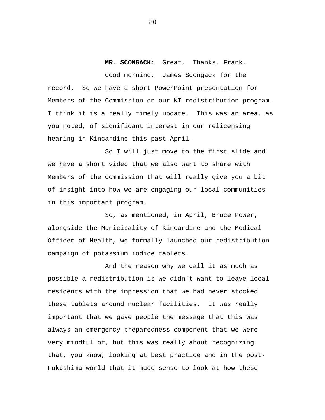**MR. SCONGACK:** Great. Thanks, Frank. Good morning. James Scongack for the record. So we have a short PowerPoint presentation for Members of the Commission on our KI redistribution program. I think it is a really timely update. This was an area, as you noted, of significant interest in our relicensing hearing in Kincardine this past April.

So I will just move to the first slide and we have a short video that we also want to share with Members of the Commission that will really give you a bit of insight into how we are engaging our local communities in this important program.

So, as mentioned, in April, Bruce Power, alongside the Municipality of Kincardine and the Medical Officer of Health, we formally launched our redistribution campaign of potassium iodide tablets.

And the reason why we call it as much as possible a redistribution is we didn't want to leave local residents with the impression that we had never stocked these tablets around nuclear facilities. It was really important that we gave people the message that this was always an emergency preparedness component that we were very mindful of, but this was really about recognizing that, you know, looking at best practice and in the post-Fukushima world that it made sense to look at how these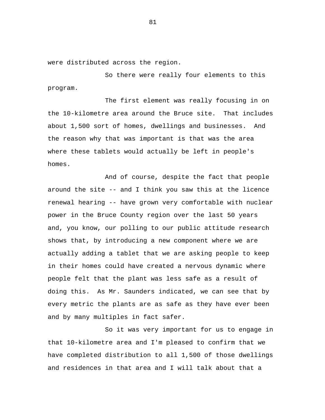were distributed across the region.

So there were really four elements to this program.

The first element was really focusing in on the 10-kilometre area around the Bruce site. That includes about 1,500 sort of homes, dwellings and businesses. And the reason why that was important is that was the area where these tablets would actually be left in people's homes.

And of course, despite the fact that people around the site -- and I think you saw this at the licence renewal hearing -- have grown very comfortable with nuclear power in the Bruce County region over the last 50 years and, you know, our polling to our public attitude research shows that, by introducing a new component where we are actually adding a tablet that we are asking people to keep in their homes could have created a nervous dynamic where people felt that the plant was less safe as a result of doing this. As Mr. Saunders indicated, we can see that by every metric the plants are as safe as they have ever been and by many multiples in fact safer.

So it was very important for us to engage in that 10-kilometre area and I'm pleased to confirm that we have completed distribution to all 1,500 of those dwellings and residences in that area and I will talk about that a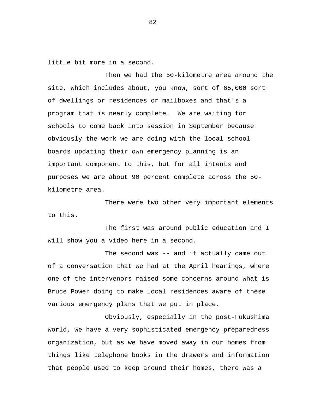little bit more in a second.

Then we had the 50-kilometre area around the site, which includes about, you know, sort of 65,000 sort of dwellings or residences or mailboxes and that's a program that is nearly complete. We are waiting for schools to come back into session in September because obviously the work we are doing with the local school boards updating their own emergency planning is an important component to this, but for all intents and purposes we are about 90 percent complete across the 50 kilometre area.

There were two other very important elements to this.

The first was around public education and I will show you a video here in a second.

The second was -- and it actually came out of a conversation that we had at the April hearings, where one of the intervenors raised some concerns around what is Bruce Power doing to make local residences aware of these various emergency plans that we put in place.

Obviously, especially in the post-Fukushima world, we have a very sophisticated emergency preparedness organization, but as we have moved away in our homes from things like telephone books in the drawers and information that people used to keep around their homes, there was a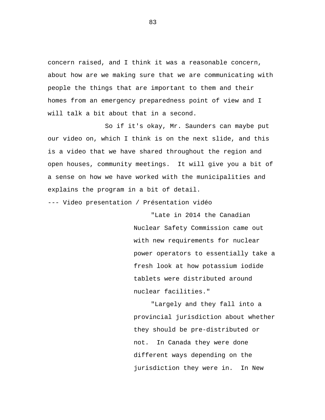concern raised, and I think it was a reasonable concern, about how are we making sure that we are communicating with people the things that are important to them and their homes from an emergency preparedness point of view and I will talk a bit about that in a second.

So if it's okay, Mr. Saunders can maybe put our video on, which I think is on the next slide, and this is a video that we have shared throughout the region and open houses, community meetings. It will give you a bit of a sense on how we have worked with the municipalities and explains the program in a bit of detail.

--- Video presentation / Présentation vidéo

"Late in 2014 the Canadian Nuclear Safety Commission came out with new requirements for nuclear power operators to essentially take a fresh look at how potassium iodide tablets were distributed around nuclear facilities."

"Largely and they fall into a provincial jurisdiction about whether they should be pre-distributed or not. In Canada they were done different ways depending on the jurisdiction they were in. In New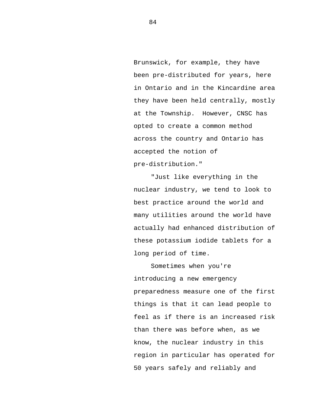Brunswick, for example, they have been pre-distributed for years, here in Ontario and in the Kincardine area they have been held centrally, mostly at the Township. However, CNSC has opted to create a common method across the country and Ontario has accepted the notion of pre-distribution."

"Just like everything in the nuclear industry, we tend to look to best practice around the world and many utilities around the world have actually had enhanced distribution of these potassium iodide tablets for a long period of time.

Sometimes when you're introducing a new emergency preparedness measure one of the first things is that it can lead people to feel as if there is an increased risk than there was before when, as we know, the nuclear industry in this region in particular has operated for 50 years safely and reliably and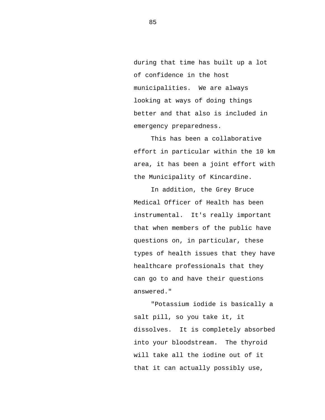during that time has built up a lot of confidence in the host municipalities. We are always looking at ways of doing things better and that also is included in emergency preparedness.

This has been a collaborative effort in particular within the 10 km area, it has been a joint effort with the Municipality of Kincardine.

In addition, the Grey Bruce Medical Officer of Health has been instrumental. It's really important that when members of the public have questions on, in particular, these types of health issues that they have healthcare professionals that they can go to and have their questions answered."

"Potassium iodide is basically a salt pill, so you take it, it dissolves. It is completely absorbed into your bloodstream. The thyroid will take all the iodine out of it that it can actually possibly use,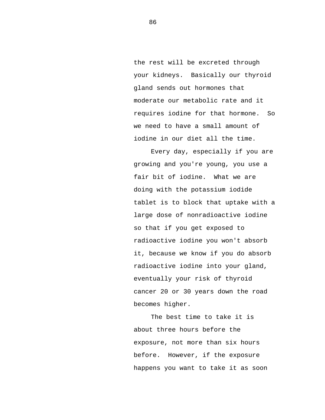the rest will be excreted through your kidneys. Basically our thyroid gland sends out hormones that moderate our metabolic rate and it requires iodine for that hormone. So we need to have a small amount of iodine in our diet all the time.

Every day, especially if you are growing and you're young, you use a fair bit of iodine. What we are doing with the potassium iodide tablet is to block that uptake with a large dose of nonradioactive iodine so that if you get exposed to radioactive iodine you won't absorb it, because we know if you do absorb radioactive iodine into your gland, eventually your risk of thyroid cancer 20 or 30 years down the road becomes higher.

The best time to take it is about three hours before the exposure, not more than six hours before. However, if the exposure happens you want to take it as soon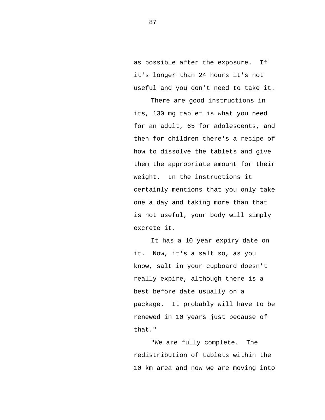as possible after the exposure. If it's longer than 24 hours it's not useful and you don't need to take it.

There are good instructions in its, 130 mg tablet is what you need for an adult, 65 for adolescents, and then for children there's a recipe of how to dissolve the tablets and give them the appropriate amount for their weight. In the instructions it certainly mentions that you only take one a day and taking more than that is not useful, your body will simply excrete it.

It has a 10 year expiry date on it. Now, it's a salt so, as you know, salt in your cupboard doesn't really expire, although there is a best before date usually on a package. It probably will have to be renewed in 10 years just because of that."

"We are fully complete. The redistribution of tablets within the 10 km area and now we are moving into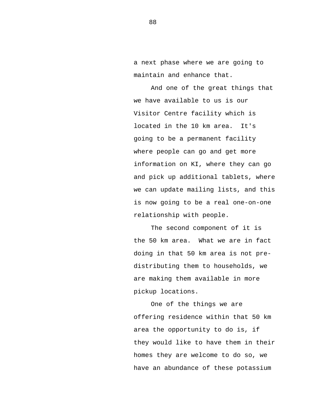a next phase where we are going to maintain and enhance that.

And one of the great things that we have available to us is our Visitor Centre facility which is located in the 10 km area. It's going to be a permanent facility where people can go and get more information on KI, where they can go and pick up additional tablets, where we can update mailing lists, and this is now going to be a real one-on-one relationship with people.

The second component of it is the 50 km area. What we are in fact doing in that 50 km area is not predistributing them to households, we are making them available in more pickup locations.

One of the things we are offering residence within that 50 km area the opportunity to do is, if they would like to have them in their homes they are welcome to do so, we have an abundance of these potassium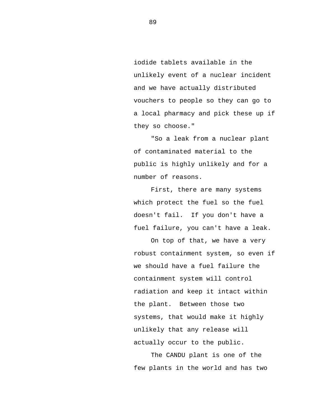iodide tablets available in the unlikely event of a nuclear incident and we have actually distributed vouchers to people so they can go to a local pharmacy and pick these up if they so choose."

"So a leak from a nuclear plant of contaminated material to the public is highly unlikely and for a number of reasons.

First, there are many systems which protect the fuel so the fuel doesn't fail. If you don't have a fuel failure, you can't have a leak.

On top of that, we have a very robust containment system, so even if we should have a fuel failure the containment system will control radiation and keep it intact within the plant. Between those two systems, that would make it highly unlikely that any release will actually occur to the public.

The CANDU plant is one of the few plants in the world and has two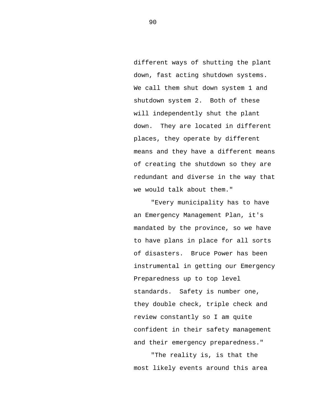different ways of shutting the plant down, fast acting shutdown systems. We call them shut down system 1 and shutdown system 2. Both of these will independently shut the plant down. They are located in different places, they operate by different means and they have a different means of creating the shutdown so they are redundant and diverse in the way that we would talk about them."

"Every municipality has to have an Emergency Management Plan, it's mandated by the province, so we have to have plans in place for all sorts of disasters. Bruce Power has been instrumental in getting our Emergency Preparedness up to top level standards. Safety is number one, they double check, triple check and review constantly so I am quite confident in their safety management and their emergency preparedness."

"The reality is, is that the most likely events around this area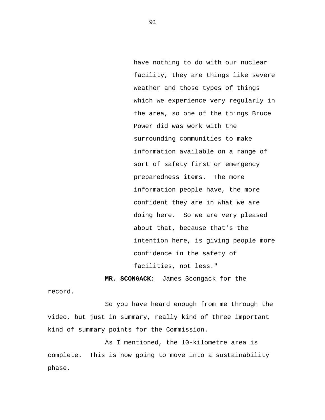have nothing to do with our nuclear facility, they are things like severe weather and those types of things which we experience very regularly in the area, so one of the things Bruce Power did was work with the surrounding communities to make information available on a range of sort of safety first or emergency preparedness items. The more information people have, the more confident they are in what we are doing here. So we are very pleased about that, because that's the intention here, is giving people more confidence in the safety of facilities, not less."

 **MR. SCONGACK:** James Scongack for the

record.

So you have heard enough from me through the video, but just in summary, really kind of three important kind of summary points for the Commission.

As I mentioned, the 10-kilometre area is complete. This is now going to move into a sustainability phase.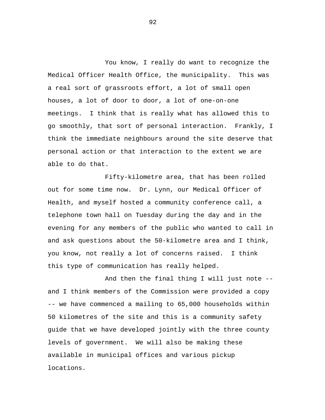You know, I really do want to recognize the Medical Officer Health Office, the municipality. This was a real sort of grassroots effort, a lot of small open houses, a lot of door to door, a lot of one-on-one meetings. I think that is really what has allowed this to go smoothly, that sort of personal interaction. Frankly, I think the immediate neighbours around the site deserve that personal action or that interaction to the extent we are able to do that.

Fifty-kilometre area, that has been rolled out for some time now. Dr. Lynn, our Medical Officer of Health, and myself hosted a community conference call, a telephone town hall on Tuesday during the day and in the evening for any members of the public who wanted to call in and ask questions about the 50-kilometre area and I think, you know, not really a lot of concerns raised. I think this type of communication has really helped.

And then the final thing I will just note - and I think members of the Commission were provided a copy -- we have commenced a mailing to 65,000 households within 50 kilometres of the site and this is a community safety guide that we have developed jointly with the three county levels of government. We will also be making these available in municipal offices and various pickup locations.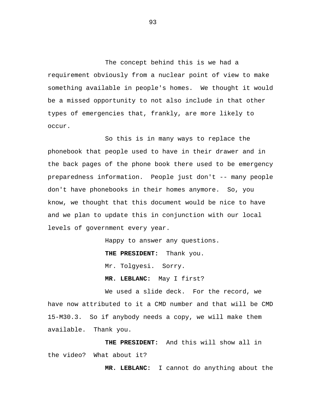The concept behind this is we had a requirement obviously from a nuclear point of view to make something available in people's homes. We thought it would be a missed opportunity to not also include in that other types of emergencies that, frankly, are more likely to occur.

So this is in many ways to replace the phonebook that people used to have in their drawer and in the back pages of the phone book there used to be emergency preparedness information. People just don't -- many people don't have phonebooks in their homes anymore. So, you know, we thought that this document would be nice to have and we plan to update this in conjunction with our local levels of government every year.

Happy to answer any questions.

 **THE PRESIDENT:** Thank you.

Mr. Tolgyesi. Sorry.

 **MR. LEBLANC:** May I first?

We used a slide deck. For the record, we have now attributed to it a CMD number and that will be CMD 15-M30.3. So if anybody needs a copy, we will make them available. Thank you.

 **THE PRESIDENT:** And this will show all in the video? What about it?

 **MR. LEBLANC:** I cannot do anything about the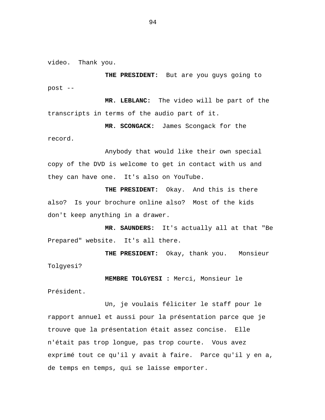video. Thank you.

 **THE PRESIDENT:** But are you guys going to post -

 **MR. LEBLANC:** The video will be part of the transcripts in terms of the audio part of it.

 **MR. SCONGACK:** James Scongack for the record.

Anybody that would like their own special copy of the DVD is welcome to get in contact with us and they can have one. It's also on YouTube.

**THE PRESIDENT:** Okay. And this is there also? Is your brochure online also? Most of the kids don't keep anything in a drawer.

 **MR. SAUNDERS:** It's actually all at that "Be Prepared" website. It's all there.

 **THE PRESIDENT:** Okay, thank you. Monsieur Tolgyesi?

**MEMBRE TOLGYESI :** Merci, Monsieur le Président.

Un, je voulais féliciter le staff pour le rapport annuel et aussi pour la présentation parce que je trouve que la présentation était assez concise. Elle n'était pas trop longue, pas trop courte. Vous avez exprimé tout ce qu'il y avait à faire. Parce qu'il y en a, de temps en temps, qui se laisse emporter.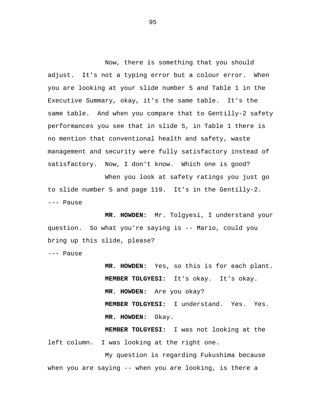Now, there is something that you should adjust. It's not a typing error but a colour error. When you are looking at your slide number 5 and Table 1 in the Executive Summary, okay, it's the same table. It's the same table. And when you compare that to Gentilly-2 safety performances you see that in slide 5, in Table 1 there is no mention that conventional health and safety, waste management and security were fully satisfactory instead of satisfactory. Now, I don't know. Which one is good?

When you look at safety ratings you just go to slide number 5 and page 119. It's in the Gentilly-2. --- Pause

 **MR. HOWDEN:** Mr. Tolgyesi, I understand your question. So what you're saying is -- Mario, could you bring up this slide, please?

--- Pause

**MR. HOWDEN:** Yes, so this is for each plant. **MEMBER TOLGYESI:** It's okay. It's okay. **MR. HOWDEN:** Are you okay? **MEMBER TOLGYESI:** I understand. Yes. Yes.  **MR. HOWDEN:** Okay.

**MEMBER TOLGYESI:** I was not looking at the left column. I was looking at the right one.

My question is regarding Fukushima because when you are saying -- when you are looking, is there a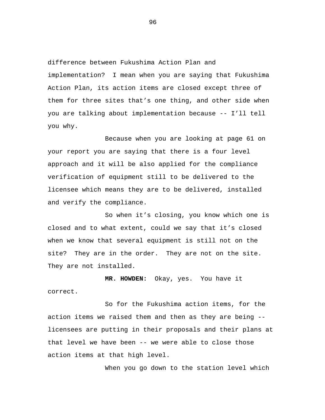difference between Fukushima Action Plan and implementation? I mean when you are saying that Fukushima Action Plan, its action items are closed except three of them for three sites that's one thing, and other side when you are talking about implementation because -- I'll tell you why.

Because when you are looking at page 61 on your report you are saying that there is a four level approach and it will be also applied for the compliance verification of equipment still to be delivered to the licensee which means they are to be delivered, installed and verify the compliance.

So when it's closing, you know which one is closed and to what extent, could we say that it's closed when we know that several equipment is still not on the site? They are in the order. They are not on the site. They are not installed.

**MR. HOWDEN:** Okay, yes. You have it correct.

So for the Fukushima action items, for the action items we raised them and then as they are being - licensees are putting in their proposals and their plans at that level we have been -- we were able to close those action items at that high level.

When you go down to the station level which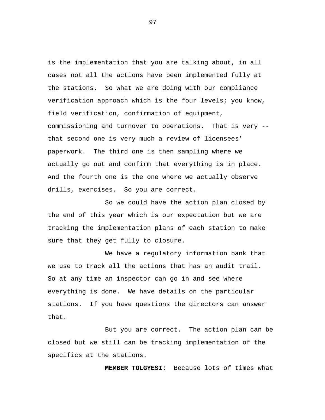is the implementation that you are talking about, in all cases not all the actions have been implemented fully at the stations. So what we are doing with our compliance verification approach which is the four levels; you know, field verification, confirmation of equipment, commissioning and turnover to operations. That is very - that second one is very much a review of licensees' paperwork. The third one is then sampling where we actually go out and confirm that everything is in place. And the fourth one is the one where we actually observe drills, exercises. So you are correct.

So we could have the action plan closed by the end of this year which is our expectation but we are tracking the implementation plans of each station to make sure that they get fully to closure.

We have a regulatory information bank that we use to track all the actions that has an audit trail. So at any time an inspector can go in and see where everything is done. We have details on the particular stations. If you have questions the directors can answer that.

But you are correct. The action plan can be closed but we still can be tracking implementation of the specifics at the stations.

**MEMBER TOLGYESI:** Because lots of times what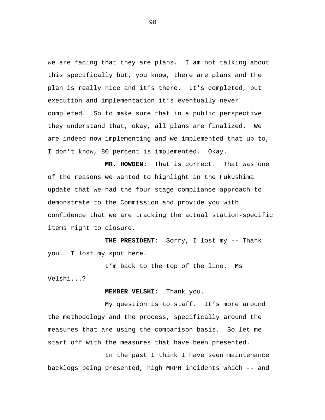we are facing that they are plans. I am not talking about this specifically but, you know, there are plans and the plan is really nice and it's there. It's completed, but execution and implementation it's eventually never completed. So to make sure that in a public perspective they understand that, okay, all plans are finalized. We are indeed now implementing and we implemented that up to, I don't know, 80 percent is implemented. Okay.

**MR. HOWDEN:** That is correct. That was one of the reasons we wanted to highlight in the Fukushima update that we had the four stage compliance approach to demonstrate to the Commission and provide you with confidence that we are tracking the actual station-specific items right to closure.

**THE PRESIDENT:** Sorry, I lost my -- Thank you. I lost my spot here.

I'm back to the top of the line. Ms Velshi...?

## **MEMBER VELSHI:** Thank you.

My question is to staff. It's more around the methodology and the process, specifically around the measures that are using the comparison basis. So let me start off with the measures that have been presented.

In the past I think I have seen maintenance backlogs being presented, high MRPH incidents which -- and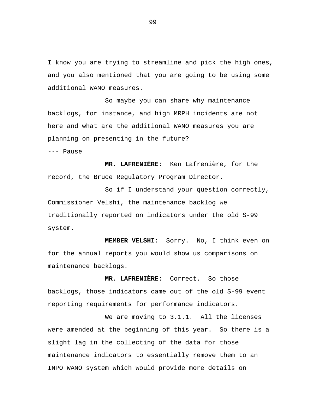I know you are trying to streamline and pick the high ones, and you also mentioned that you are going to be using some additional WANO measures.

So maybe you can share why maintenance backlogs, for instance, and high MRPH incidents are not here and what are the additional WANO measures you are planning on presenting in the future?

--- Pause

**MR. LAFRENIÈRE:** Ken Lafrenière, for the record, the Bruce Regulatory Program Director.

So if I understand your question correctly, Commissioner Velshi, the maintenance backlog we traditionally reported on indicators under the old S-99 system.

**MEMBER VELSHI:** Sorry. No, I think even on for the annual reports you would show us comparisons on maintenance backlogs.

**MR. LAFRENIÈRE:** Correct. So those backlogs, those indicators came out of the old S-99 event reporting requirements for performance indicators.

We are moving to 3.1.1. All the licenses were amended at the beginning of this year. So there is a slight lag in the collecting of the data for those maintenance indicators to essentially remove them to an INPO WANO system which would provide more details on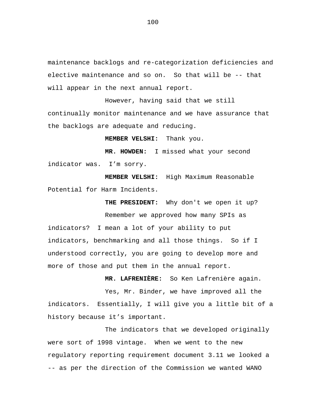maintenance backlogs and re-categorization deficiencies and elective maintenance and so on. So that will be -- that will appear in the next annual report.

However, having said that we still continually monitor maintenance and we have assurance that the backlogs are adequate and reducing.

**MEMBER VELSHI:** Thank you.

**MR. HOWDEN:** I missed what your second indicator was. I'm sorry.

**MEMBER VELSHI:** High Maximum Reasonable Potential for Harm Incidents.

**THE PRESIDENT:** Why don't we open it up? Remember we approved how many SPIs as indicators? I mean a lot of your ability to put indicators, benchmarking and all those things. So if I understood correctly, you are going to develop more and

more of those and put them in the annual report.

**MR. LAFRENIÈRE:** So Ken Lafrenière again.

Yes, Mr. Binder, we have improved all the indicators. Essentially, I will give you a little bit of a history because it's important.

The indicators that we developed originally were sort of 1998 vintage. When we went to the new regulatory reporting requirement document 3.11 we looked a -- as per the direction of the Commission we wanted WANO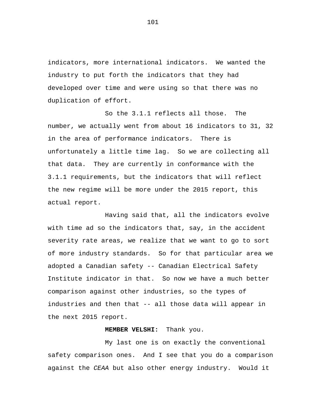indicators, more international indicators. We wanted the industry to put forth the indicators that they had developed over time and were using so that there was no duplication of effort.

So the 3.1.1 reflects all those. The number, we actually went from about 16 indicators to 31, 32 in the area of performance indicators. There is unfortunately a little time lag. So we are collecting all that data. They are currently in conformance with the 3.1.1 requirements, but the indicators that will reflect the new regime will be more under the 2015 report, this actual report.

Having said that, all the indicators evolve with time ad so the indicators that, say, in the accident severity rate areas, we realize that we want to go to sort of more industry standards. So for that particular area we adopted a Canadian safety -- Canadian Electrical Safety Institute indicator in that. So now we have a much better comparison against other industries, so the types of industries and then that -- all those data will appear in the next 2015 report.

## **MEMBER VELSHI:** Thank you.

My last one is on exactly the conventional safety comparison ones. And I see that you do a comparison against the *CEAA* but also other energy industry. Would it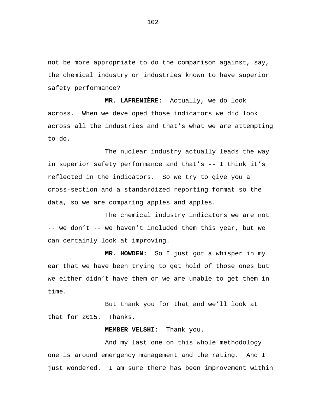not be more appropriate to do the comparison against, say, the chemical industry or industries known to have superior safety performance?

**MR. LAFRENIÈRE:** Actually, we do look across. When we developed those indicators we did look across all the industries and that's what we are attempting to do.

The nuclear industry actually leads the way in superior safety performance and that's -- I think it's reflected in the indicators. So we try to give you a cross-section and a standardized reporting format so the data, so we are comparing apples and apples.

The chemical industry indicators we are not -- we don't -- we haven't included them this year, but we can certainly look at improving.

**MR. HOWDEN:** So I just got a whisper in my ear that we have been trying to get hold of those ones but we either didn't have them or we are unable to get them in time.

But thank you for that and we'll look at that for 2015. Thanks.

## **MEMBER VELSHI:** Thank you.

And my last one on this whole methodology one is around emergency management and the rating. And I just wondered. I am sure there has been improvement within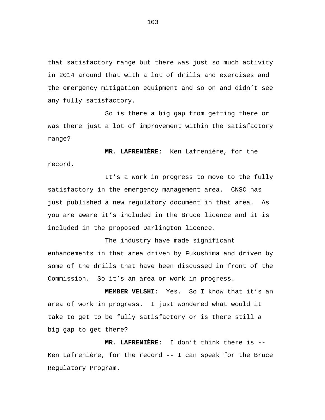that satisfactory range but there was just so much activity in 2014 around that with a lot of drills and exercises and the emergency mitigation equipment and so on and didn't see any fully satisfactory.

So is there a big gap from getting there or was there just a lot of improvement within the satisfactory range?

**MR. LAFRENIÈRE**: Ken Lafrenière, for the record.

It's a work in progress to move to the fully satisfactory in the emergency management area. CNSC has just published a new regulatory document in that area. As you are aware it's included in the Bruce licence and it is included in the proposed Darlington licence.

The industry have made significant enhancements in that area driven by Fukushima and driven by some of the drills that have been discussed in front of the Commission. So it's an area or work in progress.

**MEMBER VELSHI:** Yes. So I know that it's an area of work in progress. I just wondered what would it take to get to be fully satisfactory or is there still a big gap to get there?

**MR. LAFRENIÈRE:** I don't think there is -- Ken Lafrenière, for the record -- I can speak for the Bruce Regulatory Program.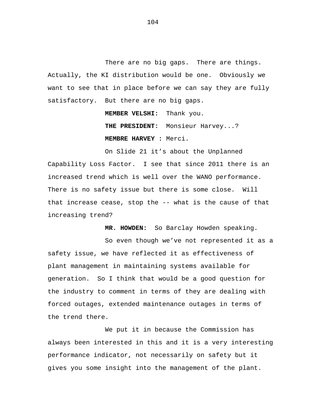There are no big gaps. There are things. Actually, the KI distribution would be one. Obviously we want to see that in place before we can say they are fully satisfactory. But there are no big gaps.

**MEMBER VELSHI:** Thank you.

**THE PRESIDENT:** Monsieur Harvey...? **MEMBRE HARVEY :** Merci.

On Slide 21 it's about the Unplanned Capability Loss Factor. I see that since 2011 there is an increased trend which is well over the WANO performance. There is no safety issue but there is some close. Will that increase cease, stop the -- what is the cause of that increasing trend?

**MR. HOWDEN:** So Barclay Howden speaking.

So even though we've not represented it as a safety issue, we have reflected it as effectiveness of plant management in maintaining systems available for generation. So I think that would be a good question for the industry to comment in terms of they are dealing with forced outages, extended maintenance outages in terms of the trend there.

We put it in because the Commission has always been interested in this and it is a very interesting performance indicator, not necessarily on safety but it gives you some insight into the management of the plant.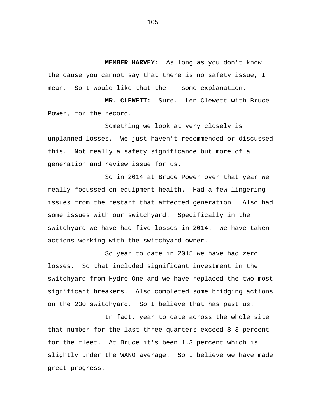**MEMBER HARVEY:** As long as you don't know the cause you cannot say that there is no safety issue, I mean. So I would like that the -- some explanation.

**MR. CLEWETT:** Sure. Len Clewett with Bruce Power, for the record.

Something we look at very closely is unplanned losses. We just haven't recommended or discussed this. Not really a safety significance but more of a generation and review issue for us.

So in 2014 at Bruce Power over that year we really focussed on equipment health. Had a few lingering issues from the restart that affected generation. Also had some issues with our switchyard. Specifically in the switchyard we have had five losses in 2014. We have taken actions working with the switchyard owner.

So year to date in 2015 we have had zero losses. So that included significant investment in the switchyard from Hydro One and we have replaced the two most significant breakers. Also completed some bridging actions on the 230 switchyard. So I believe that has past us.

In fact, year to date across the whole site that number for the last three-quarters exceed 8.3 percent for the fleet. At Bruce it's been 1.3 percent which is slightly under the WANO average. So I believe we have made great progress.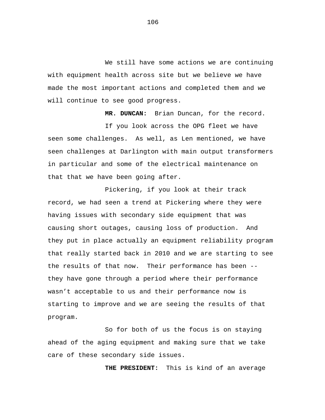We still have some actions we are continuing with equipment health across site but we believe we have made the most important actions and completed them and we will continue to see good progress.

**MR. DUNCAN:** Brian Duncan, for the record.

If you look across the OPG fleet we have seen some challenges. As well, as Len mentioned, we have seen challenges at Darlington with main output transformers in particular and some of the electrical maintenance on that that we have been going after.

Pickering, if you look at their track record, we had seen a trend at Pickering where they were having issues with secondary side equipment that was causing short outages, causing loss of production. And they put in place actually an equipment reliability program that really started back in 2010 and we are starting to see the results of that now. Their performance has been - they have gone through a period where their performance wasn't acceptable to us and their performance now is starting to improve and we are seeing the results of that program.

So for both of us the focus is on staying ahead of the aging equipment and making sure that we take care of these secondary side issues.

**THE PRESIDENT:** This is kind of an average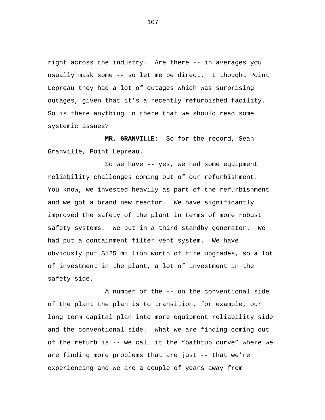right across the industry. Are there -- in averages you usually mask some -- so let me be direct. I thought Point Lepreau they had a lot of outages which was surprising outages, given that it's a recently refurbished facility. So is there anything in there that we should read some systemic issues?

**MR. GRANVILLE:** So for the record, Sean Granville, Point Lepreau.

So we have -- yes, we had some equipment reliability challenges coming out of our refurbishment. You know, we invested heavily as part of the refurbishment and we got a brand new reactor. We have significantly improved the safety of the plant in terms of more robust safety systems. We put in a third standby generator. We had put a containment filter vent system. We have obviously put \$125 million worth of fire upgrades, so a lot of investment in the plant, a lot of investment in the safety side.

A number of the -- on the conventional side of the plant the plan is to transition, for example, our long term capital plan into more equipment reliability side and the conventional side. What we are finding coming out of the refurb is -- we call it the "bathtub curve" where we are finding more problems that are just -- that we're experiencing and we are a couple of years away from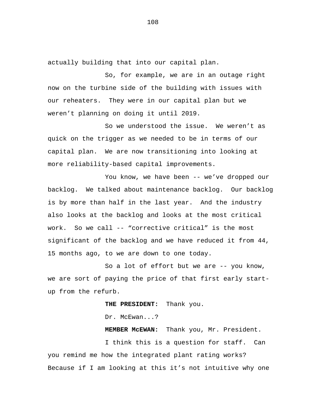actually building that into our capital plan.

So, for example, we are in an outage right now on the turbine side of the building with issues with our reheaters. They were in our capital plan but we weren't planning on doing it until 2019.

So we understood the issue. We weren't as quick on the trigger as we needed to be in terms of our capital plan. We are now transitioning into looking at more reliability-based capital improvements.

You know, we have been -- we've dropped our backlog. We talked about maintenance backlog. Our backlog is by more than half in the last year. And the industry also looks at the backlog and looks at the most critical work. So we call -- "corrective critical" is the most significant of the backlog and we have reduced it from 44, 15 months ago, to we are down to one today.

So a lot of effort but we are -- you know, we are sort of paying the price of that first early startup from the refurb.

> **THE PRESIDENT:** Thank you. Dr. McEwan...?

**MEMBER McEWAN:** Thank you, Mr. President.

I think this is a question for staff. Can you remind me how the integrated plant rating works? Because if I am looking at this it's not intuitive why one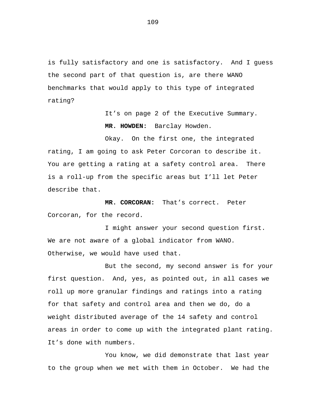is fully satisfactory and one is satisfactory. And I guess the second part of that question is, are there WANO benchmarks that would apply to this type of integrated rating?

> It's on page 2 of the Executive Summary. **MR. HOWDEN:** Barclay Howden.

Okay. On the first one, the integrated rating, I am going to ask Peter Corcoran to describe it. You are getting a rating at a safety control area. There is a roll-up from the specific areas but I'll let Peter describe that.

**MR. CORCORAN:** That's correct. Peter Corcoran, for the record.

I might answer your second question first. We are not aware of a global indicator from WANO. Otherwise, we would have used that.

But the second, my second answer is for your first question. And, yes, as pointed out, in all cases we roll up more granular findings and ratings into a rating for that safety and control area and then we do, do a weight distributed average of the 14 safety and control areas in order to come up with the integrated plant rating. It's done with numbers.

You know, we did demonstrate that last year to the group when we met with them in October. We had the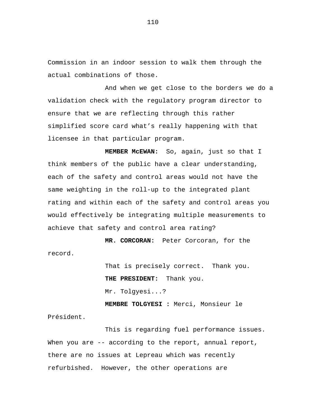Commission in an indoor session to walk them through the actual combinations of those.

And when we get close to the borders we do a validation check with the regulatory program director to ensure that we are reflecting through this rather simplified score card what's really happening with that licensee in that particular program.

**MEMBER McEWAN:** So, again, just so that I think members of the public have a clear understanding, each of the safety and control areas would not have the same weighting in the roll-up to the integrated plant rating and within each of the safety and control areas you would effectively be integrating multiple measurements to achieve that safety and control area rating?

**MR. CORCORAN:** Peter Corcoran, for the record.

> That is precisely correct. Thank you. **THE PRESIDENT:** Thank you. Mr. Tolgyesi...?

**MEMBRE TOLGYESI :** Merci, Monsieur le Président.

This is regarding fuel performance issues. When you are -- according to the report, annual report, there are no issues at Lepreau which was recently refurbished. However, the other operations are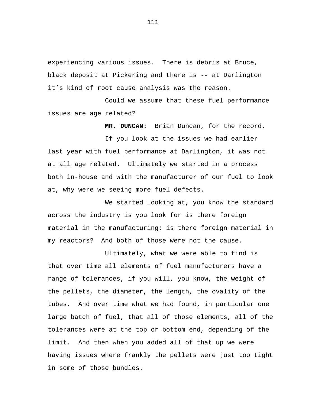experiencing various issues. There is debris at Bruce, black deposit at Pickering and there is -- at Darlington it's kind of root cause analysis was the reason.

Could we assume that these fuel performance issues are age related?

**MR. DUNCAN:** Brian Duncan, for the record.

If you look at the issues we had earlier last year with fuel performance at Darlington, it was not at all age related. Ultimately we started in a process both in-house and with the manufacturer of our fuel to look at, why were we seeing more fuel defects.

We started looking at, you know the standard across the industry is you look for is there foreign material in the manufacturing; is there foreign material in my reactors? And both of those were not the cause.

Ultimately, what we were able to find is that over time all elements of fuel manufacturers have a range of tolerances, if you will, you know, the weight of the pellets, the diameter, the length, the ovality of the tubes. And over time what we had found, in particular one large batch of fuel, that all of those elements, all of the tolerances were at the top or bottom end, depending of the limit. And then when you added all of that up we were having issues where frankly the pellets were just too tight in some of those bundles.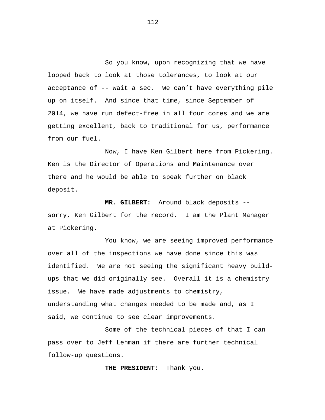So you know, upon recognizing that we have looped back to look at those tolerances, to look at our acceptance of -- wait a sec. We can't have everything pile up on itself. And since that time, since September of 2014, we have run defect-free in all four cores and we are getting excellent, back to traditional for us, performance from our fuel.

Now, I have Ken Gilbert here from Pickering. Ken is the Director of Operations and Maintenance over there and he would be able to speak further on black deposit.

 **MR. GILBERT:** Around black deposits - sorry, Ken Gilbert for the record. I am the Plant Manager at Pickering.

You know, we are seeing improved performance over all of the inspections we have done since this was identified. We are not seeing the significant heavy buildups that we did originally see. Overall it is a chemistry issue. We have made adjustments to chemistry, understanding what changes needed to be made and, as I said, we continue to see clear improvements.

Some of the technical pieces of that I can pass over to Jeff Lehman if there are further technical follow-up questions.

 **THE PRESIDENT:** Thank you.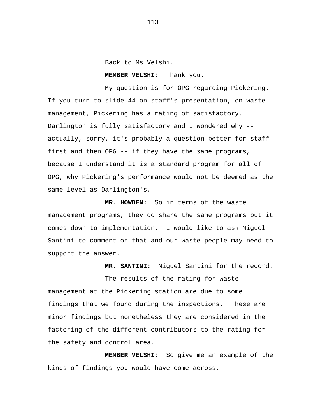Back to Ms Velshi.

## **MEMBER VELSHI:** Thank you.

My question is for OPG regarding Pickering. If you turn to slide 44 on staff's presentation, on waste management, Pickering has a rating of satisfactory, Darlington is fully satisfactory and I wondered why - actually, sorry, it's probably a question better for staff first and then OPG -- if they have the same programs, because I understand it is a standard program for all of OPG, why Pickering's performance would not be deemed as the same level as Darlington's.

 **MR. HOWDEN:** So in terms of the waste management programs, they do share the same programs but it comes down to implementation. I would like to ask Miguel Santini to comment on that and our waste people may need to support the answer.

 **MR. SANTINI:** Miguel Santini for the record.

The results of the rating for waste management at the Pickering station are due to some findings that we found during the inspections. These are minor findings but nonetheless they are considered in the factoring of the different contributors to the rating for the safety and control area.

 **MEMBER VELSHI:** So give me an example of the kinds of findings you would have come across.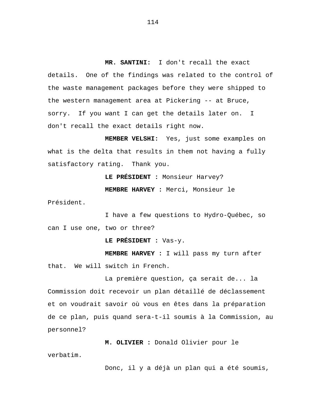**MR. SANTINI:** I don't recall the exact details. One of the findings was related to the control of the waste management packages before they were shipped to the western management area at Pickering -- at Bruce, sorry. If you want I can get the details later on. I don't recall the exact details right now.

**MEMBER VELSHI:** Yes, just some examples on what is the delta that results in them not having a fully satisfactory rating. Thank you.

> **LE PRÉSIDENT :** Monsieur Harvey? **MEMBRE HARVEY :** Merci, Monsieur le

Président.

I have a few questions to Hydro-Québec, so can I use one, two or three?

**LE PRÉSIDENT :** Vas-y.

**MEMBRE HARVEY :** I will pass my turn after that. We will switch in French.

La première question, ça serait de... la Commission doit recevoir un plan détaillé de déclassement et on voudrait savoir où vous en êtes dans la préparation de ce plan, puis quand sera-t-il soumis à la Commission, au personnel?

**M. OLIVIER :** Donald Olivier pour le

verbatim.

Donc, il y a déjà un plan qui a été soumis,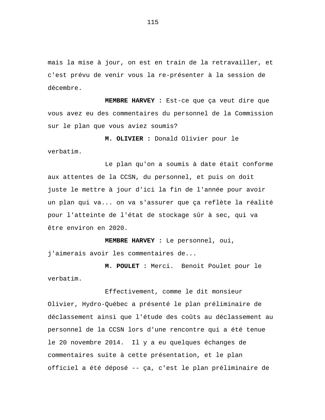mais la mise à jour, on est en train de la retravailler, et c'est prévu de venir vous la re-présenter à la session de décembre.

**MEMBRE HARVEY :** Est-ce que ça veut dire que vous avez eu des commentaires du personnel de la Commission sur le plan que vous aviez soumis?

**M. OLIVIER :** Donald Olivier pour le

verbatim.

Le plan qu'on a soumis à date était conforme aux attentes de la CCSN, du personnel, et puis on doit juste le mettre à jour d'ici la fin de l'année pour avoir un plan qui va... on va s'assurer que ça reflète la réalité pour l'atteinte de l'état de stockage sûr à sec, qui va être environ en 2020.

**MEMBRE HARVEY :** Le personnel, oui, j'aimerais avoir les commentaires de...

**M. POULET :** Merci. Benoit Poulet pour le verbatim.

Effectivement, comme le dit monsieur Olivier, Hydro-Québec a présenté le plan préliminaire de déclassement ainsi que l'étude des coûts au déclassement au personnel de la CCSN lors d'une rencontre qui a été tenue le 20 novembre 2014. Il y a eu quelques échanges de commentaires suite à cette présentation, et le plan officiel a été déposé -- ça, c'est le plan préliminaire de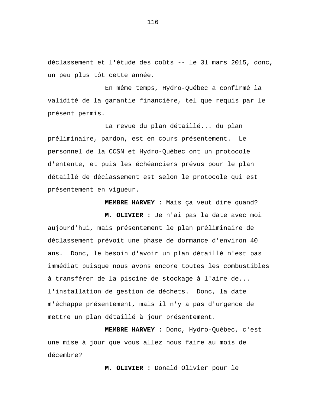déclassement et l'étude des coûts -- le 31 mars 2015, donc, un peu plus tôt cette année.

En même temps, Hydro-Québec a confirmé la validité de la garantie financière, tel que requis par le présent permis.

La revue du plan détaillé... du plan préliminaire, pardon, est en cours présentement. Le personnel de la CCSN et Hydro-Québec ont un protocole d'entente, et puis les échéanciers prévus pour le plan détaillé de déclassement est selon le protocole qui est présentement en vigueur.

**MEMBRE HARVEY :** Mais ça veut dire quand?

**M. OLIVIER :** Je n'ai pas la date avec moi aujourd'hui, mais présentement le plan préliminaire de déclassement prévoit une phase de dormance d'environ 40 ans. Donc, le besoin d'avoir un plan détaillé n'est pas immédiat puisque nous avons encore toutes les combustibles à transférer de la piscine de stockage à l'aire de... l'installation de gestion de déchets. Donc, la date m'échappe présentement, mais il n'y a pas d'urgence de mettre un plan détaillé à jour présentement.

**MEMBRE HARVEY :** Donc, Hydro-Québec, c'est une mise à jour que vous allez nous faire au mois de décembre?

**M. OLIVIER :** Donald Olivier pour le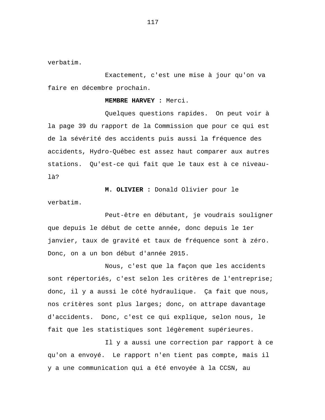verbatim.

Exactement, c'est une mise à jour qu'on va faire en décembre prochain.

**MEMBRE HARVEY :** Merci.

Quelques questions rapides. On peut voir à la page 39 du rapport de la Commission que pour ce qui est de la sévérité des accidents puis aussi la fréquence des accidents, Hydro-Québec est assez haut comparer aux autres stations. Qu'est-ce qui fait que le taux est à ce niveaulà?

**M. OLIVIER :** Donald Olivier pour le verbatim.

Peut-être en débutant, je voudrais souligner que depuis le début de cette année, donc depuis le 1er janvier, taux de gravité et taux de fréquence sont à zéro. Donc, on a un bon début d'année 2015.

Nous, c'est que la façon que les accidents sont répertoriés, c'est selon les critères de l'entreprise; donc, il y a aussi le côté hydraulique. Ça fait que nous, nos critères sont plus larges; donc, on attrape davantage d'accidents. Donc, c'est ce qui explique, selon nous, le fait que les statistiques sont légèrement supérieures.

Il y a aussi une correction par rapport à ce qu'on a envoyé. Le rapport n'en tient pas compte, mais il y a une communication qui a été envoyée à la CCSN, au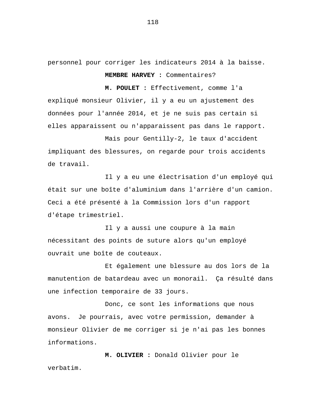personnel pour corriger les indicateurs 2014 à la baisse. **MEMBRE HARVEY :** Commentaires?

**M. POULET :** Effectivement, comme l'a expliqué monsieur Olivier, il y a eu un ajustement des données pour l'année 2014, et je ne suis pas certain si elles apparaissent ou n'apparaissent pas dans le rapport.

Mais pour Gentilly-2, le taux d'accident impliquant des blessures, on regarde pour trois accidents de travail.

Il y a eu une électrisation d'un employé qui était sur une boîte d'aluminium dans l'arrière d'un camion. Ceci a été présenté à la Commission lors d'un rapport d'étape trimestriel.

Il y a aussi une coupure à la main nécessitant des points de suture alors qu'un employé ouvrait une boîte de couteaux.

Et également une blessure au dos lors de la manutention de batardeau avec un monorail. Ça résulté dans une infection temporaire de 33 jours.

Donc, ce sont les informations que nous avons. Je pourrais, avec votre permission, demander à monsieur Olivier de me corriger si je n'ai pas les bonnes informations.

**M. OLIVIER :** Donald Olivier pour le verbatim.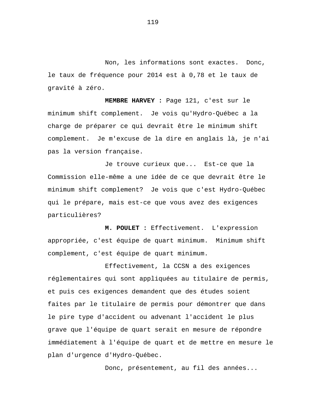Non, les informations sont exactes. Donc, le taux de fréquence pour 2014 est à 0,78 et le taux de gravité à zéro.

**MEMBRE HARVEY :** Page 121, c'est sur le minimum shift complement. Je vois qu'Hydro-Québec a la charge de préparer ce qui devrait être le minimum shift complement. Je m'excuse de la dire en anglais là, je n'ai pas la version française.

Je trouve curieux que... Est-ce que la Commission elle-même a une idée de ce que devrait être le minimum shift complement? Je vois que c'est Hydro-Québec qui le prépare, mais est-ce que vous avez des exigences particulières?

**M. POULET :** Effectivement. L'expression appropriée, c'est équipe de quart minimum. Minimum shift complement, c'est équipe de quart minimum.

Effectivement, la CCSN a des exigences réglementaires qui sont appliquées au titulaire de permis, et puis ces exigences demandent que des études soient faites par le titulaire de permis pour démontrer que dans le pire type d'accident ou advenant l'accident le plus grave que l'équipe de quart serait en mesure de répondre immédiatement à l'équipe de quart et de mettre en mesure le plan d'urgence d'Hydro-Québec.

Donc, présentement, au fil des années...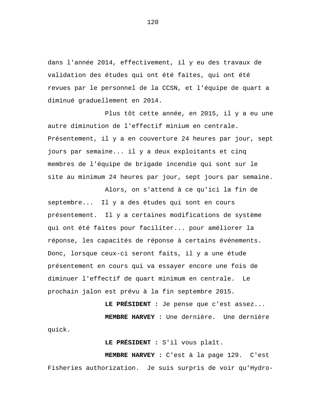dans l'année 2014, effectivement, il y eu des travaux de validation des études qui ont été faites, qui ont été revues par le personnel de la CCSN, et l'équipe de quart a diminué graduellement en 2014.

Plus tôt cette année, en 2015, il y a eu une autre diminution de l'effectif minium en centrale. Présentement, il y a en couverture 24 heures par jour, sept jours par semaine... il y a deux exploitants et cinq membres de l'équipe de brigade incendie qui sont sur le site au minimum 24 heures par jour, sept jours par semaine.

Alors, on s'attend à ce qu'ici la fin de septembre... Il y a des études qui sont en cours présentement. Il y a certaines modifications de système qui ont été faites pour faciliter... pour améliorer la réponse, les capacités de réponse à certains événements. Donc, lorsque ceux-ci seront faits, il y a une étude présentement en cours qui va essayer encore une fois de diminuer l'effectif de quart minimum en centrale. Le prochain jalon est prévu à la fin septembre 2015.

**LE PRÉSIDENT :** Je pense que c'est assez... **MEMBRE HARVEY :** Une dernière. Une dernière quick.

**LE PRÉSIDENT :** S'il vous plaît.

**MEMBRE HARVEY :** C'est à la page 129. C'est Fisheries authorization. Je suis surpris de voir qu'Hydro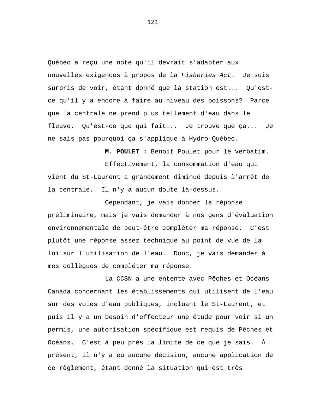Québec a reçu une note qu'il devrait s'adapter aux nouvelles exigences à propos de la *Fisheries Act*. Je suis surpris de voir, étant donné que la station est... Qu'estce qu'il y a encore à faire au niveau des poissons? Parce que la centrale ne prend plus tellement d'eau dans le fleuve. Qu'est-ce que qui fait... Je trouve que ça... Je ne sais pas pourquoi ça s'applique à Hydro-Québec.

**M. POULET :** Benoit Poulet pour le verbatim. Effectivement, la consommation d'eau qui vient du St-Laurent a grandement diminué depuis l'arrêt de la centrale. Il n'y a aucun doute là-dessus.

Cependant, je vais donner la réponse préliminaire, mais je vais demander à nos gens d'évaluation environnementale de peut-être compléter ma réponse. C'est plutôt une réponse assez technique au point de vue de la loi sur l'utilisation de l'eau. Donc, je vais demander à mes collègues de compléter ma réponse.

La CCSN a une entente avec Pêches et Océans Canada concernant les établissements qui utilisent de l'eau sur des voies d'eau publiques, incluant le St-Laurent, et puis il y a un besoin d'effecteur une étude pour voir si un permis, une autorisation spécifique est requis de Pêches et Océans. C'est à peu près la limite de ce que je sais. À présent, il n'y a eu aucune décision, aucune application de ce règlement, étant donné la situation qui est très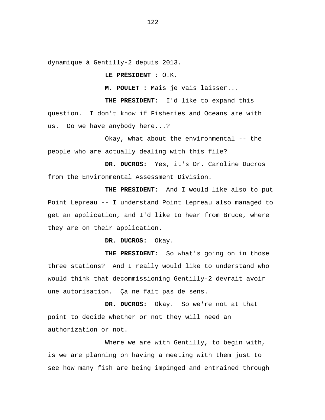dynamique à Gentilly-2 depuis 2013.

**LE PRÉSIDENT :** O.K.

**M. POULET :** Mais je vais laisser...

**THE PRESIDENT:** I'd like to expand this question. I don't know if Fisheries and Oceans are with us. Do we have anybody here...?

Okay, what about the environmental -- the people who are actually dealing with this file?

**DR. DUCROS:** Yes, it's Dr. Caroline Ducros from the Environmental Assessment Division.

**THE PRESIDENT:** And I would like also to put Point Lepreau -- I understand Point Lepreau also managed to get an application, and I'd like to hear from Bruce, where they are on their application.

**DR. DUCROS:** Okay.

**THE PRESIDENT:** So what's going on in those three stations? And I really would like to understand who would think that decommissioning Gentilly-2 devrait avoir une autorisation. Ça ne fait pas de sens.

**DR. DUCROS:** Okay. So we're not at that point to decide whether or not they will need an authorization or not.

Where we are with Gentilly, to begin with, is we are planning on having a meeting with them just to see how many fish are being impinged and entrained through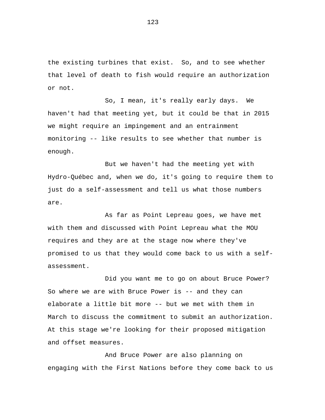the existing turbines that exist. So, and to see whether that level of death to fish would require an authorization or not.

So, I mean, it's really early days. We haven't had that meeting yet, but it could be that in 2015 we might require an impingement and an entrainment monitoring -- like results to see whether that number is enough.

But we haven't had the meeting yet with Hydro-Québec and, when we do, it's going to require them to just do a self-assessment and tell us what those numbers are.

As far as Point Lepreau goes, we have met with them and discussed with Point Lepreau what the MOU requires and they are at the stage now where they've promised to us that they would come back to us with a selfassessment.

Did you want me to go on about Bruce Power? So where we are with Bruce Power is -- and they can elaborate a little bit more -- but we met with them in March to discuss the commitment to submit an authorization. At this stage we're looking for their proposed mitigation and offset measures.

And Bruce Power are also planning on engaging with the First Nations before they come back to us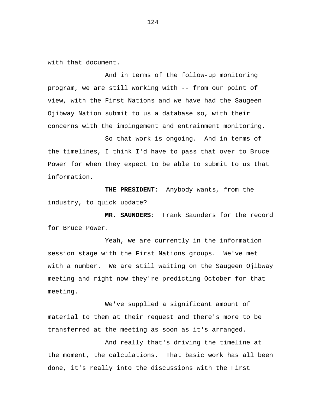with that document.

And in terms of the follow-up monitoring program, we are still working with -- from our point of view, with the First Nations and we have had the Saugeen Ojibway Nation submit to us a database so, with their concerns with the impingement and entrainment monitoring.

So that work is ongoing. And in terms of the timelines, I think I'd have to pass that over to Bruce Power for when they expect to be able to submit to us that information.

**THE PRESIDENT:** Anybody wants, from the industry, to quick update?

**MR. SAUNDERS:** Frank Saunders for the record for Bruce Power.

Yeah, we are currently in the information session stage with the First Nations groups. We've met with a number. We are still waiting on the Saugeen Ojibway meeting and right now they're predicting October for that meeting.

We've supplied a significant amount of material to them at their request and there's more to be transferred at the meeting as soon as it's arranged.

And really that's driving the timeline at the moment, the calculations. That basic work has all been done, it's really into the discussions with the First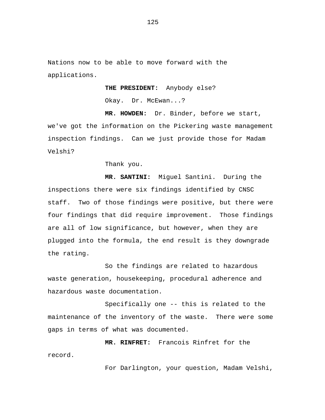Nations now to be able to move forward with the applications.

**THE PRESIDENT:** Anybody else?

Okay. Dr. McEwan...?

**MR. HOWDEN:** Dr. Binder, before we start, we've got the information on the Pickering waste management inspection findings. Can we just provide those for Madam Velshi?

Thank you.

**MR. SANTINI:** Miguel Santini. During the inspections there were six findings identified by CNSC staff. Two of those findings were positive, but there were four findings that did require improvement. Those findings are all of low significance, but however, when they are plugged into the formula, the end result is they downgrade the rating.

So the findings are related to hazardous waste generation, housekeeping, procedural adherence and hazardous waste documentation.

Specifically one -- this is related to the maintenance of the inventory of the waste. There were some gaps in terms of what was documented.

**MR. RINFRET:** Francois Rinfret for the record.

For Darlington, your question, Madam Velshi,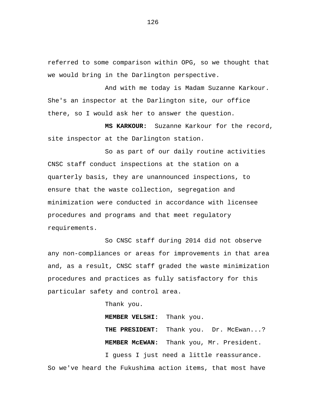referred to some comparison within OPG, so we thought that we would bring in the Darlington perspective.

And with me today is Madam Suzanne Karkour. She's an inspector at the Darlington site, our office there, so I would ask her to answer the question.

**MS KARKOUR:** Suzanne Karkour for the record, site inspector at the Darlington station.

So as part of our daily routine activities CNSC staff conduct inspections at the station on a quarterly basis, they are unannounced inspections, to ensure that the waste collection, segregation and minimization were conducted in accordance with licensee procedures and programs and that meet regulatory requirements.

So CNSC staff during 2014 did not observe any non-compliances or areas for improvements in that area and, as a result, CNSC staff graded the waste minimization procedures and practices as fully satisfactory for this particular safety and control area.

Thank you.

**MEMBER VELSHI:** Thank you.

THE PRESIDENT: Thank you. Dr. McEwan...? **MEMBER McEWAN:** Thank you, Mr. President.

I guess I just need a little reassurance. So we've heard the Fukushima action items, that most have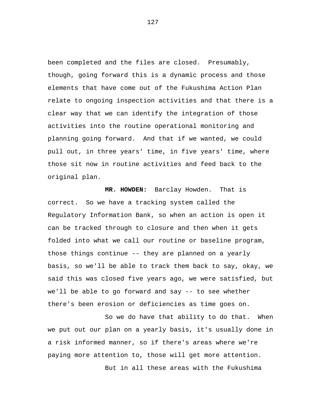been completed and the files are closed. Presumably, though, going forward this is a dynamic process and those elements that have come out of the Fukushima Action Plan relate to ongoing inspection activities and that there is a clear way that we can identify the integration of those activities into the routine operational monitoring and planning going forward. And that if we wanted, we could pull out, in three years' time, in five years' time, where those sit now in routine activities and feed back to the original plan.

**MR. HOWDEN:** Barclay Howden. That is correct. So we have a tracking system called the Regulatory Information Bank, so when an action is open it can be tracked through to closure and then when it gets folded into what we call our routine or baseline program, those things continue -- they are planned on a yearly basis, so we'll be able to track them back to say, okay, we said this was closed five years ago, we were satisfied, but we'll be able to go forward and say -- to see whether there's been erosion or deficiencies as time goes on.

So we do have that ability to do that. When we put out our plan on a yearly basis, it's usually done in a risk informed manner, so if there's areas where we're paying more attention to, those will get more attention. But in all these areas with the Fukushima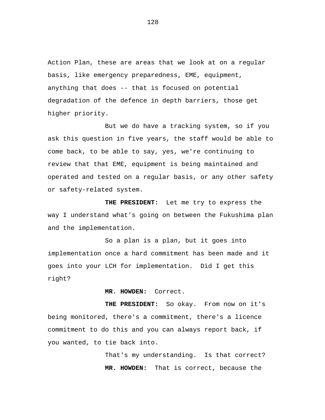Action Plan, these are areas that we look at on a regular basis, like emergency preparedness, EME, equipment, anything that does -- that is focused on potential degradation of the defence in depth barriers, those get higher priority.

But we do have a tracking system, so if you ask this question in five years, the staff would be able to come back, to be able to say, yes, we're continuing to review that that EME, equipment is being maintained and operated and tested on a regular basis, or any other safety or safety-related system.

**THE PRESIDENT:** Let me try to express the way I understand what's going on between the Fukushima plan and the implementation.

So a plan is a plan, but it goes into implementation once a hard commitment has been made and it goes into your LCH for implementation. Did I get this right?

**MR. HOWDEN:** Correct.

**THE PRESIDENT:** So okay. From now on it's being monitored, there's a commitment, there's a licence commitment to do this and you can always report back, if you wanted, to tie back into.

> That's my understanding. Is that correct? **MR. HOWDEN:** That is correct, because the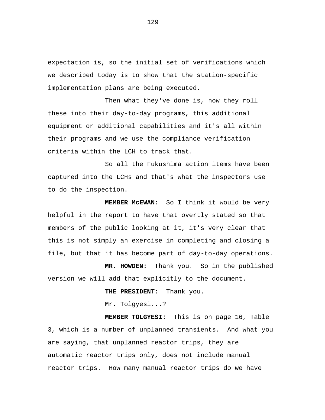expectation is, so the initial set of verifications which we described today is to show that the station-specific implementation plans are being executed.

Then what they've done is, now they roll these into their day-to-day programs, this additional equipment or additional capabilities and it's all within their programs and we use the compliance verification criteria within the LCH to track that.

So all the Fukushima action items have been captured into the LCHs and that's what the inspectors use to do the inspection.

**MEMBER McEWAN:** So I think it would be very helpful in the report to have that overtly stated so that members of the public looking at it, it's very clear that this is not simply an exercise in completing and closing a file, but that it has become part of day-to-day operations.

**MR. HOWDEN:** Thank you. So in the published version we will add that explicitly to the document.

**THE PRESIDENT:** Thank you.

Mr. Tolgyesi...?

**MEMBER TOLGYESI:** This is on page 16, Table 3, which is a number of unplanned transients. And what you are saying, that unplanned reactor trips, they are automatic reactor trips only, does not include manual reactor trips. How many manual reactor trips do we have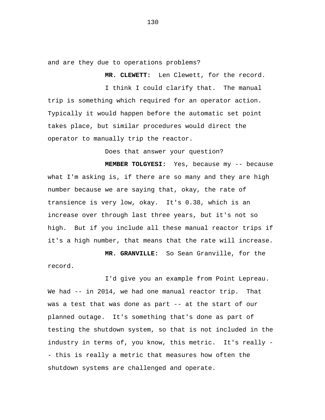and are they due to operations problems?

**MR. CLEWETT:** Len Clewett, for the record. I think I could clarify that. The manual trip is something which required for an operator action. Typically it would happen before the automatic set point takes place, but similar procedures would direct the operator to manually trip the reactor.

Does that answer your question?

**MEMBER TOLGYESI:** Yes, because my -- because what I'm asking is, if there are so many and they are high number because we are saying that, okay, the rate of transience is very low, okay. It's 0.38, which is an increase over through last three years, but it's not so high. But if you include all these manual reactor trips if it's a high number, that means that the rate will increase.

**MR. GRANVILLE:** So Sean Granville, for the record.

I'd give you an example from Point Lepreau. We had -- in 2014, we had one manual reactor trip. That was a test that was done as part -- at the start of our planned outage. It's something that's done as part of testing the shutdown system, so that is not included in the industry in terms of, you know, this metric. It's really -- this is really a metric that measures how often the shutdown systems are challenged and operate.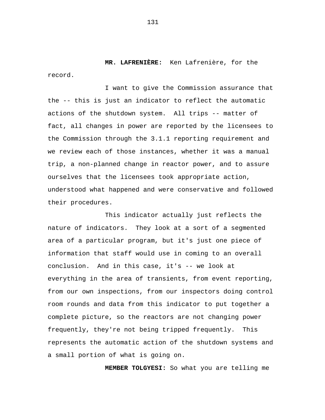**MR. LAFRENIÈRE:** Ken Lafrenière, for the record.

I want to give the Commission assurance that the -- this is just an indicator to reflect the automatic actions of the shutdown system. All trips -- matter of fact, all changes in power are reported by the licensees to the Commission through the 3.1.1 reporting requirement and we review each of those instances, whether it was a manual trip, a non-planned change in reactor power, and to assure ourselves that the licensees took appropriate action, understood what happened and were conservative and followed their procedures.

This indicator actually just reflects the nature of indicators. They look at a sort of a segmented area of a particular program, but it's just one piece of information that staff would use in coming to an overall conclusion. And in this case, it's -- we look at everything in the area of transients, from event reporting, from our own inspections, from our inspectors doing control room rounds and data from this indicator to put together a complete picture, so the reactors are not changing power frequently, they're not being tripped frequently. This represents the automatic action of the shutdown systems and a small portion of what is going on.

 **MEMBER TOLGYESI:** So what you are telling me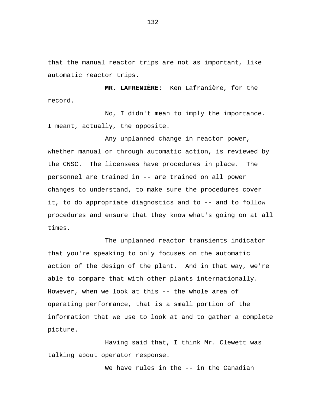that the manual reactor trips are not as important, like automatic reactor trips.

**MR. LAFRENIÈRE:** Ken Lafranière, for the record.

No, I didn't mean to imply the importance. I meant, actually, the opposite.

Any unplanned change in reactor power, whether manual or through automatic action, is reviewed by the CNSC. The licensees have procedures in place. The personnel are trained in -- are trained on all power changes to understand, to make sure the procedures cover it, to do appropriate diagnostics and to -- and to follow procedures and ensure that they know what's going on at all times.

The unplanned reactor transients indicator that you're speaking to only focuses on the automatic action of the design of the plant. And in that way, we're able to compare that with other plants internationally. However, when we look at this -- the whole area of operating performance, that is a small portion of the information that we use to look at and to gather a complete picture.

Having said that, I think Mr. Clewett was talking about operator response.

We have rules in the -- in the Canadian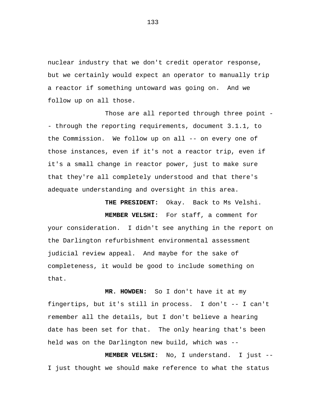nuclear industry that we don't credit operator response, but we certainly would expect an operator to manually trip a reactor if something untoward was going on. And we follow up on all those.

Those are all reported through three point -- through the reporting requirements, document 3.1.1, to the Commission. We follow up on all -- on every one of those instances, even if it's not a reactor trip, even if it's a small change in reactor power, just to make sure that they're all completely understood and that there's adequate understanding and oversight in this area.

**THE PRESIDENT:** Okay. Back to Ms Velshi. **MEMBER VELSHI:** For staff, a comment for your consideration. I didn't see anything in the report on the Darlington refurbishment environmental assessment judicial review appeal. And maybe for the sake of completeness, it would be good to include something on that.

**MR. HOWDEN:** So I don't have it at my fingertips, but it's still in process. I don't -- I can't remember all the details, but I don't believe a hearing date has been set for that. The only hearing that's been held was on the Darlington new build, which was --

**MEMBER VELSHI:** No, I understand. I just -- I just thought we should make reference to what the status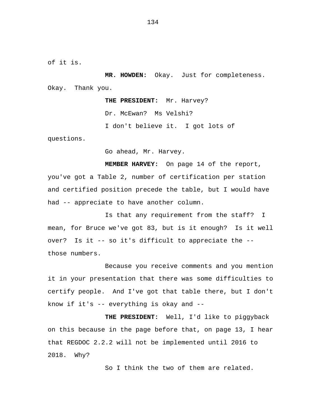of it is.

**MR. HOWDEN:** Okay. Just for completeness. Okay. Thank you.

> **THE PRESIDENT:** Mr. Harvey? Dr. McEwan? Ms Velshi?

I don't believe it. I got lots of

questions.

Go ahead, Mr. Harvey.

**MEMBER HARVEY:** On page 14 of the report, you've got a Table 2, number of certification per station and certified position precede the table, but I would have had -- appreciate to have another column.

Is that any requirement from the staff? I mean, for Bruce we've got 83, but is it enough? Is it well over? Is it -- so it's difficult to appreciate the - those numbers.

Because you receive comments and you mention it in your presentation that there was some difficulties to certify people. And I've got that table there, but I don't know if it's -- everything is okay and --

**THE PRESIDENT:** Well, I'd like to piggyback on this because in the page before that, on page 13, I hear that REGDOC 2.2.2 will not be implemented until 2016 to 2018. Why?

So I think the two of them are related.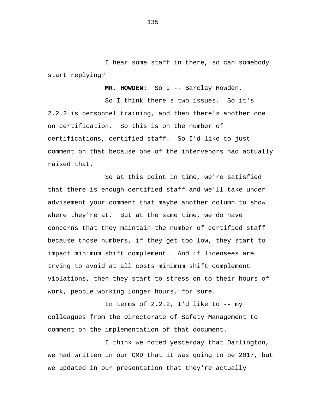I hear some staff in there, so can somebody start replying?

 **MR. HOWDEN:** So I -- Barclay Howden.

So I think there's two issues. So it's 2.2.2 is personnel training, and then there's another one on certification. So this is on the number of certifications, certified staff. So I'd like to just comment on that because one of the intervenors had actually raised that.

So at this point in time, we're satisfied that there is enough certified staff and we'll take under advisement your comment that maybe another column to show where they're at. But at the same time, we do have concerns that they maintain the number of certified staff because those numbers, if they get too low, they start to impact minimum shift complement. And if licensees are trying to avoid at all costs minimum shift complement violations, then they start to stress on to their hours of work, people working longer hours, for sure.

In terms of  $2.2.2$ , I'd like to  $-$ - my colleagues from the Directorate of Safety Management to comment on the implementation of that document.

I think we noted yesterday that Darlington, we had written in our CMD that it was going to be 2017, but we updated in our presentation that they're actually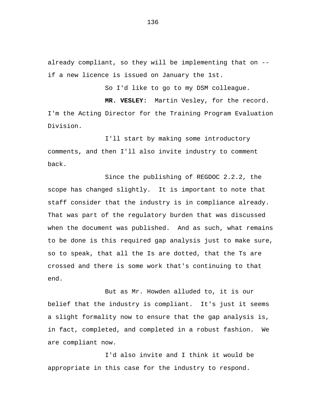already compliant, so they will be implementing that on - if a new licence is issued on January the 1st.

So I'd like to go to my DSM colleague.

**MR. VESLEY:** Martin Vesley, for the record. I'm the Acting Director for the Training Program Evaluation Division.

I'll start by making some introductory comments, and then I'll also invite industry to comment back.

Since the publishing of REGDOC 2.2.2, the scope has changed slightly. It is important to note that staff consider that the industry is in compliance already. That was part of the regulatory burden that was discussed when the document was published. And as such, what remains to be done is this required gap analysis just to make sure, so to speak, that all the Is are dotted, that the Ts are crossed and there is some work that's continuing to that end.

But as Mr. Howden alluded to, it is our belief that the industry is compliant. It's just it seems a slight formality now to ensure that the gap analysis is, in fact, completed, and completed in a robust fashion. We are compliant now.

I'd also invite and I think it would be appropriate in this case for the industry to respond.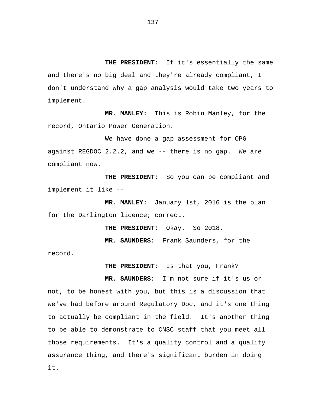**THE PRESIDENT:** If it's essentially the same and there's no big deal and they're already compliant, I don't understand why a gap analysis would take two years to implement.

**MR. MANLEY:** This is Robin Manley, for the record, Ontario Power Generation.

We have done a gap assessment for OPG against REGDOC 2.2.2, and we -- there is no gap. We are compliant now.

**THE PRESIDENT:** So you can be compliant and implement it like --

**MR. MANLEY:** January 1st, 2016 is the plan for the Darlington licence; correct.

**THE PRESIDENT:** Okay. So 2018.

**MR. SAUNDERS:** Frank Saunders, for the

record.

**THE PRESIDENT:** Is that you, Frank?

**MR. SAUNDERS:** I'm not sure if it's us or not, to be honest with you, but this is a discussion that we've had before around Regulatory Doc, and it's one thing to actually be compliant in the field. It's another thing to be able to demonstrate to CNSC staff that you meet all those requirements. It's a quality control and a quality assurance thing, and there's significant burden in doing it.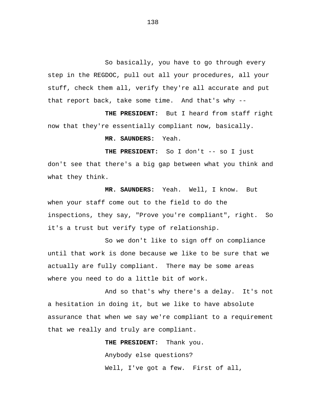So basically, you have to go through every step in the REGDOC, pull out all your procedures, all your stuff, check them all, verify they're all accurate and put that report back, take some time. And that's why --

**THE PRESIDENT:** But I heard from staff right now that they're essentially compliant now, basically.

**MR. SAUNDERS:** Yeah.

**THE PRESIDENT:** So I don't -- so I just don't see that there's a big gap between what you think and what they think.

**MR. SAUNDERS:** Yeah. Well, I know. But when your staff come out to the field to do the inspections, they say, "Prove you're compliant", right. So it's a trust but verify type of relationship.

So we don't like to sign off on compliance until that work is done because we like to be sure that we actually are fully compliant. There may be some areas where you need to do a little bit of work.

And so that's why there's a delay. It's not a hesitation in doing it, but we like to have absolute assurance that when we say we're compliant to a requirement that we really and truly are compliant.

> **THE PRESIDENT:** Thank you. Anybody else questions? Well, I've got a few. First of all,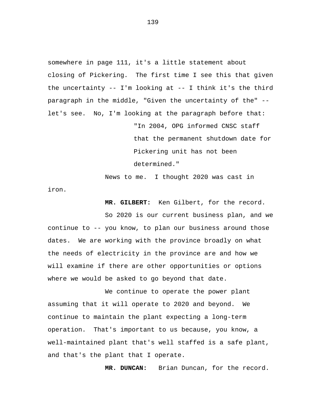somewhere in page 111, it's a little statement about closing of Pickering. The first time I see this that given the uncertainty  $--$  I'm looking at  $--$  I think it's the third paragraph in the middle, "Given the uncertainty of the" - let's see. No, I'm looking at the paragraph before that:

> "In 2004, OPG informed CNSC staff that the permanent shutdown date for Pickering unit has not been determined."

News to me. I thought 2020 was cast in iron.

**MR. GILBERT:** Ken Gilbert, for the record.

So 2020 is our current business plan, and we continue to -- you know, to plan our business around those dates. We are working with the province broadly on what the needs of electricity in the province are and how we will examine if there are other opportunities or options where we would be asked to go beyond that date.

We continue to operate the power plant assuming that it will operate to 2020 and beyond. We continue to maintain the plant expecting a long-term operation. That's important to us because, you know, a well-maintained plant that's well staffed is a safe plant, and that's the plant that I operate.

**MR. DUNCAN:** Brian Duncan, for the record.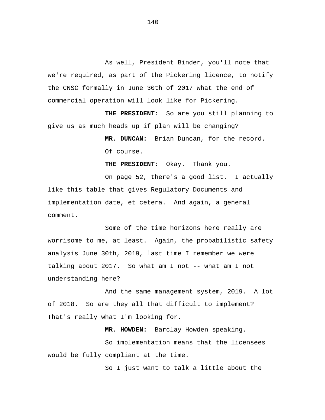As well, President Binder, you'll note that we're required, as part of the Pickering licence, to notify the CNSC formally in June 30th of 2017 what the end of commercial operation will look like for Pickering.

**THE PRESIDENT:** So are you still planning to give us as much heads up if plan will be changing?

> **MR. DUNCAN:** Brian Duncan, for the record. Of course.

**THE PRESIDENT:** Okay. Thank you.

On page 52, there's a good list. I actually like this table that gives Regulatory Documents and implementation date, et cetera. And again, a general comment.

Some of the time horizons here really are worrisome to me, at least. Again, the probabilistic safety analysis June 30th, 2019, last time I remember we were talking about 2017. So what am I not -- what am I not understanding here?

And the same management system, 2019. A lot of 2018. So are they all that difficult to implement? That's really what I'm looking for.

**MR. HOWDEN:** Barclay Howden speaking.

So implementation means that the licensees would be fully compliant at the time.

So I just want to talk a little about the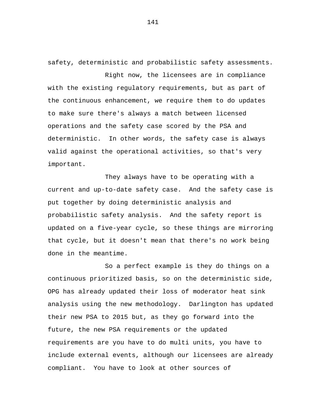safety, deterministic and probabilistic safety assessments.

Right now, the licensees are in compliance with the existing regulatory requirements, but as part of the continuous enhancement, we require them to do updates to make sure there's always a match between licensed operations and the safety case scored by the PSA and deterministic. In other words, the safety case is always valid against the operational activities, so that's very important.

They always have to be operating with a current and up-to-date safety case. And the safety case is put together by doing deterministic analysis and probabilistic safety analysis. And the safety report is updated on a five-year cycle, so these things are mirroring that cycle, but it doesn't mean that there's no work being done in the meantime.

So a perfect example is they do things on a continuous prioritized basis, so on the deterministic side, OPG has already updated their loss of moderator heat sink analysis using the new methodology. Darlington has updated their new PSA to 2015 but, as they go forward into the future, the new PSA requirements or the updated requirements are you have to do multi units, you have to include external events, although our licensees are already compliant. You have to look at other sources of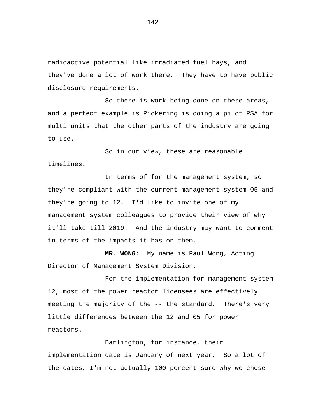radioactive potential like irradiated fuel bays, and they've done a lot of work there. They have to have public disclosure requirements.

So there is work being done on these areas, and a perfect example is Pickering is doing a pilot PSA for multi units that the other parts of the industry are going to use.

So in our view, these are reasonable timelines.

In terms of for the management system, so they're compliant with the current management system 05 and they're going to 12. I'd like to invite one of my management system colleagues to provide their view of why it'll take till 2019. And the industry may want to comment in terms of the impacts it has on them.

**MR. WONG:** My name is Paul Wong, Acting Director of Management System Division.

For the implementation for management system 12, most of the power reactor licensees are effectively meeting the majority of the -- the standard. There's very little differences between the 12 and 05 for power reactors.

Darlington, for instance, their

implementation date is January of next year. So a lot of the dates, I'm not actually 100 percent sure why we chose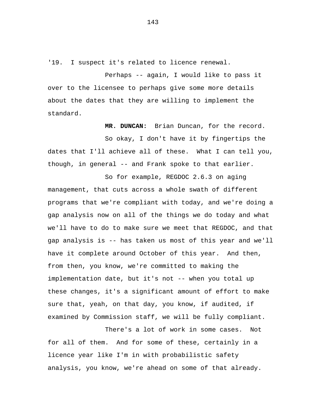'19. I suspect it's related to licence renewal.

Perhaps -- again, I would like to pass it over to the licensee to perhaps give some more details about the dates that they are willing to implement the standard.

**MR. DUNCAN:** Brian Duncan, for the record.

So okay, I don't have it by fingertips the dates that I'll achieve all of these. What I can tell you, though, in general -- and Frank spoke to that earlier.

So for example, REGDOC 2.6.3 on aging management, that cuts across a whole swath of different programs that we're compliant with today, and we're doing a gap analysis now on all of the things we do today and what we'll have to do to make sure we meet that REGDOC, and that gap analysis is -- has taken us most of this year and we'll have it complete around October of this year. And then, from then, you know, we're committed to making the implementation date, but it's not -- when you total up these changes, it's a significant amount of effort to make sure that, yeah, on that day, you know, if audited, if examined by Commission staff, we will be fully compliant.

There's a lot of work in some cases. Not for all of them. And for some of these, certainly in a licence year like I'm in with probabilistic safety analysis, you know, we're ahead on some of that already.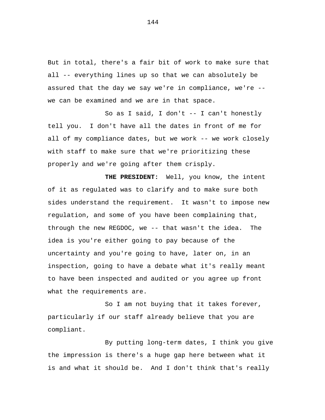But in total, there's a fair bit of work to make sure that all -- everything lines up so that we can absolutely be assured that the day we say we're in compliance, we're - we can be examined and we are in that space.

So as I said, I don't -- I can't honestly tell you. I don't have all the dates in front of me for all of my compliance dates, but we work -- we work closely with staff to make sure that we're prioritizing these properly and we're going after them crisply.

**THE PRESIDENT:** Well, you know, the intent of it as regulated was to clarify and to make sure both sides understand the requirement. It wasn't to impose new regulation, and some of you have been complaining that, through the new REGDOC, we -- that wasn't the idea. The idea is you're either going to pay because of the uncertainty and you're going to have, later on, in an inspection, going to have a debate what it's really meant to have been inspected and audited or you agree up front what the requirements are.

So I am not buying that it takes forever, particularly if our staff already believe that you are compliant.

By putting long-term dates, I think you give the impression is there's a huge gap here between what it is and what it should be. And I don't think that's really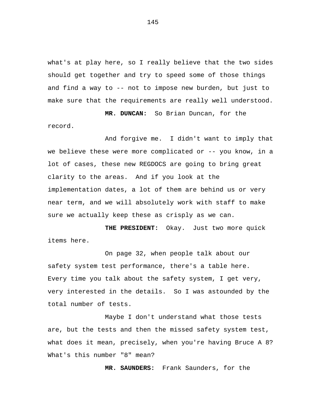what's at play here, so I really believe that the two sides should get together and try to speed some of those things and find a way to -- not to impose new burden, but just to make sure that the requirements are really well understood.

**MR. DUNCAN:** So Brian Duncan, for the record.

And forgive me. I didn't want to imply that we believe these were more complicated or -- you know, in a lot of cases, these new REGDOCS are going to bring great clarity to the areas. And if you look at the implementation dates, a lot of them are behind us or very near term, and we will absolutely work with staff to make sure we actually keep these as crisply as we can.

**THE PRESIDENT:** Okay. Just two more quick items here.

On page 32, when people talk about our safety system test performance, there's a table here. Every time you talk about the safety system, I get very, very interested in the details. So I was astounded by the total number of tests.

Maybe I don't understand what those tests are, but the tests and then the missed safety system test, what does it mean, precisely, when you're having Bruce A 8? What's this number "8" mean?

**MR. SAUNDERS:** Frank Saunders, for the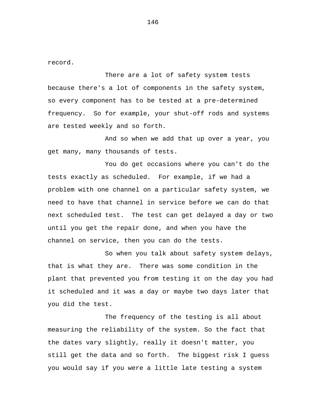record.

There are a lot of safety system tests because there's a lot of components in the safety system, so every component has to be tested at a pre-determined frequency. So for example, your shut-off rods and systems are tested weekly and so forth.

And so when we add that up over a year, you get many, many thousands of tests.

You do get occasions where you can't do the tests exactly as scheduled. For example, if we had a problem with one channel on a particular safety system, we need to have that channel in service before we can do that next scheduled test. The test can get delayed a day or two until you get the repair done, and when you have the channel on service, then you can do the tests.

So when you talk about safety system delays, that is what they are. There was some condition in the plant that prevented you from testing it on the day you had it scheduled and it was a day or maybe two days later that you did the test.

The frequency of the testing is all about measuring the reliability of the system. So the fact that the dates vary slightly, really it doesn't matter, you still get the data and so forth. The biggest risk I guess you would say if you were a little late testing a system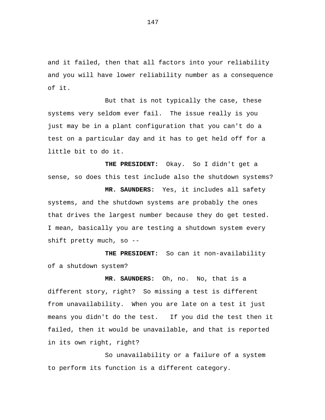and it failed, then that all factors into your reliability and you will have lower reliability number as a consequence of it.

But that is not typically the case, these systems very seldom ever fail. The issue really is you just may be in a plant configuration that you can't do a test on a particular day and it has to get held off for a little bit to do it.

 **THE PRESIDENT:** Okay. So I didn't get a sense, so does this test include also the shutdown systems?

**MR. SAUNDERS:** Yes, it includes all safety systems, and the shutdown systems are probably the ones that drives the largest number because they do get tested. I mean, basically you are testing a shutdown system every shift pretty much, so --

**THE PRESIDENT:** So can it non-availability of a shutdown system?

**MR. SAUNDERS:** Oh, no. No, that is a different story, right? So missing a test is different from unavailability. When you are late on a test it just means you didn't do the test. If you did the test then it failed, then it would be unavailable, and that is reported in its own right, right?

So unavailability or a failure of a system to perform its function is a different category.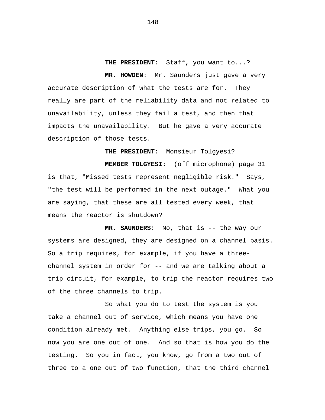**THE PRESIDENT:** Staff, you want to...?

**MR. HOWDEN**: Mr. Saunders just gave a very accurate description of what the tests are for. They really are part of the reliability data and not related to unavailability, unless they fail a test, and then that impacts the unavailability. But he gave a very accurate description of those tests.

**THE PRESIDENT:** Monsieur Tolgyesi? **MEMBER TOLGYESI:** (off microphone) page 31 is that, "Missed tests represent negligible risk." Says, "the test will be performed in the next outage." What you are saying, that these are all tested every week, that means the reactor is shutdown?

**MR. SAUNDERS:** No, that is -- the way our systems are designed, they are designed on a channel basis. So a trip requires, for example, if you have a threechannel system in order for -- and we are talking about a trip circuit, for example, to trip the reactor requires two of the three channels to trip.

So what you do to test the system is you take a channel out of service, which means you have one condition already met. Anything else trips, you go. So now you are one out of one. And so that is how you do the testing. So you in fact, you know, go from a two out of three to a one out of two function, that the third channel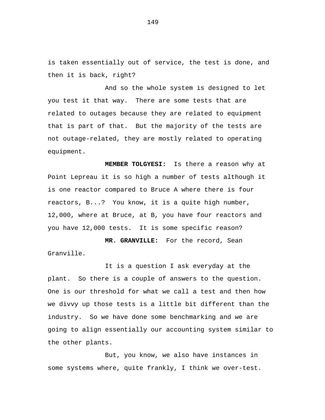is taken essentially out of service, the test is done, and then it is back, right?

And so the whole system is designed to let you test it that way. There are some tests that are related to outages because they are related to equipment that is part of that. But the majority of the tests are not outage-related, they are mostly related to operating equipment.

**MEMBER TOLGYESI:** Is there a reason why at Point Lepreau it is so high a number of tests although it is one reactor compared to Bruce A where there is four reactors, B...? You know, it is a quite high number, 12,000, where at Bruce, at B, you have four reactors and you have 12,000 tests. It is some specific reason?

**MR. GRANVILLE:** For the record, Sean Granville.

It is a question I ask everyday at the plant. So there is a couple of answers to the question. One is our threshold for what we call a test and then how we divvy up those tests is a little bit different than the industry. So we have done some benchmarking and we are going to align essentially our accounting system similar to the other plants.

But, you know, we also have instances in some systems where, quite frankly, I think we over-test.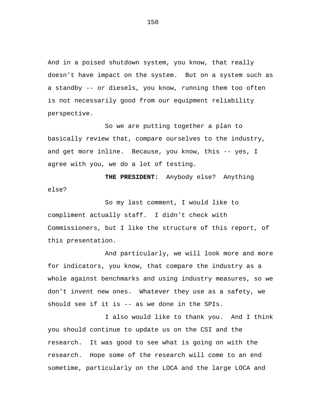And in a poised shutdown system, you know, that really doesn't have impact on the system. But on a system such as a standby -- or diesels, you know, running them too often is not necessarily good from our equipment reliability perspective.

So we are putting together a plan to basically review that, compare ourselves to the industry, and get more inline. Because, you know, this -- yes, I agree with you, we do a lot of testing.

**THE PRESIDENT:** Anybody else? Anything else?

So my last comment, I would like to compliment actually staff. I didn't check with Commissioners, but I like the structure of this report, of this presentation.

And particularly, we will look more and more for indicators, you know, that compare the industry as a whole against benchmarks and using industry measures, so we don't invent new ones. Whatever they use as a safety, we should see if it is -- as we done in the SPIs.

I also would like to thank you. And I think you should continue to update us on the CSI and the research. It was good to see what is going on with the research. Hope some of the research will come to an end sometime, particularly on the LOCA and the large LOCA and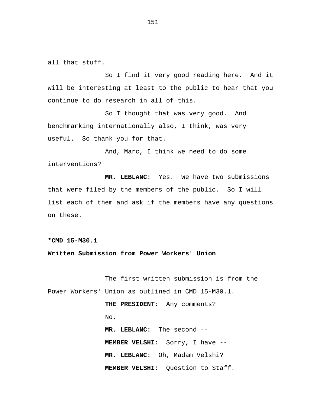all that stuff.

So I find it very good reading here. And it will be interesting at least to the public to hear that you continue to do research in all of this.

So I thought that was very good. And benchmarking internationally also, I think, was very useful. So thank you for that.

And, Marc, I think we need to do some interventions?

**MR. LEBLANC:** Yes. We have two submissions that were filed by the members of the public. So I will list each of them and ask if the members have any questions on these.

**\*CMD 15-M30.1** 

**Written Submission from Power Workers' Union** 

The first written submission is from the Power Workers' Union as outlined in CMD 15-M30.1.

> **THE PRESIDENT:** Any comments? No.

**MR. LEBLANC:** The second -- **MEMBER VELSHI:** Sorry, I have -- **MR. LEBLANC:** Oh, Madam Velshi? **MEMBER VELSHI:** Question to Staff.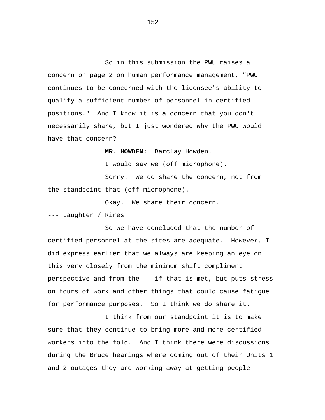So in this submission the PWU raises a concern on page 2 on human performance management, "PWU continues to be concerned with the licensee's ability to qualify a sufficient number of personnel in certified positions." And I know it is a concern that you don't necessarily share, but I just wondered why the PWU would have that concern?

**MR. HOWDEN:** Barclay Howden.

I would say we (off microphone).

Sorry. We do share the concern, not from the standpoint that (off microphone).

Okay. We share their concern.

--- Laughter / Rires

So we have concluded that the number of certified personnel at the sites are adequate. However, I did express earlier that we always are keeping an eye on this very closely from the minimum shift compliment perspective and from the -- if that is met, but puts stress on hours of work and other things that could cause fatigue for performance purposes. So I think we do share it.

I think from our standpoint it is to make sure that they continue to bring more and more certified workers into the fold. And I think there were discussions during the Bruce hearings where coming out of their Units 1 and 2 outages they are working away at getting people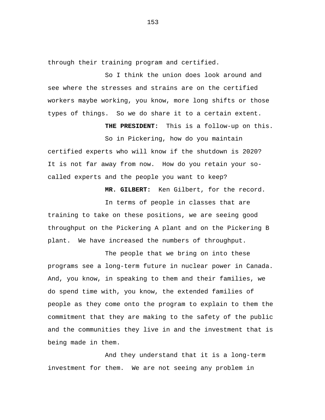through their training program and certified.

So I think the union does look around and see where the stresses and strains are on the certified workers maybe working, you know, more long shifts or those types of things. So we do share it to a certain extent.

 **THE PRESIDENT:** This is a follow-up on this.

So in Pickering, how do you maintain certified experts who will know if the shutdown is 2020? It is not far away from now. How do you retain your socalled experts and the people you want to keep?

 **MR. GILBERT:** Ken Gilbert, for the record.

In terms of people in classes that are training to take on these positions, we are seeing good throughput on the Pickering A plant and on the Pickering B plant. We have increased the numbers of throughput.

The people that we bring on into these programs see a long-term future in nuclear power in Canada. And, you know, in speaking to them and their families, we do spend time with, you know, the extended families of people as they come onto the program to explain to them the commitment that they are making to the safety of the public and the communities they live in and the investment that is being made in them.

And they understand that it is a long-term investment for them. We are not seeing any problem in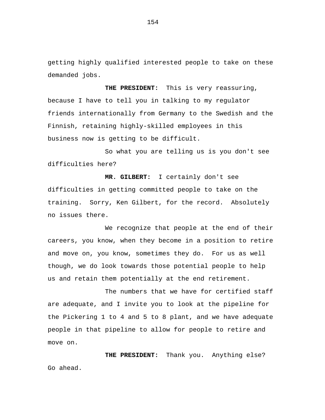getting highly qualified interested people to take on these demanded jobs.

**THE PRESIDENT:** This is very reassuring, because I have to tell you in talking to my regulator friends internationally from Germany to the Swedish and the Finnish, retaining highly-skilled employees in this business now is getting to be difficult.

So what you are telling us is you don't see difficulties here?

**MR. GILBERT:** I certainly don't see difficulties in getting committed people to take on the training. Sorry, Ken Gilbert, for the record. Absolutely no issues there.

We recognize that people at the end of their careers, you know, when they become in a position to retire and move on, you know, sometimes they do. For us as well though, we do look towards those potential people to help us and retain them potentially at the end retirement.

The numbers that we have for certified staff are adequate, and I invite you to look at the pipeline for the Pickering 1 to 4 and 5 to 8 plant, and we have adequate people in that pipeline to allow for people to retire and move on.

**THE PRESIDENT:** Thank you. Anything else? Go ahead.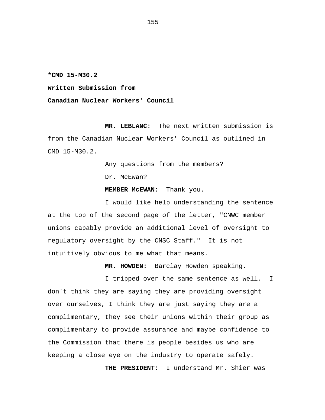**\*CMD 15-M30.2** 

**Written Submission from** 

**Canadian Nuclear Workers' Council** 

**MR. LEBLANC:** The next written submission is from the Canadian Nuclear Workers' Council as outlined in CMD 15-M30.2.

> Any questions from the members? Dr. McEwan?

 **MEMBER McEWAN:** Thank you.

I would like help understanding the sentence at the top of the second page of the letter, "CNWC member unions capably provide an additional level of oversight to regulatory oversight by the CNSC Staff." It is not intuitively obvious to me what that means.

 **MR. HOWDEN:** Barclay Howden speaking.

I tripped over the same sentence as well. I don't think they are saying they are providing oversight over ourselves, I think they are just saying they are a complimentary, they see their unions within their group as complimentary to provide assurance and maybe confidence to the Commission that there is people besides us who are keeping a close eye on the industry to operate safely.

 **THE PRESIDENT:** I understand Mr. Shier was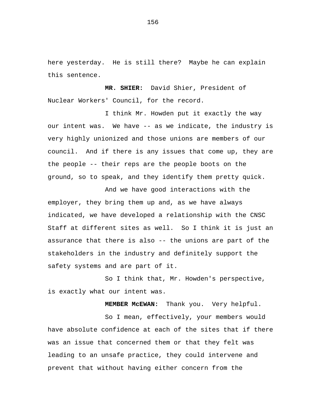here yesterday. He is still there? Maybe he can explain this sentence.

 **MR. SHIER:** David Shier, President of Nuclear Workers' Council, for the record.

I think Mr. Howden put it exactly the way our intent was. We have -- as we indicate, the industry is very highly unionized and those unions are members of our council. And if there is any issues that come up, they are the people -- their reps are the people boots on the ground, so to speak, and they identify them pretty quick.

And we have good interactions with the employer, they bring them up and, as we have always indicated, we have developed a relationship with the CNSC Staff at different sites as well. So I think it is just an assurance that there is also -- the unions are part of the stakeholders in the industry and definitely support the safety systems and are part of it.

So I think that, Mr. Howden's perspective, is exactly what our intent was.

 **MEMBER McEWAN:** Thank you. Very helpful.

So I mean, effectively, your members would have absolute confidence at each of the sites that if there was an issue that concerned them or that they felt was leading to an unsafe practice, they could intervene and prevent that without having either concern from the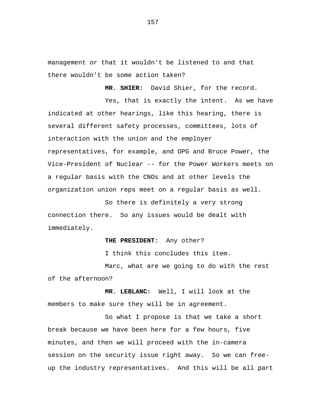management or that it wouldn't be listened to and that there wouldn't be some action taken?

 **MR. SHIER:** David Shier, for the record.

Yes, that is exactly the intent. As we have indicated at other hearings, like this hearing, there is several different safety processes, committees, lots of interaction with the union and the employer representatives, for example, and OPG and Bruce Power, the Vice-President of Nuclear -- for the Power Workers meets on a regular basis with the CNOs and at other levels the organization union reps meet on a regular basis as well.

So there is definitely a very strong connection there. So any issues would be dealt with immediately.

## **THE PRESIDENT:** Any other?

I think this concludes this item.

Marc, what are we going to do with the rest of the afternoon?

**MR. LEBLANC:** Well, I will look at the members to make sure they will be in agreement.

So what I propose is that we take a short break because we have been here for a few hours, five minutes, and then we will proceed with the in-camera session on the security issue right away. So we can freeup the industry representatives. And this will be all part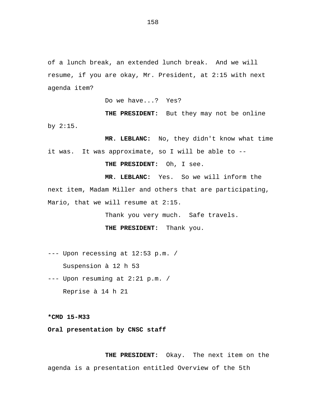of a lunch break, an extended lunch break. And we will resume, if you are okay, Mr. President, at 2:15 with next agenda item?

Do we have...? Yes?

**THE PRESIDENT:** But they may not be online by 2:15.

**MR. LEBLANC:** No, they didn't know what time it was. It was approximate, so I will be able to --

**THE PRESIDENT:** Oh, I see.

**MR. LEBLANC:** Yes. So we will inform the next item, Madam Miller and others that are participating, Mario, that we will resume at 2:15.

Thank you very much. Safe travels.

**THE PRESIDENT:** Thank you.

--- Upon recessing at 12:53 p.m. / Suspension à 12 h 53

--- Upon resuming at 2:21 p.m. / Reprise à 14 h 21

**\*CMD 15-M33** 

**Oral presentation by CNSC staff** 

**THE PRESIDENT:** Okay. The next item on the agenda is a presentation entitled Overview of the 5th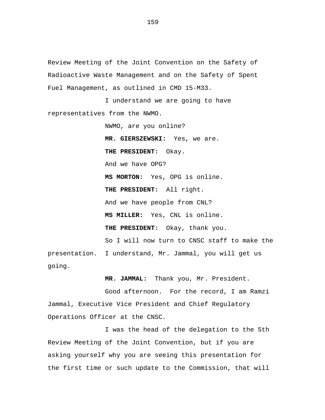Review Meeting of the Joint Convention on the Safety of Radioactive Waste Management and on the Safety of Spent Fuel Management, as outlined in CMD 15-M33.

I understand we are going to have representatives from the NWMO.

> NWMO, are you online? **MR. GIERSZEWSKI:** Yes, we are. **THE PRESIDENT:** Okay. And we have OPG? **MS MORTON:** Yes, OPG is online. **THE PRESIDENT:** All right. And we have people from CNL? **MS MILLER:** Yes, CNL is online. **THE PRESIDENT:** Okay, thank you. So I will now turn to CNSC staff to make the

presentation. I understand, Mr. Jammal, you will get us going.

**MR. JAMMAL:** Thank you, Mr. President.

Good afternoon. For the record, I am Ramzi Jammal, Executive Vice President and Chief Regulatory Operations Officer at the CNSC.

I was the head of the delegation to the 5th Review Meeting of the Joint Convention, but if you are asking yourself why you are seeing this presentation for the first time or such update to the Commission, that will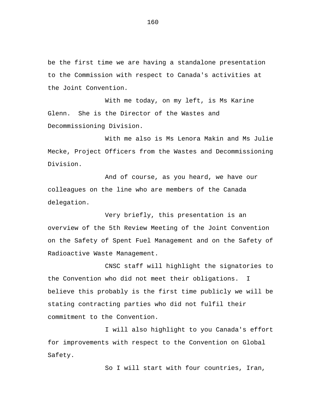be the first time we are having a standalone presentation to the Commission with respect to Canada's activities at the Joint Convention.

With me today, on my left, is Ms Karine Glenn. She is the Director of the Wastes and Decommissioning Division.

With me also is Ms Lenora Makin and Ms Julie Mecke, Project Officers from the Wastes and Decommissioning Division.

And of course, as you heard, we have our colleagues on the line who are members of the Canada delegation.

Very briefly, this presentation is an overview of the 5th Review Meeting of the Joint Convention on the Safety of Spent Fuel Management and on the Safety of Radioactive Waste Management.

CNSC staff will highlight the signatories to the Convention who did not meet their obligations. I believe this probably is the first time publicly we will be stating contracting parties who did not fulfil their commitment to the Convention.

I will also highlight to you Canada's effort for improvements with respect to the Convention on Global Safety.

So I will start with four countries, Iran,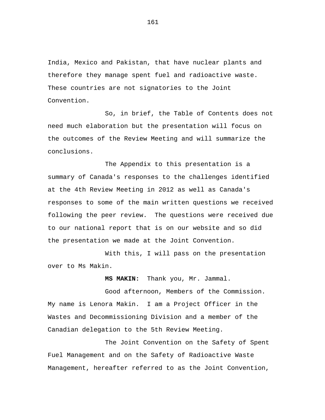India, Mexico and Pakistan, that have nuclear plants and therefore they manage spent fuel and radioactive waste. These countries are not signatories to the Joint Convention.

So, in brief, the Table of Contents does not need much elaboration but the presentation will focus on the outcomes of the Review Meeting and will summarize the conclusions.

The Appendix to this presentation is a summary of Canada's responses to the challenges identified at the 4th Review Meeting in 2012 as well as Canada's responses to some of the main written questions we received following the peer review. The questions were received due to our national report that is on our website and so did the presentation we made at the Joint Convention.

With this, I will pass on the presentation over to Ms Makin.

**MS MAKIN:** Thank you, Mr. Jammal.

Good afternoon, Members of the Commission. My name is Lenora Makin. I am a Project Officer in the Wastes and Decommissioning Division and a member of the Canadian delegation to the 5th Review Meeting.

The Joint Convention on the Safety of Spent Fuel Management and on the Safety of Radioactive Waste Management, hereafter referred to as the Joint Convention,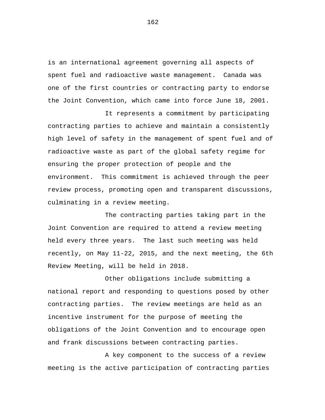is an international agreement governing all aspects of spent fuel and radioactive waste management. Canada was one of the first countries or contracting party to endorse the Joint Convention, which came into force June 18, 2001.

It represents a commitment by participating contracting parties to achieve and maintain a consistently high level of safety in the management of spent fuel and of radioactive waste as part of the global safety regime for ensuring the proper protection of people and the environment. This commitment is achieved through the peer review process, promoting open and transparent discussions, culminating in a review meeting.

The contracting parties taking part in the Joint Convention are required to attend a review meeting held every three years. The last such meeting was held recently, on May 11-22, 2015, and the next meeting, the 6th Review Meeting, will be held in 2018.

Other obligations include submitting a national report and responding to questions posed by other contracting parties. The review meetings are held as an incentive instrument for the purpose of meeting the obligations of the Joint Convention and to encourage open and frank discussions between contracting parties.

A key component to the success of a review meeting is the active participation of contracting parties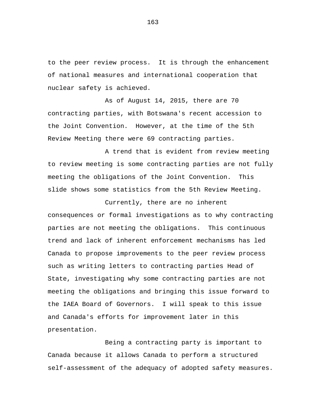to the peer review process. It is through the enhancement of national measures and international cooperation that nuclear safety is achieved.

As of August 14, 2015, there are 70 contracting parties, with Botswana's recent accession to the Joint Convention. However, at the time of the 5th Review Meeting there were 69 contracting parties.

A trend that is evident from review meeting to review meeting is some contracting parties are not fully meeting the obligations of the Joint Convention. This slide shows some statistics from the 5th Review Meeting.

Currently, there are no inherent consequences or formal investigations as to why contracting parties are not meeting the obligations. This continuous trend and lack of inherent enforcement mechanisms has led Canada to propose improvements to the peer review process such as writing letters to contracting parties Head of State, investigating why some contracting parties are not meeting the obligations and bringing this issue forward to the IAEA Board of Governors. I will speak to this issue and Canada's efforts for improvement later in this presentation.

Being a contracting party is important to Canada because it allows Canada to perform a structured self-assessment of the adequacy of adopted safety measures.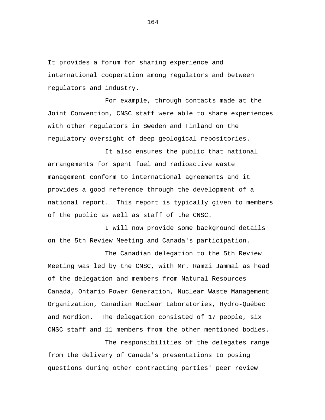It provides a forum for sharing experience and international cooperation among regulators and between regulators and industry.

For example, through contacts made at the Joint Convention, CNSC staff were able to share experiences with other regulators in Sweden and Finland on the regulatory oversight of deep geological repositories.

It also ensures the public that national arrangements for spent fuel and radioactive waste management conform to international agreements and it provides a good reference through the development of a national report. This report is typically given to members of the public as well as staff of the CNSC.

I will now provide some background details on the 5th Review Meeting and Canada's participation.

The Canadian delegation to the 5th Review Meeting was led by the CNSC, with Mr. Ramzi Jammal as head of the delegation and members from Natural Resources Canada, Ontario Power Generation, Nuclear Waste Management Organization, Canadian Nuclear Laboratories, Hydro-Québec and Nordion. The delegation consisted of 17 people, six CNSC staff and 11 members from the other mentioned bodies.

The responsibilities of the delegates range from the delivery of Canada's presentations to posing questions during other contracting parties' peer review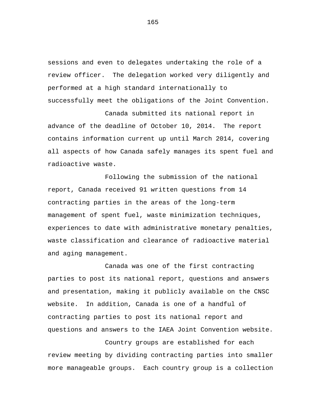sessions and even to delegates undertaking the role of a review officer. The delegation worked very diligently and performed at a high standard internationally to successfully meet the obligations of the Joint Convention.

Canada submitted its national report in advance of the deadline of October 10, 2014. The report contains information current up until March 2014, covering all aspects of how Canada safely manages its spent fuel and radioactive waste.

Following the submission of the national report, Canada received 91 written questions from 14 contracting parties in the areas of the long-term management of spent fuel, waste minimization techniques, experiences to date with administrative monetary penalties, waste classification and clearance of radioactive material and aging management.

Canada was one of the first contracting parties to post its national report, questions and answers and presentation, making it publicly available on the CNSC website. In addition, Canada is one of a handful of contracting parties to post its national report and questions and answers to the IAEA Joint Convention website.

Country groups are established for each review meeting by dividing contracting parties into smaller more manageable groups. Each country group is a collection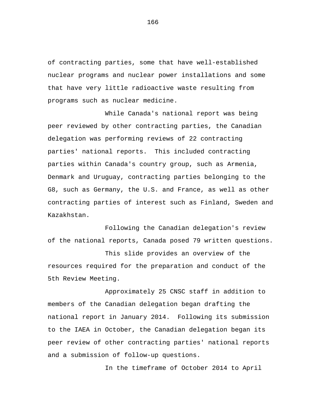of contracting parties, some that have well-established nuclear programs and nuclear power installations and some that have very little radioactive waste resulting from programs such as nuclear medicine.

While Canada's national report was being peer reviewed by other contracting parties, the Canadian delegation was performing reviews of 22 contracting parties' national reports. This included contracting parties within Canada's country group, such as Armenia, Denmark and Uruguay, contracting parties belonging to the G8, such as Germany, the U.S. and France, as well as other contracting parties of interest such as Finland, Sweden and Kazakhstan.

Following the Canadian delegation's review of the national reports, Canada posed 79 written questions.

This slide provides an overview of the resources required for the preparation and conduct of the 5th Review Meeting.

Approximately 25 CNSC staff in addition to members of the Canadian delegation began drafting the national report in January 2014. Following its submission to the IAEA in October, the Canadian delegation began its peer review of other contracting parties' national reports and a submission of follow-up questions.

In the timeframe of October 2014 to April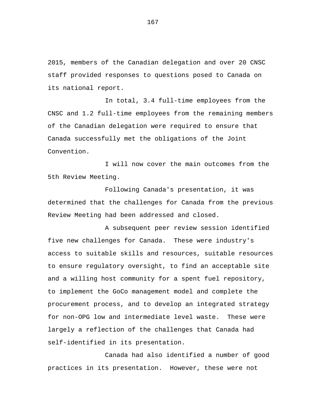2015, members of the Canadian delegation and over 20 CNSC staff provided responses to questions posed to Canada on its national report.

In total, 3.4 full-time employees from the CNSC and 1.2 full-time employees from the remaining members of the Canadian delegation were required to ensure that Canada successfully met the obligations of the Joint Convention.

I will now cover the main outcomes from the 5th Review Meeting.

Following Canada's presentation, it was determined that the challenges for Canada from the previous Review Meeting had been addressed and closed.

A subsequent peer review session identified five new challenges for Canada. These were industry's access to suitable skills and resources, suitable resources to ensure regulatory oversight, to find an acceptable site and a willing host community for a spent fuel repository, to implement the GoCo management model and complete the procurement process, and to develop an integrated strategy for non-OPG low and intermediate level waste. These were largely a reflection of the challenges that Canada had self-identified in its presentation.

Canada had also identified a number of good practices in its presentation. However, these were not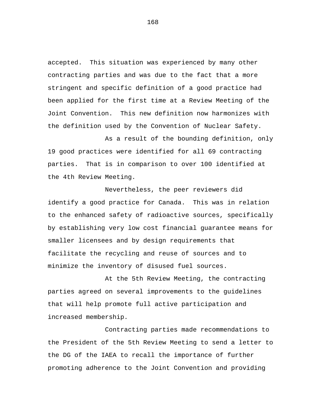accepted. This situation was experienced by many other contracting parties and was due to the fact that a more stringent and specific definition of a good practice had been applied for the first time at a Review Meeting of the Joint Convention. This new definition now harmonizes with the definition used by the Convention of Nuclear Safety.

As a result of the bounding definition, only 19 good practices were identified for all 69 contracting parties. That is in comparison to over 100 identified at the 4th Review Meeting.

Nevertheless, the peer reviewers did identify a good practice for Canada. This was in relation to the enhanced safety of radioactive sources, specifically by establishing very low cost financial guarantee means for smaller licensees and by design requirements that facilitate the recycling and reuse of sources and to minimize the inventory of disused fuel sources.

At the 5th Review Meeting, the contracting parties agreed on several improvements to the guidelines that will help promote full active participation and increased membership.

Contracting parties made recommendations to the President of the 5th Review Meeting to send a letter to the DG of the IAEA to recall the importance of further promoting adherence to the Joint Convention and providing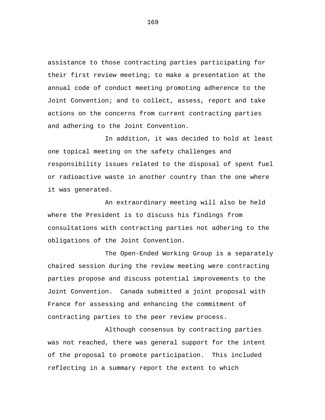assistance to those contracting parties participating for their first review meeting; to make a presentation at the annual code of conduct meeting promoting adherence to the Joint Convention; and to collect, assess, report and take actions on the concerns from current contracting parties and adhering to the Joint Convention.

In addition, it was decided to hold at least one topical meeting on the safety challenges and responsibility issues related to the disposal of spent fuel or radioactive waste in another country than the one where it was generated.

An extraordinary meeting will also be held where the President is to discuss his findings from consultations with contracting parties not adhering to the obligations of the Joint Convention.

The Open-Ended Working Group is a separately chaired session during the review meeting were contracting parties propose and discuss potential improvements to the Joint Convention. Canada submitted a joint proposal with France for assessing and enhancing the commitment of contracting parties to the peer review process.

Although consensus by contracting parties was not reached, there was general support for the intent of the proposal to promote participation. This included reflecting in a summary report the extent to which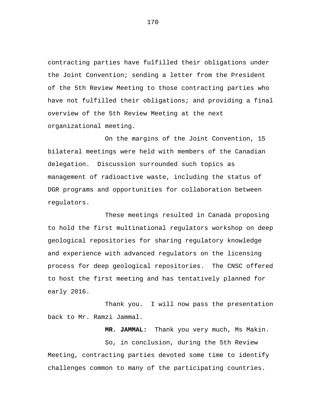contracting parties have fulfilled their obligations under the Joint Convention; sending a letter from the President of the 5th Review Meeting to those contracting parties who have not fulfilled their obligations; and providing a final overview of the 5th Review Meeting at the next organizational meeting.

On the margins of the Joint Convention, 15 bilateral meetings were held with members of the Canadian delegation. Discussion surrounded such topics as management of radioactive waste, including the status of DGR programs and opportunities for collaboration between regulators.

These meetings resulted in Canada proposing to hold the first multinational regulators workshop on deep geological repositories for sharing regulatory knowledge and experience with advanced regulators on the licensing process for deep geological repositories. The CNSC offered to host the first meeting and has tentatively planned for early 2016.

Thank you. I will now pass the presentation back to Mr. Ramzi Jammal.

**MR. JAMMAL:** Thank you very much, Ms Makin.

So, in conclusion, during the 5th Review Meeting, contracting parties devoted some time to identify challenges common to many of the participating countries.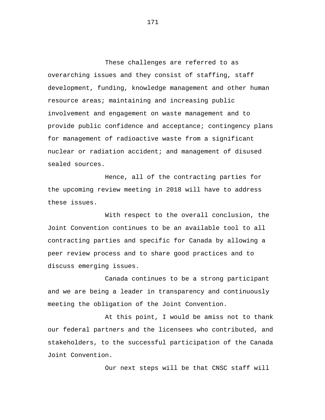These challenges are referred to as overarching issues and they consist of staffing, staff development, funding, knowledge management and other human resource areas; maintaining and increasing public involvement and engagement on waste management and to provide public confidence and acceptance; contingency plans for management of radioactive waste from a significant nuclear or radiation accident; and management of disused sealed sources.

Hence, all of the contracting parties for the upcoming review meeting in 2018 will have to address these issues.

With respect to the overall conclusion, the Joint Convention continues to be an available tool to all contracting parties and specific for Canada by allowing a peer review process and to share good practices and to discuss emerging issues.

Canada continues to be a strong participant and we are being a leader in transparency and continuously meeting the obligation of the Joint Convention.

At this point, I would be amiss not to thank our federal partners and the licensees who contributed, and stakeholders, to the successful participation of the Canada Joint Convention.

Our next steps will be that CNSC staff will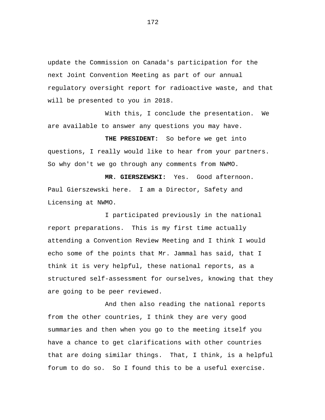update the Commission on Canada's participation for the next Joint Convention Meeting as part of our annual regulatory oversight report for radioactive waste, and that will be presented to you in 2018.

With this, I conclude the presentation. We are available to answer any questions you may have.

**THE PRESIDENT:** So before we get into questions, I really would like to hear from your partners. So why don't we go through any comments from NWMO.

**MR. GIERSZEWSKI:** Yes. Good afternoon. Paul Gierszewski here. I am a Director, Safety and Licensing at NWMO.

I participated previously in the national report preparations. This is my first time actually attending a Convention Review Meeting and I think I would echo some of the points that Mr. Jammal has said, that I think it is very helpful, these national reports, as a structured self-assessment for ourselves, knowing that they are going to be peer reviewed.

And then also reading the national reports from the other countries, I think they are very good summaries and then when you go to the meeting itself you have a chance to get clarifications with other countries that are doing similar things. That, I think, is a helpful forum to do so. So I found this to be a useful exercise.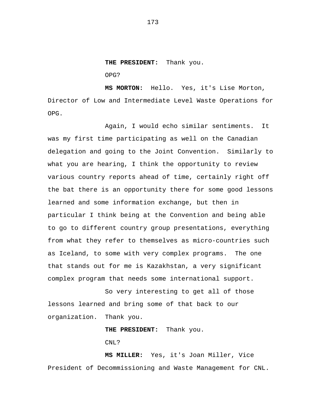**THE PRESIDENT:** Thank you. OPG?

**MS MORTON:** Hello. Yes, it's Lise Morton, Director of Low and Intermediate Level Waste Operations for OPG.

Again, I would echo similar sentiments. It was my first time participating as well on the Canadian delegation and going to the Joint Convention. Similarly to what you are hearing, I think the opportunity to review various country reports ahead of time, certainly right off the bat there is an opportunity there for some good lessons learned and some information exchange, but then in particular I think being at the Convention and being able to go to different country group presentations, everything from what they refer to themselves as micro-countries such as Iceland, to some with very complex programs. The one that stands out for me is Kazakhstan, a very significant complex program that needs some international support.

So very interesting to get all of those lessons learned and bring some of that back to our organization. Thank you.

**THE PRESIDENT:** Thank you.

CNL<sub>2</sub>

**MS MILLER:** Yes, it's Joan Miller, Vice President of Decommissioning and Waste Management for CNL.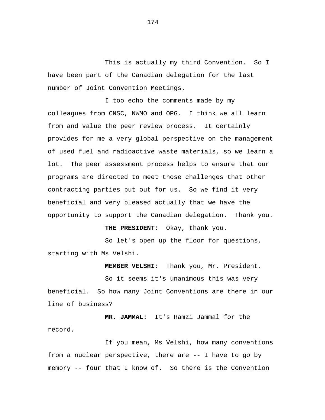This is actually my third Convention. So I have been part of the Canadian delegation for the last number of Joint Convention Meetings.

I too echo the comments made by my colleagues from CNSC, NWMO and OPG. I think we all learn from and value the peer review process. It certainly provides for me a very global perspective on the management of used fuel and radioactive waste materials, so we learn a lot. The peer assessment process helps to ensure that our programs are directed to meet those challenges that other contracting parties put out for us. So we find it very beneficial and very pleased actually that we have the opportunity to support the Canadian delegation. Thank you.

**THE PRESIDENT:** Okay, thank you.

So let's open up the floor for questions, starting with Ms Velshi.

**MEMBER VELSHI:** Thank you, Mr. President.

So it seems it's unanimous this was very beneficial. So how many Joint Conventions are there in our line of business?

**MR. JAMMAL:** It's Ramzi Jammal for the record.

If you mean, Ms Velshi, how many conventions from a nuclear perspective, there are -- I have to go by memory -- four that I know of. So there is the Convention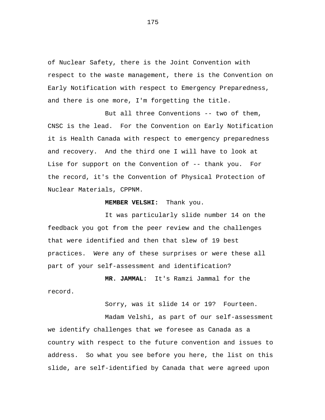of Nuclear Safety, there is the Joint Convention with respect to the waste management, there is the Convention on Early Notification with respect to Emergency Preparedness, and there is one more, I'm forgetting the title.

But all three Conventions -- two of them, CNSC is the lead. For the Convention on Early Notification it is Health Canada with respect to emergency preparedness and recovery. And the third one I will have to look at Lise for support on the Convention of -- thank you. For the record, it's the Convention of Physical Protection of Nuclear Materials, CPPNM.

## **MEMBER VELSHI:** Thank you.

It was particularly slide number 14 on the feedback you got from the peer review and the challenges that were identified and then that slew of 19 best practices. Were any of these surprises or were these all part of your self-assessment and identification?

**MR. JAMMAL:** It's Ramzi Jammal for the record.

Sorry, was it slide 14 or 19? Fourteen.

Madam Velshi, as part of our self-assessment we identify challenges that we foresee as Canada as a country with respect to the future convention and issues to address. So what you see before you here, the list on this slide, are self-identified by Canada that were agreed upon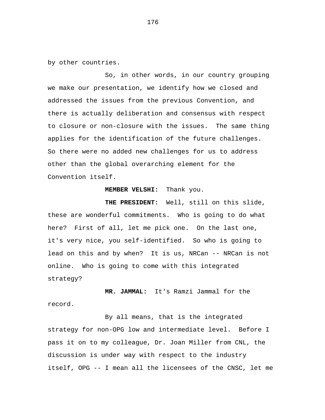by other countries.

So, in other words, in our country grouping we make our presentation, we identify how we closed and addressed the issues from the previous Convention, and there is actually deliberation and consensus with respect to closure or non-closure with the issues. The same thing applies for the identification of the future challenges. So there were no added new challenges for us to address other than the global overarching element for the Convention itself.

## **MEMBER VELSHI:** Thank you.

**THE PRESIDENT:** Well, still on this slide, these are wonderful commitments. Who is going to do what here? First of all, let me pick one. On the last one, it's very nice, you self-identified. So who is going to lead on this and by when? It is us, NRCan -- NRCan is not online. Who is going to come with this integrated strategy?

**MR. JAMMAL:** It's Ramzi Jammal for the record.

By all means, that is the integrated strategy for non-OPG low and intermediate level. Before I pass it on to my colleague, Dr. Joan Miller from CNL, the discussion is under way with respect to the industry itself, OPG -- I mean all the licensees of the CNSC, let me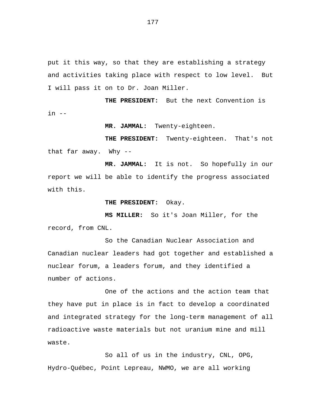put it this way, so that they are establishing a strategy and activities taking place with respect to low level. But I will pass it on to Dr. Joan Miller.

**THE PRESIDENT:** But the next Convention is in --

**MR. JAMMAL:** Twenty-eighteen.

**THE PRESIDENT:** Twenty-eighteen. That's not that far away. Why --

**MR. JAMMAL:** It is not. So hopefully in our report we will be able to identify the progress associated with this.

**THE PRESIDENT:** Okay.

**MS MILLER:** So it's Joan Miller, for the record, from CNL.

So the Canadian Nuclear Association and Canadian nuclear leaders had got together and established a nuclear forum, a leaders forum, and they identified a number of actions.

One of the actions and the action team that they have put in place is in fact to develop a coordinated and integrated strategy for the long-term management of all radioactive waste materials but not uranium mine and mill waste.

So all of us in the industry, CNL, OPG, Hydro-Québec, Point Lepreau, NWMO, we are all working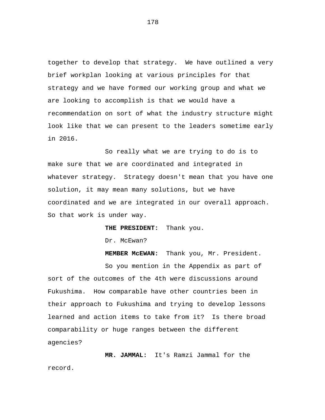together to develop that strategy. We have outlined a very brief workplan looking at various principles for that strategy and we have formed our working group and what we are looking to accomplish is that we would have a recommendation on sort of what the industry structure might look like that we can present to the leaders sometime early in 2016.

So really what we are trying to do is to make sure that we are coordinated and integrated in whatever strategy. Strategy doesn't mean that you have one solution, it may mean many solutions, but we have coordinated and we are integrated in our overall approach. So that work is under way.

**THE PRESIDENT:** Thank you.

Dr. McEwan?

**MEMBER McEWAN:** Thank you, Mr. President. So you mention in the Appendix as part of sort of the outcomes of the 4th were discussions around Fukushima. How comparable have other countries been in their approach to Fukushima and trying to develop lessons learned and action items to take from it? Is there broad comparability or huge ranges between the different agencies?

**MR. JAMMAL:** It's Ramzi Jammal for the record.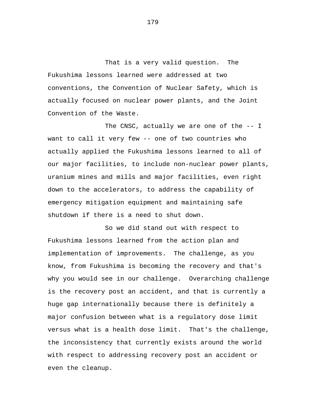That is a very valid question. The Fukushima lessons learned were addressed at two conventions, the Convention of Nuclear Safety, which is actually focused on nuclear power plants, and the Joint Convention of the Waste.

The CNSC, actually we are one of the -- I want to call it very few -- one of two countries who actually applied the Fukushima lessons learned to all of our major facilities, to include non-nuclear power plants, uranium mines and mills and major facilities, even right down to the accelerators, to address the capability of emergency mitigation equipment and maintaining safe shutdown if there is a need to shut down.

So we did stand out with respect to Fukushima lessons learned from the action plan and implementation of improvements. The challenge, as you know, from Fukushima is becoming the recovery and that's why you would see in our challenge. Overarching challenge is the recovery post an accident, and that is currently a huge gap internationally because there is definitely a major confusion between what is a regulatory dose limit versus what is a health dose limit. That's the challenge, the inconsistency that currently exists around the world with respect to addressing recovery post an accident or even the cleanup.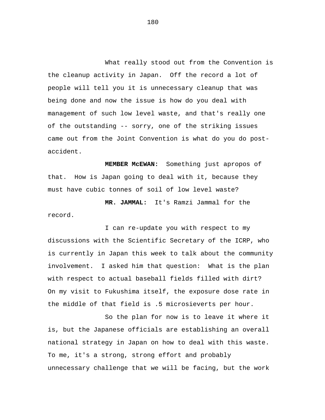What really stood out from the Convention is the cleanup activity in Japan. Off the record a lot of people will tell you it is unnecessary cleanup that was being done and now the issue is how do you deal with management of such low level waste, and that's really one of the outstanding -- sorry, one of the striking issues came out from the Joint Convention is what do you do postaccident.

**MEMBER McEWAN:** Something just apropos of that. How is Japan going to deal with it, because they must have cubic tonnes of soil of low level waste?

**MR. JAMMAL:** It's Ramzi Jammal for the record.

I can re-update you with respect to my discussions with the Scientific Secretary of the ICRP, who is currently in Japan this week to talk about the community involvement. I asked him that question: What is the plan with respect to actual baseball fields filled with dirt? On my visit to Fukushima itself, the exposure dose rate in the middle of that field is .5 microsieverts per hour.

So the plan for now is to leave it where it is, but the Japanese officials are establishing an overall national strategy in Japan on how to deal with this waste. To me, it's a strong, strong effort and probably unnecessary challenge that we will be facing, but the work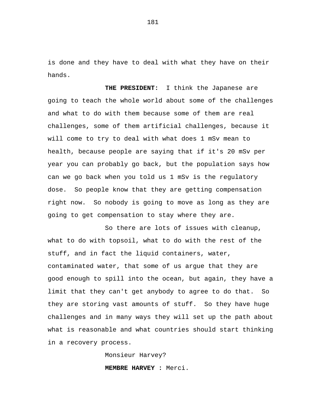is done and they have to deal with what they have on their hands.

**THE PRESIDENT:** I think the Japanese are going to teach the whole world about some of the challenges and what to do with them because some of them are real challenges, some of them artificial challenges, because it will come to try to deal with what does 1 mSv mean to health, because people are saying that if it's 20 mSv per year you can probably go back, but the population says how can we go back when you told us 1 mSv is the regulatory dose. So people know that they are getting compensation right now. So nobody is going to move as long as they are going to get compensation to stay where they are.

So there are lots of issues with cleanup, what to do with topsoil, what to do with the rest of the stuff, and in fact the liquid containers, water, contaminated water, that some of us argue that they are good enough to spill into the ocean, but again, they have a limit that they can't get anybody to agree to do that. So they are storing vast amounts of stuff. So they have huge challenges and in many ways they will set up the path about what is reasonable and what countries should start thinking in a recovery process.

> Monsieur Harvey? **MEMBRE HARVEY :** Merci.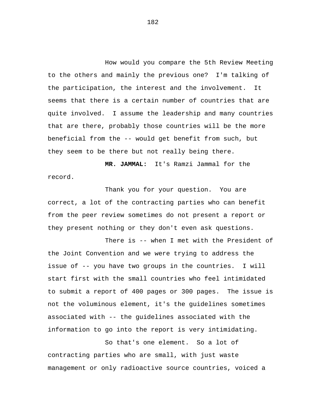How would you compare the 5th Review Meeting to the others and mainly the previous one? I'm talking of the participation, the interest and the involvement. It seems that there is a certain number of countries that are quite involved. I assume the leadership and many countries that are there, probably those countries will be the more beneficial from the -- would get benefit from such, but they seem to be there but not really being there.

**MR. JAMMAL:** It's Ramzi Jammal for the record.

Thank you for your question. You are correct, a lot of the contracting parties who can benefit from the peer review sometimes do not present a report or they present nothing or they don't even ask questions.

There is -- when I met with the President of the Joint Convention and we were trying to address the issue of -- you have two groups in the countries. I will start first with the small countries who feel intimidated to submit a report of 400 pages or 300 pages. The issue is not the voluminous element, it's the guidelines sometimes associated with -- the guidelines associated with the information to go into the report is very intimidating.

So that's one element. So a lot of contracting parties who are small, with just waste management or only radioactive source countries, voiced a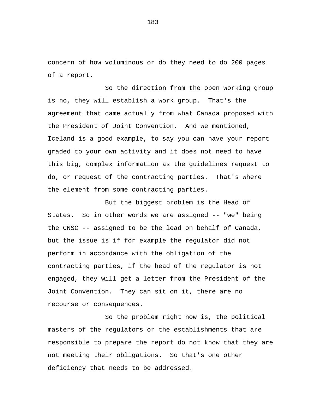concern of how voluminous or do they need to do 200 pages of a report.

So the direction from the open working group is no, they will establish a work group. That's the agreement that came actually from what Canada proposed with the President of Joint Convention. And we mentioned, Iceland is a good example, to say you can have your report graded to your own activity and it does not need to have this big, complex information as the guidelines request to do, or request of the contracting parties. That's where the element from some contracting parties.

But the biggest problem is the Head of States. So in other words we are assigned -- "we" being the CNSC -- assigned to be the lead on behalf of Canada, but the issue is if for example the regulator did not perform in accordance with the obligation of the contracting parties, if the head of the regulator is not engaged, they will get a letter from the President of the Joint Convention. They can sit on it, there are no recourse or consequences.

So the problem right now is, the political masters of the regulators or the establishments that are responsible to prepare the report do not know that they are not meeting their obligations. So that's one other deficiency that needs to be addressed.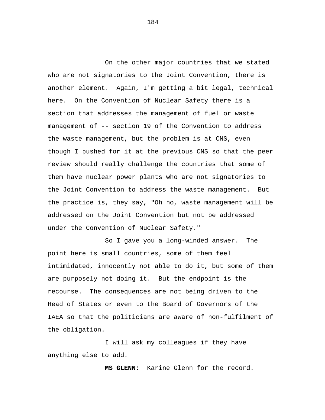On the other major countries that we stated who are not signatories to the Joint Convention, there is another element. Again, I'm getting a bit legal, technical here. On the Convention of Nuclear Safety there is a section that addresses the management of fuel or waste management of -- section 19 of the Convention to address the waste management, but the problem is at CNS, even though I pushed for it at the previous CNS so that the peer review should really challenge the countries that some of them have nuclear power plants who are not signatories to the Joint Convention to address the waste management. But the practice is, they say, "Oh no, waste management will be addressed on the Joint Convention but not be addressed under the Convention of Nuclear Safety."

So I gave you a long-winded answer. The point here is small countries, some of them feel intimidated, innocently not able to do it, but some of them are purposely not doing it. But the endpoint is the recourse. The consequences are not being driven to the Head of States or even to the Board of Governors of the IAEA so that the politicians are aware of non-fulfilment of the obligation.

I will ask my colleagues if they have anything else to add.

**MS GLENN:** Karine Glenn for the record.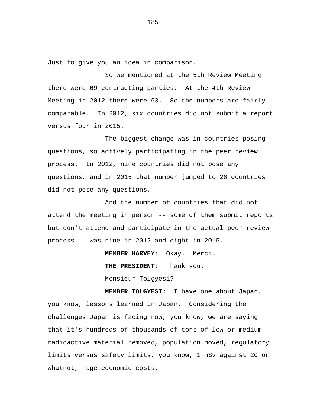Just to give you an idea in comparison.

So we mentioned at the 5th Review Meeting there were 69 contracting parties. At the 4th Review Meeting in 2012 there were 63. So the numbers are fairly comparable. In 2012, six countries did not submit a report versus four in 2015.

The biggest change was in countries posing questions, so actively participating in the peer review process. In 2012, nine countries did not pose any questions, and in 2015 that number jumped to 26 countries did not pose any questions.

And the number of countries that did not attend the meeting in person -- some of them submit reports but don't attend and participate in the actual peer review process -- was nine in 2012 and eight in 2015.

**MEMBER HARVEY:** Okay. Merci.

**THE PRESIDENT:** Thank you.

Monsieur Tolgyesi?

**MEMBER TOLGYESI:** I have one about Japan, you know, lessons learned in Japan. Considering the challenges Japan is facing now, you know, we are saying that it's hundreds of thousands of tons of low or medium radioactive material removed, population moved, regulatory limits versus safety limits, you know, 1 mSv against 20 or whatnot, huge economic costs.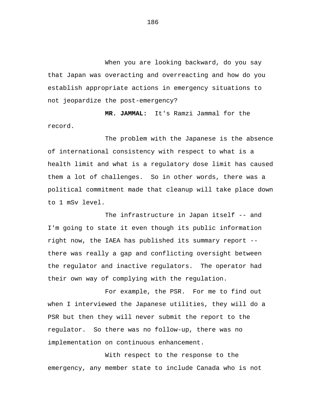When you are looking backward, do you say that Japan was overacting and overreacting and how do you establish appropriate actions in emergency situations to not jeopardize the post-emergency?

**MR. JAMMAL:** It's Ramzi Jammal for the record.

The problem with the Japanese is the absence of international consistency with respect to what is a health limit and what is a regulatory dose limit has caused them a lot of challenges. So in other words, there was a political commitment made that cleanup will take place down to 1 mSv level.

The infrastructure in Japan itself -- and I'm going to state it even though its public information right now, the IAEA has published its summary report - there was really a gap and conflicting oversight between the regulator and inactive regulators. The operator had their own way of complying with the regulation.

For example, the PSR. For me to find out when I interviewed the Japanese utilities, they will do a PSR but then they will never submit the report to the regulator. So there was no follow-up, there was no implementation on continuous enhancement.

With respect to the response to the emergency, any member state to include Canada who is not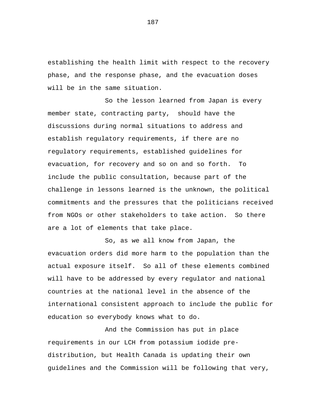establishing the health limit with respect to the recovery phase, and the response phase, and the evacuation doses will be in the same situation.

So the lesson learned from Japan is every member state, contracting party, should have the discussions during normal situations to address and establish regulatory requirements, if there are no regulatory requirements, established guidelines for evacuation, for recovery and so on and so forth. To include the public consultation, because part of the challenge in lessons learned is the unknown, the political commitments and the pressures that the politicians received from NGOs or other stakeholders to take action. So there are a lot of elements that take place.

So, as we all know from Japan, the evacuation orders did more harm to the population than the actual exposure itself. So all of these elements combined will have to be addressed by every regulator and national countries at the national level in the absence of the international consistent approach to include the public for education so everybody knows what to do.

And the Commission has put in place requirements in our LCH from potassium iodide predistribution, but Health Canada is updating their own guidelines and the Commission will be following that very,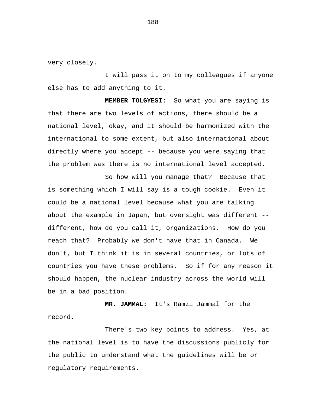very closely.

I will pass it on to my colleagues if anyone else has to add anything to it.

**MEMBER TOLGYESI:** So what you are saying is that there are two levels of actions, there should be a national level, okay, and it should be harmonized with the international to some extent, but also international about directly where you accept -- because you were saying that the problem was there is no international level accepted.

So how will you manage that? Because that is something which I will say is a tough cookie. Even it could be a national level because what you are talking about the example in Japan, but oversight was different - different, how do you call it, organizations. How do you reach that? Probably we don't have that in Canada. We don't, but I think it is in several countries, or lots of countries you have these problems. So if for any reason it should happen, the nuclear industry across the world will be in a bad position.

**MR. JAMMAL:** It's Ramzi Jammal for the record.

There's two key points to address. Yes, at the national level is to have the discussions publicly for the public to understand what the guidelines will be or regulatory requirements.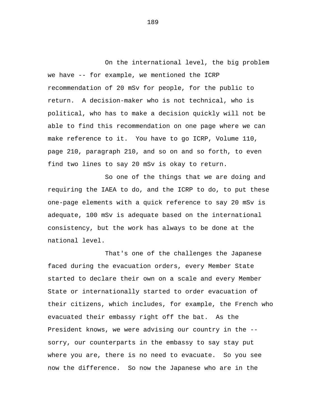On the international level, the big problem we have -- for example, we mentioned the ICRP recommendation of 20 mSv for people, for the public to return. A decision-maker who is not technical, who is political, who has to make a decision quickly will not be able to find this recommendation on one page where we can make reference to it. You have to go ICRP, Volume 110, page 210, paragraph 210, and so on and so forth, to even find two lines to say 20 mSv is okay to return.

So one of the things that we are doing and requiring the IAEA to do, and the ICRP to do, to put these one-page elements with a quick reference to say 20 mSv is adequate, 100 mSv is adequate based on the international consistency, but the work has always to be done at the national level.

That's one of the challenges the Japanese faced during the evacuation orders, every Member State started to declare their own on a scale and every Member State or internationally started to order evacuation of their citizens, which includes, for example, the French who evacuated their embassy right off the bat. As the President knows, we were advising our country in the - sorry, our counterparts in the embassy to say stay put where you are, there is no need to evacuate. So you see now the difference. So now the Japanese who are in the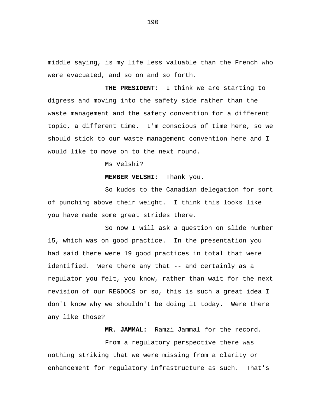middle saying, is my life less valuable than the French who were evacuated, and so on and so forth.

**THE PRESIDENT:** I think we are starting to digress and moving into the safety side rather than the waste management and the safety convention for a different topic, a different time. I'm conscious of time here, so we should stick to our waste management convention here and I would like to move on to the next round.

Ms Velshi?

**MEMBER VELSHI:** Thank you.

So kudos to the Canadian delegation for sort of punching above their weight. I think this looks like you have made some great strides there.

So now I will ask a question on slide number 15, which was on good practice. In the presentation you had said there were 19 good practices in total that were identified. Were there any that -- and certainly as a regulator you felt, you know, rather than wait for the next revision of our REGDOCS or so, this is such a great idea I don't know why we shouldn't be doing it today. Were there any like those?

**MR. JAMMAL:** Ramzi Jammal for the record.

From a regulatory perspective there was nothing striking that we were missing from a clarity or enhancement for regulatory infrastructure as such. That's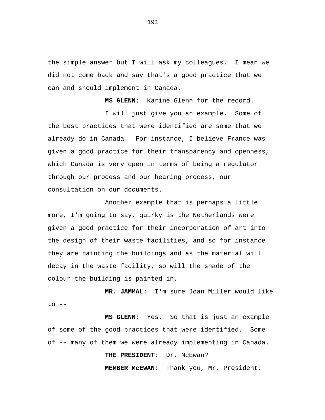the simple answer but I will ask my colleagues. I mean we did not come back and say that's a good practice that we can and should implement in Canada.

**MS GLENN:** Karine Glenn for the record. I will just give you an example. Some of the best practices that were identified are some that we already do in Canada. For instance, I believe France was given a good practice for their transparency and openness, which Canada is very open in terms of being a regulator through our process and our hearing process, our consultation on our documents.

Another example that is perhaps a little more, I'm going to say, quirky is the Netherlands were given a good practice for their incorporation of art into the design of their waste facilities, and so for instance they are painting the buildings and as the material will decay in the waste facility, so will the shade of the colour the building is painted in.

**MR. JAMMAL:** I'm sure Joan Miller would like  $to$   $--$ 

**MS GLENN:** Yes. So that is just an example of some of the good practices that were identified. Some of -- many of them we were already implementing in Canada.

**THE PRESIDENT:** Dr. McEwan?

**MEMBER McEWAN:** Thank you, Mr. President.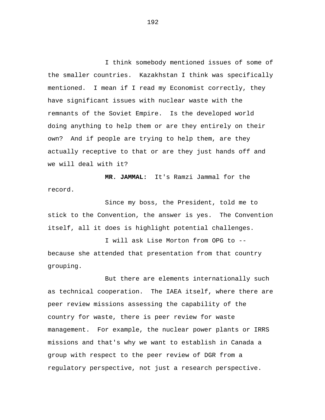I think somebody mentioned issues of some of the smaller countries. Kazakhstan I think was specifically mentioned. I mean if I read my Economist correctly, they have significant issues with nuclear waste with the remnants of the Soviet Empire. Is the developed world doing anything to help them or are they entirely on their own? And if people are trying to help them, are they actually receptive to that or are they just hands off and we will deal with it?

**MR. JAMMAL:** It's Ramzi Jammal for the record.

Since my boss, the President, told me to stick to the Convention, the answer is yes. The Convention itself, all it does is highlight potential challenges.

I will ask Lise Morton from OPG to - because she attended that presentation from that country grouping.

But there are elements internationally such as technical cooperation. The IAEA itself, where there are peer review missions assessing the capability of the country for waste, there is peer review for waste management. For example, the nuclear power plants or IRRS missions and that's why we want to establish in Canada a group with respect to the peer review of DGR from a regulatory perspective, not just a research perspective.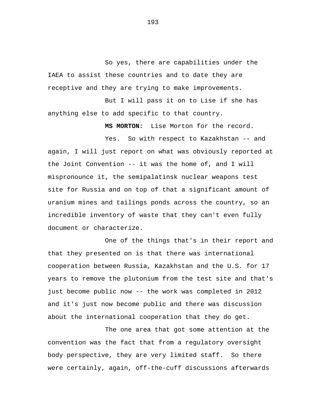So yes, there are capabilities under the IAEA to assist these countries and to date they are receptive and they are trying to make improvements.

But I will pass it on to Lise if she has anything else to add specific to that country.

**MS MORTON:** Lise Morton for the record.

Yes. So with respect to Kazakhstan -- and again, I will just report on what was obviously reported at the Joint Convention -- it was the home of, and I will mispronounce it, the semipalatinsk nuclear weapons test site for Russia and on top of that a significant amount of uranium mines and tailings ponds across the country, so an incredible inventory of waste that they can't even fully document or characterize.

One of the things that's in their report and that they presented on is that there was international cooperation between Russia, Kazakhstan and the U.S. for 17 years to remove the plutonium from the test site and that's just become public now -- the work was completed in 2012 and it's just now become public and there was discussion about the international cooperation that they do get.

The one area that got some attention at the convention was the fact that from a regulatory oversight body perspective, they are very limited staff. So there were certainly, again, off-the-cuff discussions afterwards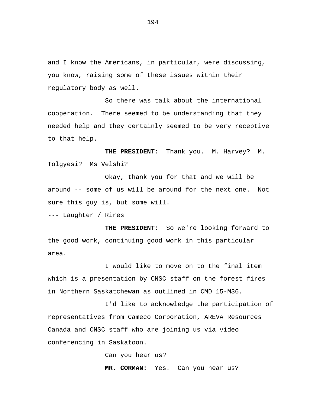and I know the Americans, in particular, were discussing, you know, raising some of these issues within their regulatory body as well.

So there was talk about the international cooperation. There seemed to be understanding that they needed help and they certainly seemed to be very receptive to that help.

**THE PRESIDENT:** Thank you. M. Harvey? M. Tolgyesi? Ms Velshi?

Okay, thank you for that and we will be around -- some of us will be around for the next one. Not sure this guy is, but some will.

--- Laughter / Rires

**THE PRESIDENT:** So we're looking forward to the good work, continuing good work in this particular area.

I would like to move on to the final item which is a presentation by CNSC staff on the forest fires in Northern Saskatchewan as outlined in CMD 15-M36.

I'd like to acknowledge the participation of representatives from Cameco Corporation, AREVA Resources Canada and CNSC staff who are joining us via video conferencing in Saskatoon.

Can you hear us?

**MR. CORMAN:** Yes. Can you hear us?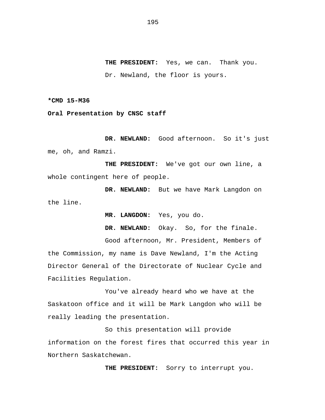**THE PRESIDENT:** Yes, we can. Thank you. Dr. Newland, the floor is yours.

**\*CMD 15-M36** 

**Oral Presentation by CNSC staff** 

DR. NEWLAND: Good afternoon. So it's just me, oh, and Ramzi.

**THE PRESIDENT:** We've got our own line, a whole contingent here of people.

**DR. NEWLAND:** But we have Mark Langdon on the line.

**MR. LANGDON:** Yes, you do.

**DR. NEWLAND:** Okay. So, for the finale.

Good afternoon, Mr. President, Members of the Commission, my name is Dave Newland, I'm the Acting Director General of the Directorate of Nuclear Cycle and Facilities Regulation.

You've already heard who we have at the Saskatoon office and it will be Mark Langdon who will be really leading the presentation.

So this presentation will provide information on the forest fires that occurred this year in Northern Saskatchewan.

**THE PRESIDENT:** Sorry to interrupt you.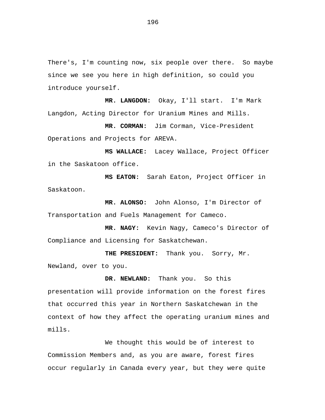There's, I'm counting now, six people over there. So maybe since we see you here in high definition, so could you introduce yourself.

**MR. LANGDON:** Okay, I'll start. I'm Mark Langdon, Acting Director for Uranium Mines and Mills.

**MR. CORMAN:** Jim Corman, Vice-President Operations and Projects for AREVA.

**MS WALLACE:** Lacey Wallace, Project Officer in the Saskatoon office.

**MS EATON:** Sarah Eaton, Project Officer in Saskatoon.

**MR. ALONSO:** John Alonso, I'm Director of Transportation and Fuels Management for Cameco.

**MR. NAGY:** Kevin Nagy, Cameco's Director of Compliance and Licensing for Saskatchewan.

**THE PRESIDENT:** Thank you. Sorry, Mr. Newland, over to you.

**DR. NEWLAND:** Thank you. So this presentation will provide information on the forest fires that occurred this year in Northern Saskatchewan in the context of how they affect the operating uranium mines and mills.

We thought this would be of interest to Commission Members and, as you are aware, forest fires occur regularly in Canada every year, but they were quite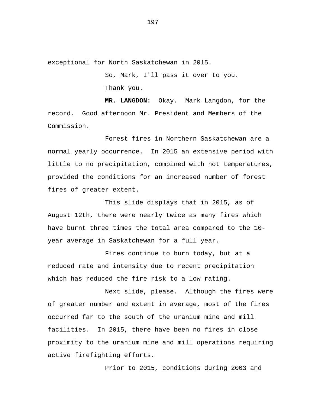exceptional for North Saskatchewan in 2015.

So, Mark, I'll pass it over to you. Thank you.

**MR. LANGDON:** Okay. Mark Langdon, for the record. Good afternoon Mr. President and Members of the Commission.

Forest fires in Northern Saskatchewan are a normal yearly occurrence. In 2015 an extensive period with little to no precipitation, combined with hot temperatures, provided the conditions for an increased number of forest fires of greater extent.

This slide displays that in 2015, as of August 12th, there were nearly twice as many fires which have burnt three times the total area compared to the 10 year average in Saskatchewan for a full year.

Fires continue to burn today, but at a reduced rate and intensity due to recent precipitation which has reduced the fire risk to a low rating.

Next slide, please. Although the fires were of greater number and extent in average, most of the fires occurred far to the south of the uranium mine and mill facilities. In 2015, there have been no fires in close proximity to the uranium mine and mill operations requiring active firefighting efforts.

Prior to 2015, conditions during 2003 and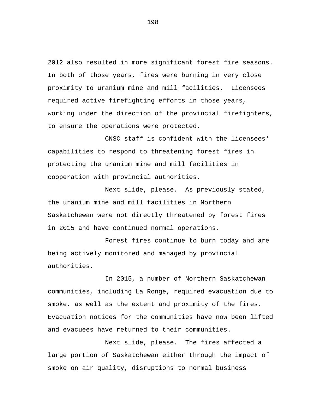2012 also resulted in more significant forest fire seasons. In both of those years, fires were burning in very close proximity to uranium mine and mill facilities. Licensees required active firefighting efforts in those years, working under the direction of the provincial firefighters, to ensure the operations were protected.

CNSC staff is confident with the licensees' capabilities to respond to threatening forest fires in protecting the uranium mine and mill facilities in cooperation with provincial authorities.

Next slide, please. As previously stated, the uranium mine and mill facilities in Northern Saskatchewan were not directly threatened by forest fires in 2015 and have continued normal operations.

Forest fires continue to burn today and are being actively monitored and managed by provincial authorities.

In 2015, a number of Northern Saskatchewan communities, including La Ronge, required evacuation due to smoke, as well as the extent and proximity of the fires. Evacuation notices for the communities have now been lifted and evacuees have returned to their communities.

Next slide, please. The fires affected a large portion of Saskatchewan either through the impact of smoke on air quality, disruptions to normal business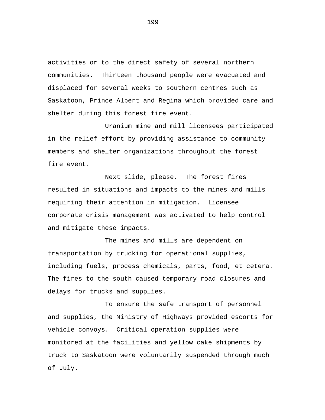activities or to the direct safety of several northern communities. Thirteen thousand people were evacuated and displaced for several weeks to southern centres such as Saskatoon, Prince Albert and Regina which provided care and shelter during this forest fire event.

Uranium mine and mill licensees participated in the relief effort by providing assistance to community members and shelter organizations throughout the forest fire event.

Next slide, please. The forest fires resulted in situations and impacts to the mines and mills requiring their attention in mitigation. Licensee corporate crisis management was activated to help control and mitigate these impacts.

The mines and mills are dependent on transportation by trucking for operational supplies, including fuels, process chemicals, parts, food, et cetera. The fires to the south caused temporary road closures and delays for trucks and supplies.

To ensure the safe transport of personnel and supplies, the Ministry of Highways provided escorts for vehicle convoys. Critical operation supplies were monitored at the facilities and yellow cake shipments by truck to Saskatoon were voluntarily suspended through much of July.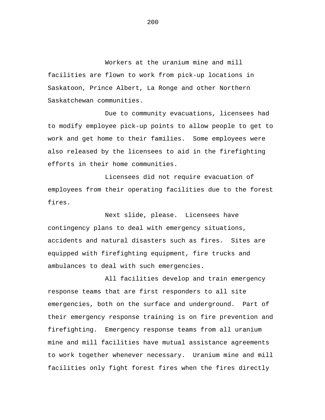Workers at the uranium mine and mill facilities are flown to work from pick-up locations in Saskatoon, Prince Albert, La Ronge and other Northern Saskatchewan communities.

Due to community evacuations, licensees had to modify employee pick-up points to allow people to get to work and get home to their families. Some employees were also released by the licensees to aid in the firefighting efforts in their home communities.

Licensees did not require evacuation of employees from their operating facilities due to the forest fires.

Next slide, please. Licensees have contingency plans to deal with emergency situations, accidents and natural disasters such as fires. Sites are equipped with firefighting equipment, fire trucks and ambulances to deal with such emergencies.

All facilities develop and train emergency response teams that are first responders to all site emergencies, both on the surface and underground. Part of their emergency response training is on fire prevention and firefighting. Emergency response teams from all uranium mine and mill facilities have mutual assistance agreements to work together whenever necessary. Uranium mine and mill facilities only fight forest fires when the fires directly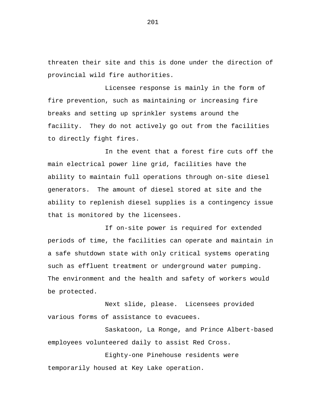threaten their site and this is done under the direction of provincial wild fire authorities.

Licensee response is mainly in the form of fire prevention, such as maintaining or increasing fire breaks and setting up sprinkler systems around the facility. They do not actively go out from the facilities to directly fight fires.

In the event that a forest fire cuts off the main electrical power line grid, facilities have the ability to maintain full operations through on-site diesel generators. The amount of diesel stored at site and the ability to replenish diesel supplies is a contingency issue that is monitored by the licensees.

If on-site power is required for extended periods of time, the facilities can operate and maintain in a safe shutdown state with only critical systems operating such as effluent treatment or underground water pumping. The environment and the health and safety of workers would be protected.

Next slide, please. Licensees provided various forms of assistance to evacuees.

Saskatoon, La Ronge, and Prince Albert-based employees volunteered daily to assist Red Cross.

Eighty-one Pinehouse residents were temporarily housed at Key Lake operation.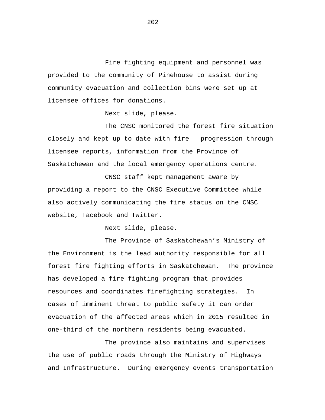Fire fighting equipment and personnel was provided to the community of Pinehouse to assist during community evacuation and collection bins were set up at licensee offices for donations.

Next slide, please.

The CNSC monitored the forest fire situation closely and kept up to date with fire progression through licensee reports, information from the Province of Saskatchewan and the local emergency operations centre.

CNSC staff kept management aware by providing a report to the CNSC Executive Committee while also actively communicating the fire status on the CNSC website, Facebook and Twitter.

Next slide, please.

The Province of Saskatchewan's Ministry of the Environment is the lead authority responsible for all forest fire fighting efforts in Saskatchewan. The province has developed a fire fighting program that provides resources and coordinates firefighting strategies. In cases of imminent threat to public safety it can order evacuation of the affected areas which in 2015 resulted in one-third of the northern residents being evacuated.

The province also maintains and supervises the use of public roads through the Ministry of Highways and Infrastructure. During emergency events transportation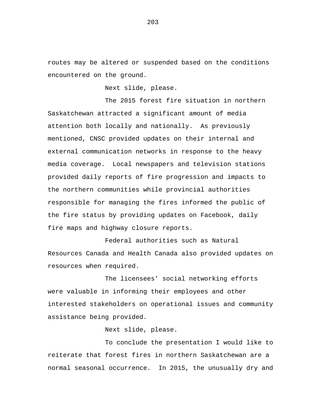routes may be altered or suspended based on the conditions encountered on the ground.

Next slide, please.

The 2015 forest fire situation in northern Saskatchewan attracted a significant amount of media attention both locally and nationally. As previously mentioned, CNSC provided updates on their internal and external communication networks in response to the heavy media coverage. Local newspapers and television stations provided daily reports of fire progression and impacts to the northern communities while provincial authorities responsible for managing the fires informed the public of the fire status by providing updates on Facebook, daily fire maps and highway closure reports.

Federal authorities such as Natural Resources Canada and Health Canada also provided updates on resources when required.

The licensees' social networking efforts were valuable in informing their employees and other interested stakeholders on operational issues and community assistance being provided.

Next slide, please.

To conclude the presentation I would like to reiterate that forest fires in northern Saskatchewan are a normal seasonal occurrence. In 2015, the unusually dry and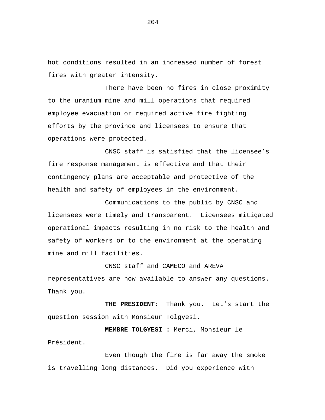hot conditions resulted in an increased number of forest fires with greater intensity.

There have been no fires in close proximity to the uranium mine and mill operations that required employee evacuation or required active fire fighting efforts by the province and licensees to ensure that operations were protected.

CNSC staff is satisfied that the licensee's fire response management is effective and that their contingency plans are acceptable and protective of the health and safety of employees in the environment.

Communications to the public by CNSC and licensees were timely and transparent. Licensees mitigated operational impacts resulting in no risk to the health and safety of workers or to the environment at the operating mine and mill facilities.

CNSC staff and CAMECO and AREVA

representatives are now available to answer any questions. Thank you.

**THE PRESIDENT:** Thank you**.** Let's start the question session with Monsieur Tolgyesi.

**MEMBRE TOLGYESI :** Merci, Monsieur le Président.

Even though the fire is far away the smoke is travelling long distances. Did you experience with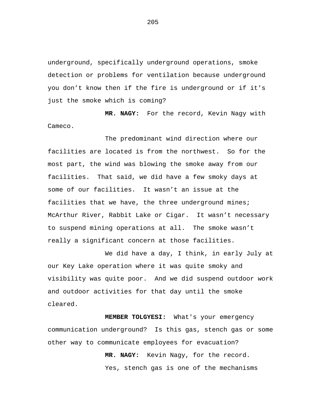underground, specifically underground operations, smoke detection or problems for ventilation because underground you don't know then if the fire is underground or if it's just the smoke which is coming?

**MR. NAGY:** For the record, Kevin Nagy with Cameco.

The predominant wind direction where our facilities are located is from the northwest. So for the most part, the wind was blowing the smoke away from our facilities. That said, we did have a few smoky days at some of our facilities. It wasn't an issue at the facilities that we have, the three underground mines; McArthur River, Rabbit Lake or Cigar. It wasn't necessary to suspend mining operations at all. The smoke wasn't really a significant concern at those facilities.

We did have a day, I think, in early July at our Key Lake operation where it was quite smoky and visibility was quite poor. And we did suspend outdoor work and outdoor activities for that day until the smoke cleared.

**MEMBER TOLGYESI:** What's your emergency communication underground? Is this gas, stench gas or some other way to communicate employees for evacuation?

> **MR. NAGY:** Kevin Nagy, for the record. Yes, stench gas is one of the mechanisms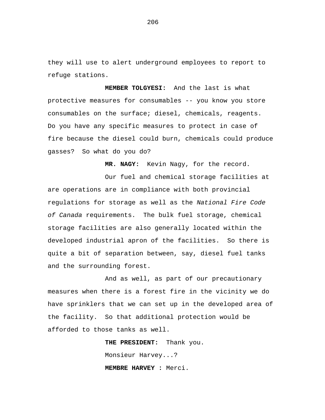they will use to alert underground employees to report to refuge stations.

**MEMBER TOLGYESI:** And the last is what protective measures for consumables -- you know you store consumables on the surface; diesel, chemicals, reagents. Do you have any specific measures to protect in case of fire because the diesel could burn, chemicals could produce gasses? So what do you do?

**MR. NAGY:** Kevin Nagy, for the record.

Our fuel and chemical storage facilities at are operations are in compliance with both provincial regulations for storage as well as the *National Fire Code of Canada* requirements. The bulk fuel storage, chemical storage facilities are also generally located within the developed industrial apron of the facilities. So there is quite a bit of separation between, say, diesel fuel tanks and the surrounding forest.

And as well, as part of our precautionary measures when there is a forest fire in the vicinity we do have sprinklers that we can set up in the developed area of the facility. So that additional protection would be afforded to those tanks as well.

> **THE PRESIDENT:** Thank you. Monsieur Harvey...? **MEMBRE HARVEY :** Merci.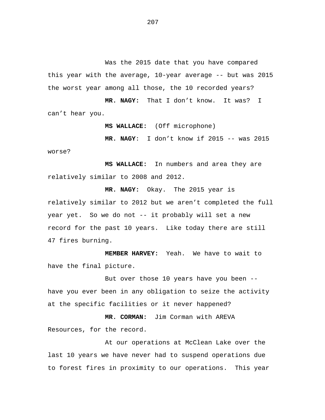Was the 2015 date that you have compared this year with the average, 10-year average -- but was 2015 the worst year among all those, the 10 recorded years?

**MR. NAGY:** That I don't know. It was? I can't hear you.

**MS WALLACE:** (Off microphone)

 **MR. NAGY**: I don't know if 2015 -- was 2015 worse?

**MS WALLACE:** In numbers and area they are relatively similar to 2008 and 2012.

**MR. NAGY:** Okay. The 2015 year is relatively similar to 2012 but we aren't completed the full year yet. So we do not -- it probably will set a new record for the past 10 years. Like today there are still 47 fires burning.

**MEMBER HARVEY:** Yeah. We have to wait to have the final picture.

But over those 10 years have you been - have you ever been in any obligation to seize the activity at the specific facilities or it never happened?

**MR. CORMAN:** Jim Corman with AREVA Resources, for the record.

At our operations at McClean Lake over the last 10 years we have never had to suspend operations due to forest fires in proximity to our operations. This year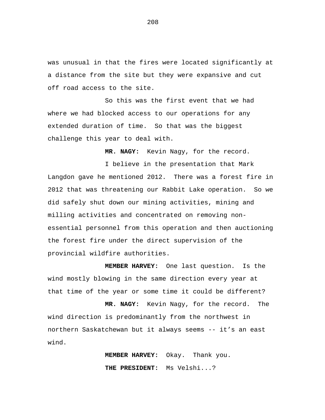was unusual in that the fires were located significantly at a distance from the site but they were expansive and cut off road access to the site.

So this was the first event that we had where we had blocked access to our operations for any extended duration of time. So that was the biggest challenge this year to deal with.

**MR. NAGY:** Kevin Nagy, for the record.

I believe in the presentation that Mark Langdon gave he mentioned 2012. There was a forest fire in 2012 that was threatening our Rabbit Lake operation. So we did safely shut down our mining activities, mining and milling activities and concentrated on removing nonessential personnel from this operation and then auctioning the forest fire under the direct supervision of the provincial wildfire authorities.

**MEMBER HARVEY:** One last question. Is the wind mostly blowing in the same direction every year at that time of the year or some time it could be different?

**MR. NAGY:** Kevin Nagy, for the record. The wind direction is predominantly from the northwest in northern Saskatchewan but it always seems -- it's an east wind.

> **MEMBER HARVEY:** Okay. Thank you. **THE PRESIDENT:** Ms Velshi...?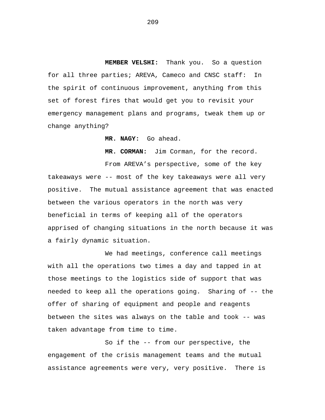**MEMBER VELSHI:** Thank you. So a question for all three parties; AREVA, Cameco and CNSC staff: In the spirit of continuous improvement, anything from this set of forest fires that would get you to revisit your emergency management plans and programs, tweak them up or change anything?

**MR. NAGY:** Go ahead.

**MR. CORMAN:** Jim Corman, for the record.

From AREVA's perspective, some of the key takeaways were -- most of the key takeaways were all very positive. The mutual assistance agreement that was enacted between the various operators in the north was very beneficial in terms of keeping all of the operators apprised of changing situations in the north because it was a fairly dynamic situation.

We had meetings, conference call meetings with all the operations two times a day and tapped in at those meetings to the logistics side of support that was needed to keep all the operations going. Sharing of -- the offer of sharing of equipment and people and reagents between the sites was always on the table and took -- was taken advantage from time to time.

So if the -- from our perspective, the engagement of the crisis management teams and the mutual assistance agreements were very, very positive. There is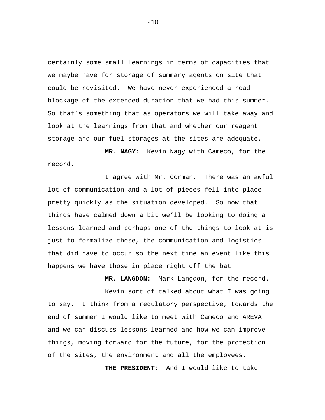certainly some small learnings in terms of capacities that we maybe have for storage of summary agents on site that could be revisited. We have never experienced a road blockage of the extended duration that we had this summer. So that's something that as operators we will take away and look at the learnings from that and whether our reagent storage and our fuel storages at the sites are adequate.

**MR. NAGY:** Kevin Nagy with Cameco, for the record.

I agree with Mr. Corman. There was an awful lot of communication and a lot of pieces fell into place pretty quickly as the situation developed. So now that things have calmed down a bit we'll be looking to doing a lessons learned and perhaps one of the things to look at is just to formalize those, the communication and logistics that did have to occur so the next time an event like this happens we have those in place right off the bat.

**MR. LANGDON:** Mark Langdon, for the record. Kevin sort of talked about what I was going to say. I think from a regulatory perspective, towards the end of summer I would like to meet with Cameco and AREVA and we can discuss lessons learned and how we can improve things, moving forward for the future, for the protection of the sites, the environment and all the employees.

**THE PRESIDENT:** And I would like to take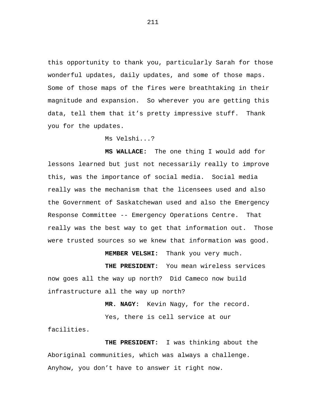this opportunity to thank you, particularly Sarah for those wonderful updates, daily updates, and some of those maps. Some of those maps of the fires were breathtaking in their magnitude and expansion. So wherever you are getting this data, tell them that it's pretty impressive stuff. Thank you for the updates.

Ms Velshi...?

**MS WALLACE:** The one thing I would add for lessons learned but just not necessarily really to improve this, was the importance of social media. Social media really was the mechanism that the licensees used and also the Government of Saskatchewan used and also the Emergency Response Committee -- Emergency Operations Centre. That really was the best way to get that information out. Those were trusted sources so we knew that information was good.

**MEMBER VELSHI:** Thank you very much.

**THE PRESIDENT:** You mean wireless services now goes all the way up north? Did Cameco now build infrastructure all the way up north?

**MR. NAGY:** Kevin Nagy, for the record.

Yes, there is cell service at our facilities.

**THE PRESIDENT:** I was thinking about the Aboriginal communities, which was always a challenge. Anyhow, you don't have to answer it right now.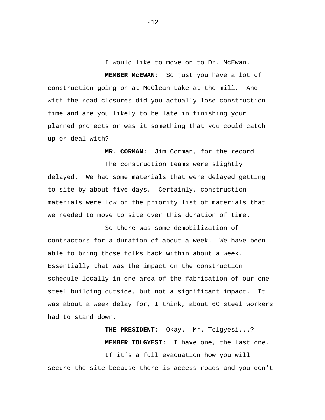I would like to move on to Dr. McEwan.

**MEMBER McEWAN:** So just you have a lot of construction going on at McClean Lake at the mill. And with the road closures did you actually lose construction time and are you likely to be late in finishing your planned projects or was it something that you could catch up or deal with?

**MR. CORMAN:** Jim Corman, for the record.

The construction teams were slightly delayed. We had some materials that were delayed getting to site by about five days. Certainly, construction materials were low on the priority list of materials that we needed to move to site over this duration of time.

So there was some demobilization of contractors for a duration of about a week. We have been able to bring those folks back within about a week. Essentially that was the impact on the construction schedule locally in one area of the fabrication of our one steel building outside, but not a significant impact. It was about a week delay for, I think, about 60 steel workers had to stand down.

**THE PRESIDENT:** Okay. Mr. Tolgyesi...? **MEMBER TOLGYESI:** I have one, the last one. If it's a full evacuation how you will secure the site because there is access roads and you don't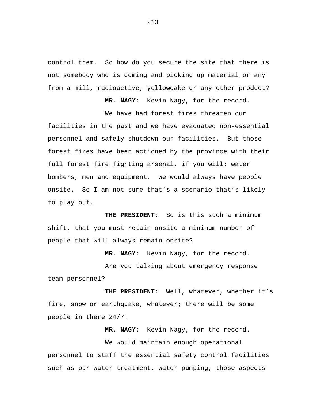control them. So how do you secure the site that there is not somebody who is coming and picking up material or any from a mill, radioactive, yellowcake or any other product?

**MR. NAGY:** Kevin Nagy, for the record.

We have had forest fires threaten our facilities in the past and we have evacuated non-essential personnel and safely shutdown our facilities. But those forest fires have been actioned by the province with their full forest fire fighting arsenal, if you will; water bombers, men and equipment. We would always have people onsite. So I am not sure that's a scenario that's likely to play out.

**THE PRESIDENT:** So is this such a minimum shift, that you must retain onsite a minimum number of people that will always remain onsite?

**MR. NAGY:** Kevin Nagy, for the record.

Are you talking about emergency response team personnel?

**THE PRESIDENT:** Well, whatever, whether it's fire, snow or earthquake, whatever; there will be some people in there 24/7.

**MR. NAGY:** Kevin Nagy, for the record.

We would maintain enough operational personnel to staff the essential safety control facilities such as our water treatment, water pumping, those aspects